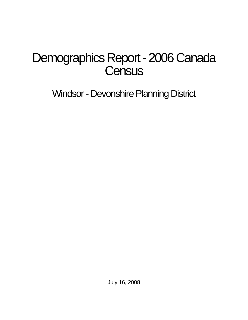# Demographics Report - 2006 Canada **Census**

Windsor - Devonshire Planning District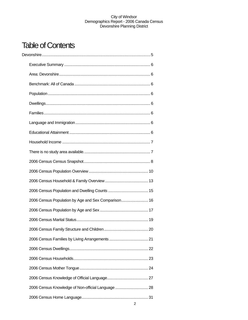## Table of Contents

| 2006 Census Population by Age and Sex Comparison 16 |  |
|-----------------------------------------------------|--|
|                                                     |  |
|                                                     |  |
|                                                     |  |
|                                                     |  |
|                                                     |  |
|                                                     |  |
|                                                     |  |
|                                                     |  |
| 2006 Census Knowledge of Non-official Language  28  |  |
|                                                     |  |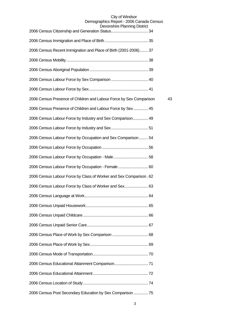| DEVUIDINET KINNING DISUICI                                          |    |
|---------------------------------------------------------------------|----|
|                                                                     |    |
| 2006 Census Recent Immigration and Place of Birth (2001-2006)  37   |    |
|                                                                     |    |
|                                                                     |    |
|                                                                     |    |
|                                                                     |    |
| 2006 Census Presence of Children and Labour Force by Sex Comparison | 43 |
| 2006 Census Presence of Children and Labour Force by Sex  45        |    |
| 2006 Census Labour Force by Industry and Sex Comparison 49          |    |
|                                                                     |    |
| 2006 Census Labour Force by Occupation and Sex Comparison 54        |    |
|                                                                     |    |
|                                                                     |    |
| 2006 Census Labour Force by Occupation - Female  60                 |    |
| 2006 Census Labour Force by Class of Worker and Sex Comparison. 62  |    |
| 2006 Census Labour Force by Class of Worker and Sex 63              |    |
|                                                                     |    |
|                                                                     |    |
|                                                                     |    |
|                                                                     |    |
|                                                                     |    |
|                                                                     |    |
|                                                                     |    |
|                                                                     |    |
|                                                                     |    |
|                                                                     |    |
| 2006 Census Post Secondary Education by Sex Comparison  75          |    |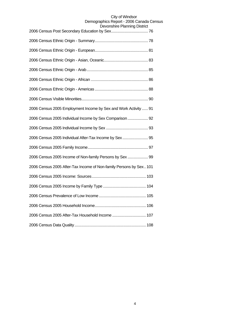| 2006 Census 2005 Employment Income by Sex and Work Activity  91    |
|--------------------------------------------------------------------|
| 2006 Census 2005 Individual Income by Sex Comparison  92           |
|                                                                    |
| 2006 Census 2005 Individual After-Tax Income by Sex  95            |
|                                                                    |
| 2006 Census 2005 Income of Non-family Persons by Sex  99           |
| 2006 Census 2005 After-Tax Income of Non-family Persons by Sex 101 |
|                                                                    |
|                                                                    |
|                                                                    |
|                                                                    |
| 2006 Census 2005 After-Tax Household Income  107                   |
|                                                                    |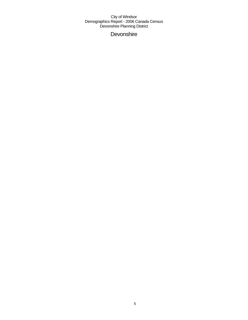**Devonshire**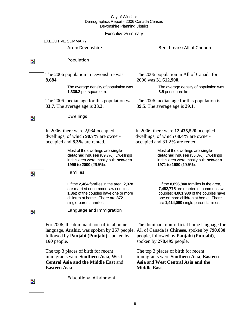### Executive Summary

#### EXECUTIVE SUMMARY

#### Area: Devonshire Benchmark: All of Canada

 $\overline{\mathbf{z}}$ 

 $\overline{\phantom{a}}$ 

#### Population

Dwellings

The 2006 population in Devonshire was **8,684**.

> The average density of population was **1,336.2** per square km.

The 2006 median age for this population was The 2006 median age for this population is **33.7**. The average age is **33.3**.

The 2006 population in All of Canada for 2006 was **31,612,900**.

> The average density of population was **3.5** per square km.

**39.5**. The average age is **39.1**.

In 2006, there were **2,934** occupied dwellings, of which **90.7%** are owneroccupied and **8.3%** are rented.

> Most of the dwellings are **singledetached houses** (89.7%). Dwellings in this area were mostly built **between 1996 to 2000** (26.5%).

#### Families

Of the **2,464** families in the area, **2,078**  are married or common law couples; **1,362** of the couples have one or more children at home. There are **372**  single-parent families.

In 2006, there were **12,435,520** occupied dwellings, of which **68.4%** are owneroccupied and **31.2%** are rented.

> Most of the dwellings are **singledetached houses** (55.3%). Dwellings in this area were mostly built **between 1971 to 1980** (19.5%).

Of the **8,896,840** families in the area, **7,482,775** are married or common law couples; **4,061,930** of the couples have one or more children at home. There are **1,414,060** single-parent families.

Z.

 $\overline{\phantom{a}}$ 

Language and Immigration

For 2006, the dominant non-official home followed by **Panjabi (Punjabi)**, spoken by **160** people.

The top 3 places of birth for recent immigrants were **Southern Asia**, **West Central Asia and the Middle East** and **Eastern Asia**.

language, **Arabic**, was spoken by **257** people, All of Canada is **Chinese**, spoken by **790,030** The dominant non-official home language for people, followed by **Panjabi (Punjabi)**, spoken by **278,495** people.

> The top 3 places of birth for recent immigrants were **Southern Asia**, **Eastern Asia** and **West Central Asia and the Middle East**.

Educational Attainment

Z.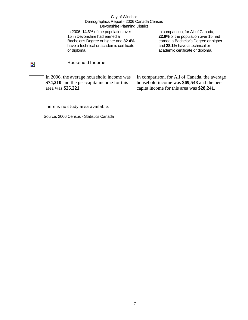In 2006, **14.3%** of the population over 15 in Devonshire had earned a Bachelor's Degree or higher and **32.4%** have a technical or academic certificate or diploma.

In comparison, for All of Canada, **22.6%** of the population over 15 had earned a Bachelor's Degree or higher and **28.1%** have a technical or academic certificate or diploma.

## $\overline{\mathbf{z}}$

#### Household Income

In 2006, the average household income was **\$74,210** and the per-capita income for this area was **\$25,221**.

In comparison, for All of Canada, the average household income was **\$69,548** and the percapita income for this area was **\$28,241**.

#### There is no study area available.

Source: 2006 Census - Statistics Canada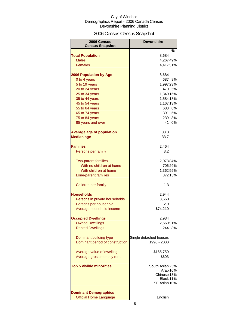## 2006 Census Census Snapshot

| 2006 Census<br><b>Census Snapshot</b>               | <b>Devonshire</b>      |    |
|-----------------------------------------------------|------------------------|----|
|                                                     |                        | %  |
| <b>Total Population</b>                             | 8,684                  |    |
| <b>Males</b>                                        | 4,26749%               |    |
| <b>Females</b>                                      | 4,41751%               |    |
| <b>2006 Population by Age</b>                       | 8,684                  |    |
| 0 to 4 years                                        | 687                    | 8% |
| 5 to 19 years                                       | 1,997 23%              |    |
| 20 to 24 years                                      | 470 5%                 |    |
| 25 to 34 years                                      | 1,340 15%              |    |
| 35 to 44 years                                      | 1,584 18%              |    |
| 45 to 54 years                                      | 1,167 13%              |    |
| 55 to 64 years                                      | 688 8%                 |    |
| 65 to 74 years                                      | 391                    | 5% |
| 75 to 84 years                                      | 239                    | 3% |
| 85 years and over                                   | 41                     | 0% |
| <b>Average age of population</b>                    | 33.3                   |    |
| <b>Median age</b>                                   | 33.7                   |    |
| <b>Families</b>                                     |                        |    |
|                                                     | 2,464<br>3.2           |    |
| Persons per family                                  |                        |    |
| <b>Two-parent families</b>                          | 2,078 84%              |    |
| With no children at home                            | 706 29%                |    |
| With children at home                               | 1,362 55%              |    |
| Lone-parent families                                | 372 15%                |    |
| Children per family                                 | 1.3                    |    |
| Households                                          | 2,944                  |    |
| Persons in private households                       | 8,660                  |    |
| Persons per household                               | 2.9                    |    |
| Average household income                            | \$74,210               |    |
|                                                     |                        |    |
| <b>Occupied Dwellings</b><br><b>Owned Dwellings</b> | 2,934<br>2,66091%      |    |
| <b>Rented Dwellings</b>                             | 244                    | 8% |
|                                                     |                        |    |
| Dominant building type                              | Single detached houses |    |
| Dominant period of construction                     | 1996 - 2000            |    |
|                                                     |                        |    |
| Average value of dwelling                           | \$165,750              |    |
| Average gross monthly rent                          | \$603                  |    |
| <b>Top 5 visible minorities</b>                     | South Asian 25%        |    |
|                                                     | Arab <sub>16%</sub>    |    |
|                                                     | Chinese <sup>13%</sup> |    |
|                                                     | Black 11%              |    |
|                                                     | SE Asian 10%           |    |
| <b>Dominant Demographics</b>                        |                        |    |
| <b>Official Home Language</b>                       | English                |    |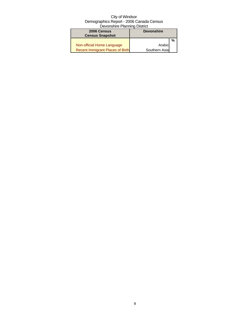| 2006 Census<br><b>Census Snapshot</b>   | <b>Devonshire</b> |   |
|-----------------------------------------|-------------------|---|
|                                         |                   | % |
| Non-official Home Language              | Arabic            |   |
| <b>Recent Immigrant Places of Birth</b> | Southern Asia     |   |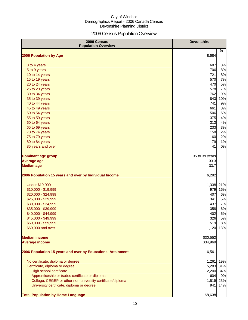## 2006 Census Population Overview

| 2006 Census<br><b>Population Overview</b>                   | <b>Devonshire</b> |     |
|-------------------------------------------------------------|-------------------|-----|
| 2006 Population by Age                                      | 8,684             | %   |
|                                                             |                   |     |
| 0 to 4 years                                                | 687               | 8%  |
| 5 to 9 years                                                | 706               | 8%  |
| 10 to 14 years                                              | 721               | 8%  |
| 15 to 19 years                                              | 570               | 7%  |
| 20 to 24 years                                              | 470               | 5%  |
| 25 to 29 years                                              | 578               | 7%  |
| 30 to 34 years                                              | 762               | 9%  |
| 35 to 39 years                                              | 843               | 10% |
| 40 to 44 years                                              | 741               | 9%  |
| 45 to 49 years                                              | 661               | 8%  |
| 50 to 54 years                                              | 506               | 6%  |
| 55 to 59 years                                              | 375               | 4%  |
| 60 to 64 years                                              | 313               | 4%  |
| 65 to 69 years                                              | 233               | 3%  |
| 70 to 74 years                                              | 158               | 2%  |
| 75 to 79 years                                              | 160               | 2%  |
| 80 to 84 years                                              | 79                | 1%  |
| 85 years and over                                           | 41                | 0%  |
| <b>Dominant age group</b>                                   | 35 to 39 years    |     |
| <b>Average age</b>                                          | 33.3              |     |
| <b>Median age</b>                                           | 33.7              |     |
| 2006 Population 15 years and over by Individual Income      | 6,282             |     |
| <b>Under \$10,000</b>                                       | 1,338             | 21% |
| \$10,000 - \$19,999                                         | 979               | 16% |
| \$20,000 - \$24,999                                         | 407               | 6%  |
| \$25,000 - \$29,999                                         | 341               | 5%  |
| \$30,000 - \$34,999                                         | 437               | 7%  |
| \$35,000 - \$39,999                                         | 358               | 6%  |
| \$40,000 - \$44,999                                         | 402               | 6%  |
| \$45,000 - \$49,999                                         | 326               | 5%  |
| \$50,000 - \$59,999                                         | 519               | 8%  |
| \$60,000 and over                                           | 1,120             | 18% |
| <b>Median income</b>                                        | \$30,552          |     |
| <b>Average income</b>                                       | \$34,969          |     |
| 2006 Population 15 years and over by Educational Attainment | 6,561             |     |
| No certificate, diploma or degree                           | 1,261             | 19% |
| Certificate, diploma or degree                              | 5,283             | 81% |
| High school certificate                                     | 2,200             | 34% |
| Apprenticeship or trades certificate or diploma             | 604               | 9%  |
| College, CEGEP or other non-university certificate/diploma  | 1,519             | 23% |
| University certificate, diploma or degree                   | 941               | 14% |
| <b>Total Population by Home Language</b>                    | \$8,638           |     |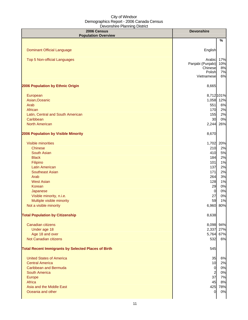| 2006 Census<br><b>Population Overview</b>                  | <b>Devonshire</b>                                              |                              |
|------------------------------------------------------------|----------------------------------------------------------------|------------------------------|
|                                                            |                                                                | %                            |
| <b>Dominant Official Language</b>                          | English                                                        |                              |
| Top 5 Non-official Languages                               | Arabic<br>Panjabi (Punjabi)<br>Chinese<br>Polish<br>Vietnamese | 17%<br>10%<br>8%<br>7%<br>6% |
| 2006 Population by Ethnic Origin                           | 8,665                                                          |                              |
| European                                                   |                                                                | 8,712 101%                   |
| Asian, Oceanic                                             | 1,058                                                          | 12%                          |
| Arab                                                       | 551                                                            | 6%                           |
| African                                                    | 170                                                            | 2%                           |
| Latin, Central and South American                          | 155                                                            | 2%                           |
| Caribbean                                                  | 30                                                             | 0%                           |
| <b>North American</b>                                      | 2,244                                                          | 26%                          |
| 2006 Population by Visible Minority                        | 8,670                                                          |                              |
| Visible minorities                                         | 1,702                                                          | 20%                          |
| <b>Chinese</b>                                             | 210                                                            | 2%                           |
| <b>South Asian</b>                                         | 410                                                            | 5%                           |
| <b>Black</b>                                               | 184                                                            | 2%                           |
| Filipino                                                   | 101                                                            | 1%                           |
| <b>Latin American</b>                                      | 137                                                            | 2%                           |
| <b>Southeast Asian</b>                                     | 171                                                            | 2%                           |
| Arab                                                       | 264                                                            | 3%                           |
| <b>West Asian</b>                                          | 128                                                            | 1%                           |
| Korean                                                     | 29                                                             | 0%                           |
| Japanese                                                   | $\overline{0}$                                                 | 0%                           |
| Visible minority, n.i.e.                                   | 27                                                             | 0%                           |
| Multiple visible minority                                  | 59                                                             | 1%                           |
| Not a visible minority                                     | 6,960                                                          | 80%                          |
| <b>Total Population by Citizenship</b>                     | 8,638                                                          |                              |
| Canadian citizens                                          |                                                                | 8,098 94%                    |
| Under age 18                                               |                                                                | 2,337 27%                    |
| Age 18 and over                                            | 5,764                                                          | 67%                          |
| Not Canadian citizens                                      | 532                                                            | 6%                           |
| <b>Total Recent Immigrants by Selected Places of Birth</b> | 545                                                            |                              |
| <b>United States of America</b>                            | 35                                                             | 6%                           |
| <b>Central America</b>                                     | 10                                                             | 2%                           |
| <b>Caribbean and Bermuda</b>                               | $\overline{0}$                                                 | 0%                           |
| <b>South America</b>                                       | $\overline{a}$                                                 | 0%                           |
| Europe                                                     | 37                                                             | 7%                           |
| Africa                                                     | 45                                                             | 8%                           |
| Asia and the Middle East                                   | 425                                                            | 78%                          |
| Oceania and other                                          | 0                                                              | 0%                           |
|                                                            |                                                                |                              |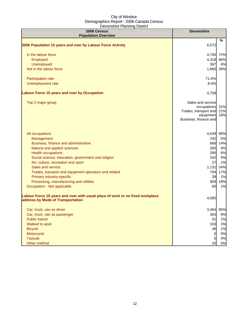| 2006 Census<br><b>Population Overview</b>                                                                          | <b>Devonshire</b>                                                                               |                   |
|--------------------------------------------------------------------------------------------------------------------|-------------------------------------------------------------------------------------------------|-------------------|
|                                                                                                                    |                                                                                                 | %                 |
| 2006 Population 15 years and over by Labour Force Activity                                                         | 6,572                                                                                           |                   |
| In the labour force                                                                                                | 4.705                                                                                           | 72%               |
| Employed                                                                                                           | 4,318                                                                                           | 66%               |
| Unemployed                                                                                                         | 397                                                                                             | 6%                |
| Not in the labour force                                                                                            | 1,860                                                                                           | 28%               |
| Participation rate                                                                                                 | 71.6%                                                                                           |                   |
| Unemployment rate                                                                                                  | 8.4%                                                                                            |                   |
| <b>Labour Force 15 years and over by Occupation</b>                                                                | 4,709                                                                                           |                   |
| Top 3 major group                                                                                                  | Sales and service<br>occupations<br>Trades, transport and<br>equipment<br>Business, finance and | 31%<br>21%<br>18% |
| All occupations                                                                                                    |                                                                                                 | 4,649 99%         |
| Management                                                                                                         | 242                                                                                             | 5%                |
| Business, finance and administrative                                                                               | 666                                                                                             | 14%               |
| Natural and applied sciences                                                                                       | 260                                                                                             | 6%                |
| <b>Health occupations</b>                                                                                          | 295                                                                                             | 6%                |
| Social science, education, government and religion                                                                 | 242                                                                                             | 5%                |
| Art, culture, recreation and sport                                                                                 | 27                                                                                              | 1%                |
| Sales and service                                                                                                  | 1,131                                                                                           | 24%               |
| Trades, transport and equipment operators and related                                                              | 794                                                                                             | 17%               |
| Primary industry-specific                                                                                          | 39                                                                                              | 1%                |
| Processing, manufacturing and utilities                                                                            | 909                                                                                             | 19%               |
| Occupation - Not applicable                                                                                        | 60                                                                                              | 1%                |
| Labour Force 15 years and over with usual place of work or no fixed workplace<br>address by Mode of Transportation | 4,085                                                                                           |                   |
| Car, truck, van as driver                                                                                          | 3,484                                                                                           | 85%               |
| Car, truck, van as passenger                                                                                       | 363                                                                                             | 9%                |
| <b>Public transit</b>                                                                                              | 51                                                                                              | 1%                |
| Walked to work                                                                                                     | 103                                                                                             | 3%                |
| <b>Bicycle</b>                                                                                                     | 46                                                                                              | 1%                |
| Motorcycle                                                                                                         | $\overline{0}$                                                                                  | 0%                |
| <b>Taxicab</b>                                                                                                     | $\overline{0}$                                                                                  | 0%                |
| Other method                                                                                                       | 20                                                                                              | 0%                |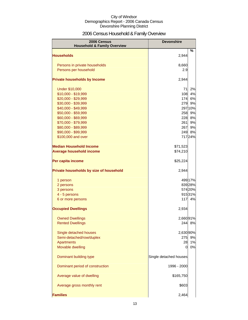## 2006 Census Household & Family Overview

| 2006 Census<br><b>Household &amp; Family Overview</b> | <b>Devonshire</b>      |          |
|-------------------------------------------------------|------------------------|----------|
|                                                       |                        | %        |
| <b>Households</b>                                     | 2,944                  |          |
| Persons in private households                         | 8,660                  |          |
| Persons per household                                 | 2.9                    |          |
|                                                       |                        |          |
| <b>Private households by Income</b>                   | 2,944                  |          |
| <b>Under \$10,000</b>                                 | 71                     | 2%       |
| \$10,000 - \$19,999                                   | 108                    | 4%       |
| \$20,000 - \$29,999                                   | 174                    | 6%       |
| \$30,000 - \$39,999                                   | 279                    | 9%       |
| \$40,000 - \$49,999                                   |                        | 297 10%  |
| \$50,000 - \$59,999                                   | 258                    | 9%       |
| \$60,000 - \$69,999<br>\$70,000 - \$79,999            | 228<br>261             | 8%<br>9% |
| \$80,000 - \$89,999                                   | 267                    | 9%       |
| \$90,000 - \$99,999                                   | 249                    | 8%       |
| \$100,000 and over                                    |                        | 71724%   |
| <b>Median Household Income</b>                        | \$71,523               |          |
| <b>Average household income</b>                       | \$74,210               |          |
| Per capita income                                     | \$25,224               |          |
| Private households by size of household               | 2,944                  |          |
| 1 person                                              |                        | 499 17%  |
| 2 persons                                             |                        | 839 28%  |
| 3 persons                                             |                        | 574 20%  |
| 4 - 5 persons                                         |                        | 91531%   |
| 6 or more persons                                     | 117                    | 4%       |
| <b>Occupied Dwellings</b>                             | 2,934                  |          |
| <b>Owned Dwellings</b>                                | 2,66091%               |          |
| <b>Rented Dwellings</b>                               | 2441                   | 8%       |
| Single detached houses                                | 2,630 90%              |          |
| Semi-detached/row/duplex                              | 275                    | 9%       |
| <b>Apartments</b>                                     | 28                     | 1%       |
| Movable dwelling                                      | $\Omega$               | 0%       |
| Dominant building type                                | Single detached houses |          |
| Dominant period of construction                       | 1996 - 2000            |          |
| Average value of dwelling                             | \$165,750              |          |
| Average gross monthly rent                            | \$603                  |          |
| <b>Families</b>                                       | 2,464                  |          |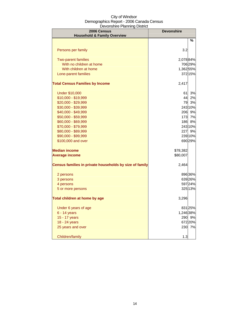| 2006 Census<br><b>Household &amp; Family Overview</b>   | <b>Devonshire</b> |         |
|---------------------------------------------------------|-------------------|---------|
|                                                         |                   | ℅       |
| Persons per family                                      | 3.2               |         |
| <b>Two-parent families</b>                              | 2,078 84%         |         |
| With no children at home                                |                   | 706 29% |
| With children at home                                   | 1,362 55%         |         |
| Lone-parent families                                    |                   | 372 15% |
| <b>Total Census Families by Income</b>                  | 2,417             |         |
| <b>Under \$10,000</b>                                   | 61                | 3%      |
| \$10,000 - \$19,999                                     | 44                | 2%      |
| \$20,000 - \$29,999                                     | 79                | 3%      |
| \$30,000 - \$39,999                                     |                   | 243 10% |
| \$40,000 - \$49,999                                     | 206               | 9%      |
| \$50,000 - \$59,999                                     | 173               | 7%      |
| \$60,000 - \$69,999                                     | 186               | 8%      |
| \$70,000 - \$79,999                                     |                   | 243 10% |
| \$80,000 - \$89,999                                     | 227               | 9%      |
| \$90,000 - \$99,999                                     |                   | 23910%  |
| \$100,000 and over                                      |                   | 690 29% |
| <b>Median income</b>                                    | \$78,382          |         |
| <b>Average income</b>                                   | \$80,007          |         |
| Census families in private households by size of family | 2,464             |         |
| 2 persons                                               |                   | 896 36% |
| 3 persons                                               |                   | 639 26% |
| 4 persons                                               |                   | 59724%  |
| 5 or more persons                                       |                   | 325 13% |
| Total children at home by age                           | 3,296             |         |
| Under 6 years of age                                    |                   | 831 25% |
| 6 - 14 years                                            | 1,246 38%         |         |
| 15 - 17 years                                           | 290               | 9%      |
| 18 - 24 years                                           |                   | 672 20% |
| 25 years and over                                       | <b>230</b>        | 7%      |
| Children/family                                         | 1.3               |         |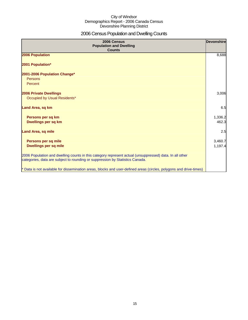## 2006 Census Population and Dwelling Counts

| 2006 Census<br><b>Population and Dwelling</b><br><b>Counts</b>                                                                                                                           | <b>Devonshire</b>  |
|------------------------------------------------------------------------------------------------------------------------------------------------------------------------------------------|--------------------|
| 2006 Population                                                                                                                                                                          | 8,688              |
| 2001 Population*                                                                                                                                                                         |                    |
| 2001-2006 Population Change*<br>Persons<br>Percent                                                                                                                                       |                    |
| <b>2006 Private Dwellings</b><br>Occupied by Usual Residents*                                                                                                                            | 3,006              |
| Land Area, sq km                                                                                                                                                                         | 6.5                |
| Persons per sq km<br>Dwellings per sq km                                                                                                                                                 | 1,336.2<br>462.3   |
| <b>Land Area, sq mile</b>                                                                                                                                                                | 2.5                |
| Persons per sq mile<br><b>Dwellings per sq mile</b>                                                                                                                                      | 3,460.7<br>1,197.4 |
| 2006 Population and dwelling counts in this category represent actual (unsuppressed) data. In all other<br>categories, data are subject to rounding or suppression by Statistics Canada. |                    |
| * Data is not available for dissemination areas, blocks and user-defined areas (circles, polygons and drive-times)                                                                       |                    |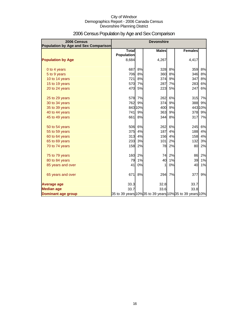| 2006 Census<br>Population by Age and Sex Comparison |                                   |         | <b>Devonshire</b> |    |                                                          |         |
|-----------------------------------------------------|-----------------------------------|---------|-------------------|----|----------------------------------------------------------|---------|
|                                                     | <b>Total</b><br><b>Population</b> |         | <b>Males</b>      |    | <b>Females</b>                                           |         |
| <b>Population by Age</b>                            | 8,684                             |         | 4,267             |    | 4,417                                                    |         |
| 0 to 4 years                                        | 687                               | 8%      | 328               | 8% | 359                                                      | 8%      |
| 5 to 9 years                                        | 706                               | 8%      | 360               | 8% | 346                                                      | 8%      |
| 10 to 14 years                                      | 721                               | 8%      | 374               | 9% | 347                                                      | 8%      |
| 15 to 19 years                                      | 570                               | 7%      | 287               | 7% | 283                                                      | 6%      |
| 20 to 24 years                                      | 470                               | 5%      | 223               | 5% | 247                                                      | 6%      |
| 25 to 29 years                                      | 578                               | 7%      | 262               | 6% | 315                                                      | 7%      |
| 30 to 34 years                                      | 762                               | 9%      | 374               | 9% | 388                                                      | 9%      |
| 35 to 39 years                                      |                                   | 843 10% | 400               | 9% |                                                          | 443 10% |
| 40 to 44 years                                      | 741                               | 9%      | 363               | 9% | 378                                                      | 9%      |
| 45 to 49 years                                      | 661                               | 8%      | 344               | 8% | 317                                                      | 7%      |
| 50 to 54 years                                      | 506                               | 6%      | 262               | 6% | 245                                                      | 6%      |
| 55 to 59 years                                      | 375                               | 4%      | 187               | 4% | 188                                                      | 4%      |
| 60 to 64 years                                      | 313                               | 4%      | 156               | 4% | 158                                                      | 4%      |
| 65 to 69 years                                      | 233                               | 3%      | 101               | 2% | 132                                                      | 3%      |
| 70 to 74 years                                      | 158                               | 2%      | 78                | 2% | 80                                                       | 2%      |
| 75 to 79 years                                      | 160                               | 2%      | 74                | 2% | 86                                                       | 2%      |
| 80 to 84 years                                      | 79                                | 1%      | 40                | 1% | 39                                                       | 1%      |
| 85 years and over                                   | 41                                | 0%      |                   | 0% | 40                                                       | 1%      |
| 65 years and over                                   | 671                               | 8%      | 294               | 7% | 377                                                      | 9%      |
| <b>Average age</b>                                  | 33.3                              |         | 32.8              |    | 33.7                                                     |         |
| <b>Median age</b>                                   | 33.7                              |         | 33.6              |    | 33.8                                                     |         |
| <b>Dominant age group</b>                           |                                   |         |                   |    | 35 to 39 years 10% 35 to 39 years 10% 35 to 39 years 10% |         |

## 2006 Census Population by Age and Sex Comparison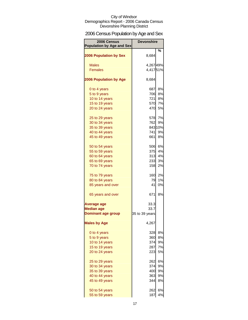## 2006 Census Population by Age and Sex

| 2006 Census<br><b>Population by Age and Sex</b> | <b>Devonshire</b> |         |
|-------------------------------------------------|-------------------|---------|
| <b>2006 Population by Sex</b>                   | 8,684             | %       |
|                                                 |                   |         |
| <b>Males</b>                                    | 4,26749%          |         |
| <b>Females</b>                                  | 4,41751%          |         |
| <b>2006 Population by Age</b>                   | 8,684             |         |
| 0 to 4 years                                    | 687               | 8%      |
| 5 to 9 years                                    | 706               | 8%      |
| 10 to 14 years                                  | 721               | 8%      |
| 15 to 19 years                                  | 570               | 7%      |
| 20 to 24 years                                  | 470               | 5%      |
| 25 to 29 years                                  |                   | 578 7%  |
| 30 to 34 years                                  | 762               | 9%      |
| 35 to 39 years                                  |                   | 843 10% |
| 40 to 44 years                                  | 741l              | 9%      |
| 45 to 49 years                                  | 661I              | 8%      |
| 50 to 54 years                                  | 506               | 6%      |
| 55 to 59 years                                  | 375               | 4%      |
| 60 to 64 years                                  | 313               | 4%      |
| 65 to 69 years                                  | 233               | 3%      |
| 70 to 74 years                                  | 158               | 2%      |
| 75 to 79 years                                  | 160               | 2%      |
| 80 to 84 years                                  | 79                | 1%      |
| 85 years and over                               | 41                | 0%      |
| 65 years and over                               | 671               | 8%      |
| Average age                                     | 33.3              |         |
| <b>Median age</b>                               | 33.7              |         |
| <b>Dominant age group</b>                       | 35 to 39 years    |         |
| <b>Males by Age</b>                             | 4,267             |         |
| 0 to 4 years                                    | 328               | 8%      |
| 5 to 9 years                                    | 360               | 8%      |
| 10 to 14 years                                  | 374               | 9%      |
| 15 to 19 years                                  | 287               | 7%      |
| 20 to 24 years                                  | 223               | 5%      |
| 25 to 29 years                                  | 262               | 6%      |
| 30 to 34 years                                  | 374               | 9%      |
| 35 to 39 years                                  | 400               | 9%      |
| 40 to 44 years                                  | 363               | 9%      |
| 45 to 49 years                                  | 344               | 8%      |
| 50 to 54 years                                  | 262               | 6%      |
| 55 to 59 years                                  | 187               | 4%      |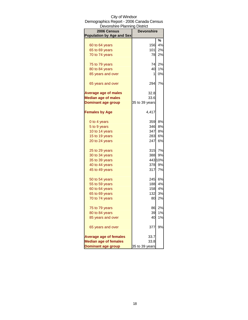| Devonshire Planning District     |                   |         |
|----------------------------------|-------------------|---------|
| 2006 Census                      | <b>Devonshire</b> |         |
| <b>Population by Age and Sex</b> |                   |         |
|                                  |                   | ℅       |
| 60 to 64 years                   | 156               | 4%      |
| 65 to 69 years                   | 101               | 2%      |
| 70 to 74 years                   | 78                | 2%      |
| 75 to 79 years                   | 74                | 2%      |
| 80 to 84 years                   | 40                | 1%      |
| 85 years and over                | 1                 | 0%      |
| 65 years and over                | 294               | 7%      |
| <b>Average age of males</b>      | 32.8              |         |
| <b>Median age of males</b>       | 33.6              |         |
| <b>Dominant age group</b>        | 35 to 39 years    |         |
| <b>Females by Age</b>            | 4,417             |         |
| 0 to 4 years                     | 359               | 8%      |
| 5 to 9 years                     | 346               | 8%      |
| 10 to 14 years                   | 347               | 8%      |
| 15 to 19 years                   | 283               | 6%      |
| 20 to 24 years                   | 247               | 6%      |
| 25 to 29 years                   | 315               | 7%      |
| 30 to 34 years                   | 388               | 9%      |
| 35 to 39 years                   |                   | 443 10% |
| 40 to 44 years                   | 378               | 9%      |
| 45 to 49 years                   | 317               | 7%      |
| 50 to 54 years                   | 245               | 6%      |
| 55 to 59 years                   | 188               | 4%      |
|                                  | 158               | 4%      |
| 60 to 64 years                   |                   | 3%      |
| 65 to 69 years<br>70 to 74 years | 132<br>80         | 2%      |
|                                  |                   |         |
| 75 to 79 years                   | 86                | 2%      |
| 80 to 84 years                   | 39                | 1%      |
| 85 years and over                | 40                | 1%      |
| 65 years and over                | 377               | 9%      |
| <b>Average age of females</b>    | 33.7              |         |
| <b>Median age of females</b>     | 33.8              |         |
| <b>Dominant age group</b>        | 35 to 39 years    |         |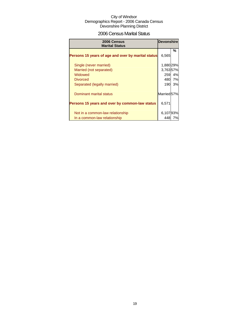## 2006 Census Marital Status

| 2006 Census<br><b>Marital Status</b>               | <b>Devonshire</b> |        |
|----------------------------------------------------|-------------------|--------|
| Persons 15 years of age and over by marital status | 6,565             | %      |
| Single (never married)                             | 1,880 29%         |        |
| Married (not separated)                            | 3,76357%          |        |
| Widowed                                            | 259               | 4%     |
| <b>Divorced</b>                                    |                   | 480 7% |
| Separated (legally married)                        | 190               | 3%     |
| Dominant marital status                            | Married 57%       |        |
| Persons 15 years and over by common-law status     | 6,571             |        |
|                                                    |                   |        |
| Not in a common-law relationship                   | 6,10793%          |        |
| In a common-law relationship                       | 448               | 7%l    |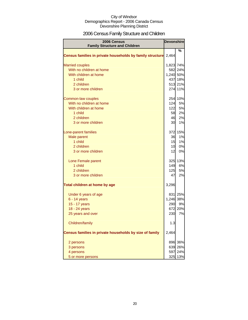## 2006 Census Family Structure and Children

| <b>2006 Census</b><br><b>Family Structure and Children</b> |           | <b>Devonshire</b>  |
|------------------------------------------------------------|-----------|--------------------|
|                                                            |           | ℅                  |
| Census families in private households by family structure  | 2,464     |                    |
|                                                            |           |                    |
| <b>Married couples</b>                                     | 1,823 74% |                    |
| With no children at home                                   |           | 582 24%            |
| With children at home                                      | 1,240 50% |                    |
| 1 child                                                    |           | 437 18%            |
| 2 children<br>3 or more children                           |           | 513 21%<br>274 11% |
|                                                            |           |                    |
| Common-law couples                                         |           | 254 10%            |
| With no children at home                                   | 124       | 5%                 |
| With children at home                                      | 122       | 5%                 |
| 1 child                                                    | 58        | 2%                 |
| 2 children                                                 | 46        | 2%                 |
| 3 or more children                                         | 30        | 1%                 |
| Lone-parent families                                       |           | 372 15%            |
| Male parent                                                | 36        | 1%                 |
| 1 child                                                    | 15        | 1%                 |
| 2 children                                                 | 10        | 0%                 |
| 3 or more children                                         | 12        | 0%                 |
| Lone Female parent                                         |           | 325 13%            |
| 1 child                                                    | 149       | 6%                 |
| 2 children                                                 | 125       | 5%                 |
| 3 or more children                                         | 47        | 2%                 |
| Total children at home by age                              | 3,296     |                    |
| Under 6 years of age                                       |           | 831 25%            |
| $6 - 14$ years                                             | 1,246 38% |                    |
| 15 - 17 years                                              | 290       | 9%                 |
| 18 - 24 years                                              |           | 672 20%            |
| 25 years and over                                          | 230       | 7%                 |
| Children/family                                            | 1.3       |                    |
| Census families in private households by size of family    | 2,464     |                    |
| 2 persons                                                  | 896       | 36%                |
| 3 persons                                                  | 639       | 26%                |
| 4 persons                                                  | 597       | 24%                |
| 5 or more persons                                          | 325       | 13%                |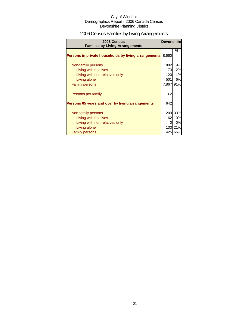## 2006 Census Families by Living Arrangements

| 2006 Census<br><b>Families by Living Arrangements</b> | <b>Devonshire</b> |         |
|-------------------------------------------------------|-------------------|---------|
| Persons in private households by living arrangements  | 8,660             | %       |
|                                                       |                   |         |
| Non-family persons                                    | 802               | 9%      |
| Living with relatives                                 | 173               | 2%      |
| Living with non-relatives only                        | 120               | 1%      |
| Living alone                                          | 501               | 6%      |
| <b>Family persons</b>                                 | 7,867             | 91%     |
| Persons per family                                    | 3.2               |         |
| Persons 65 years and over by living arrangements      | 642               |         |
|                                                       |                   |         |
| Non-family persons                                    |                   | 209 33% |
| Living with relatives                                 | 62I               | 10%     |
| Living with non-relatives only                        |                   | 0%      |
| Living alone                                          |                   | 133 21% |
| <b>Family persons</b>                                 |                   | 425 66% |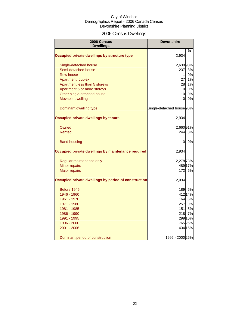## 2006 Census Dwellings

| 2006 Census<br><b>Dwellings</b>                      | <b>Devonshire</b>         |         |
|------------------------------------------------------|---------------------------|---------|
|                                                      |                           | %       |
| Occupied private dwellings by structure type         | 2,934                     |         |
| Single-detached house                                | 2,630 90%                 |         |
| Semi-detached house                                  | 237                       | 8%      |
| Row house                                            | $\mathbf{1}$              | 0%      |
| Apartment, duplex                                    | 27                        | 1%      |
| Apartment less than 5 storeys                        | 28                        | 1%      |
| Apartment 5 or more storeys                          | $\overline{0}$            | 0%      |
| Other single-attached house                          | 10                        | 0%      |
| Movable dwelling                                     | 0                         | 0%      |
| Dominant dwelling type                               | Single-detached house 90% |         |
| <b>Occupied private dwellings by tenure</b>          | 2,934                     |         |
| Owned                                                | 2,66091%                  |         |
| <b>Rented</b>                                        | 244                       | 8%      |
| <b>Band housing</b>                                  | 0                         | 0%      |
| Occupied private dwellings by maintenance required   | 2,934                     |         |
| Regular maintenance only                             | 2,278 78%                 |         |
| Minor repairs                                        |                           | 489 17% |
| <b>Major repairs</b>                                 | 172                       | 6%      |
| Occupied private dwellings by period of construction | 2,934                     |         |
| Before 1946                                          | 189                       | 6%      |
| 1946 - 1960                                          |                           | 412 14% |
| 1961 - 1970                                          |                           | 164 6%  |
| 1971 - 1980                                          | 257                       | 9%      |
| 1981 - 1985                                          | 151                       | 5%      |
| 1986 - 1990                                          |                           | 218 7%  |
| 1991 - 1995                                          |                           | 299 10% |
| 1996 - 2000                                          |                           | 765 26% |
| 2001 - 2006                                          |                           | 434 15% |
| Dominant period of construction                      | 1996 - 2000 26%           |         |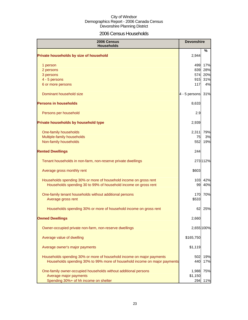## 2006 Census Households

| 2006 Census<br><b>Households</b>                                          | <b>Devonshire</b> |            |
|---------------------------------------------------------------------------|-------------------|------------|
| Private households by size of household                                   | 2,944             | %          |
| 1 person                                                                  | 499               | 17%        |
| 2 persons                                                                 | 839               | 28%        |
| 3 persons                                                                 | 574               | 20%        |
| 4 - 5 persons                                                             | 915               | 31%        |
| 6 or more persons                                                         | 117               | 4%         |
| Dominant household size                                                   | 4 - 5 persons     | 31%        |
| <b>Persons in households</b>                                              | 8,633             |            |
| Persons per household                                                     | 2.9               |            |
| Private households by household type                                      | 2,939             |            |
| One-family households                                                     | 2,311             | 79%        |
| Multiple-family households                                                | 75                | 3%         |
| Non-family households                                                     | 552               | 19%        |
| <b>Rented Dwellings</b>                                                   | 244               |            |
| Tenant households in non-farm, non-reserve private dwellings              |                   | 273 112%   |
| Average gross monthly rent                                                | \$603             |            |
| Households spending 30% or more of household income on gross rent         | 103               | 42%        |
| Households spending 30 to 99% of household income on gross rent           | 99                | 40%        |
| One-family tenant households without additional persons                   | 170               | 70%        |
| Average gross rent                                                        | \$533             |            |
| Households spending 30% or more of household income on gross rent         | 62                | 25%        |
| <b>Owned Dwellings</b>                                                    | 2,660             |            |
| Owner-occupied private non-farm, non-reserve dwellings                    |                   | 2,655 100% |
| Average value of dwelling                                                 | \$165,750         |            |
| Average owner's major payments                                            | \$1,119           |            |
| Households spending 30% or more of household income on major payments     | 502               | 19%        |
| Households spending 30% to 99% more of household income on major payments | 440               | 17%        |
| One-family owner-occupied households without additional persons           | 1,988             | 75%        |
| Average major payments                                                    | \$1,150           |            |
| Spending 30%+ of hh income on shelter                                     | 294               | 11%        |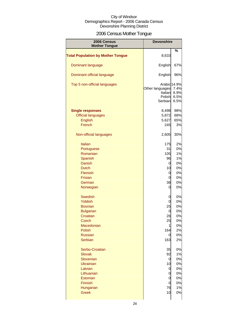## 2006 Census Mother Tongue

| 2006 Census<br><b>Mother Tongue</b>      | <b>Devonshire</b>                                               |                              |
|------------------------------------------|-----------------------------------------------------------------|------------------------------|
|                                          |                                                                 | %                            |
| <b>Total Population by Mother Tongue</b> | 8,633                                                           |                              |
| Dominant language                        | English                                                         | 67%                          |
| Dominant official language               | English                                                         | 96%                          |
| Top 5 non-official languages             | Arabic 14.9%<br>Other languages<br>Italian<br>Polish<br>Serbian | 7.4%<br>6.9%<br>6.5%<br>6.5% |
| <b>Single responses</b>                  | 8,498                                                           | 98%                          |
| <b>Official languages</b>                | 5,872                                                           | 68%                          |
| <b>English</b>                           | 5,627                                                           | 65%                          |
| French                                   | 245                                                             | 3%                           |
| Non-official languages                   | 2,605                                                           | 30%                          |
| <b>Italian</b>                           | 175                                                             | 2%                           |
| Portuguese                               | 31                                                              | 0%                           |
|                                          |                                                                 | 1%                           |
| Romanian                                 | 105                                                             |                              |
| Spanish                                  | 96                                                              | 1%                           |
| Danish                                   | 0                                                               | 0%                           |
| <b>Dutch</b>                             | 10                                                              | 0%                           |
| Flemish                                  | 0                                                               | 0%                           |
| <b>Frisian</b>                           | 0                                                               | 0%                           |
| German                                   | 38                                                              | 0%                           |
| Norwegian                                | 0                                                               | 0%                           |
| <b>Swedish</b>                           | 0                                                               | 0%                           |
| Yiddish                                  | 0                                                               | 0%                           |
| <b>Bosnian</b>                           | 25                                                              | 0%                           |
| <b>Bulgarian</b>                         | 0                                                               | 0%                           |
| Croatian                                 | 26                                                              | 0%                           |
|                                          |                                                                 |                              |
| <b>Czech</b>                             | 25                                                              | 0%                           |
| Macedonian                               | 1                                                               | 0%                           |
| Polish                                   | 164                                                             | 2%                           |
| <b>Russian</b>                           | 0                                                               | 0%                           |
| <b>Serbian</b>                           | 163                                                             | 2%                           |
| Serbo-Croatian                           | 35                                                              | 0%                           |
| <b>Slovak</b>                            | 92                                                              | 1%                           |
| Slovenian                                | 0                                                               | 0%                           |
| <b>Ukrainian</b>                         | 10                                                              | 0%                           |
| Latvian                                  | 0                                                               | 0%                           |
| Lithuanian                               | 0                                                               | 0%                           |
| Estonian                                 | 0                                                               | 0%                           |
| Finnish                                  | 0                                                               | 0%                           |
| Hungarian                                | 76                                                              | 1%                           |
| <b>Greek</b>                             | 10                                                              | 0%                           |
|                                          |                                                                 |                              |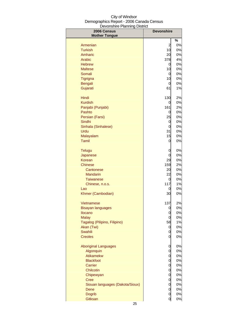| 2006 Census                     | <b>Devonshire</b> |          |
|---------------------------------|-------------------|----------|
| <b>Mother Tongue</b>            |                   |          |
| Armenian                        | 2                 | %<br>0%  |
| <b>Turkish</b>                  | 10                | 0%       |
| Amharic                         | 20                | 0%       |
| Arabic                          | 378               | 4%       |
| <b>Hebrew</b>                   | 0                 | 0%       |
| <b>Maltese</b>                  | 10                | 0%       |
| Somali                          | 0                 | 0%       |
| Tigrigna                        | 10                | 0%       |
| Bengali                         | 0                 | 0%       |
| Gujarati                        | 61                | 1%       |
| Hindi                           | 130               | 2%       |
| <b>Kurdish</b>                  | 0                 | 0%       |
| Panjabi (Punjabi)               | 161               | 2%       |
| Pashto                          | 0                 | 0%       |
| Persian (Farsi)                 | 25                | 0%       |
| Sindhi                          | 0                 | 0%       |
| Sinhala (Sinhalese)             | 0                 | 0%       |
| Urdu                            | 31                | 0%       |
| Malayalam                       | 15                | 0%       |
| Tamil                           | 0                 | 0%       |
| <b>Telugu</b>                   | 0                 | 0%       |
| Japanese                        | 0                 | 0%       |
| Korean                          | 29                | 0%       |
| Chinese                         | 159               | 2%       |
| Cantonese                       | 20                | 0%       |
| <b>Mandarin</b>                 | 22                | 0%<br>0% |
| <b>Taiwanese</b>                | 0<br>117          | $1\%$    |
| Chinese, n.o.s.<br>Lao          | 0                 | 0%       |
| Khmer (Cambodian)               | 30                | 0%       |
| Vietnamese                      | 137               | 2%       |
| <b>Bisayan languages</b>        | 0                 | 0%       |
| Ilocano                         | 0                 | 0%       |
| <b>Malay</b>                    | 0                 | 0%       |
| Tagalog (Pilipino, Filipino)    | 58                | $1\%$    |
| Akan (Twi)                      | 0                 | 0%       |
| Swahili                         | 0                 | 0%       |
| <b>Creoles</b>                  | 0                 | 0%       |
| <b>Aboriginal Languages</b>     | 0                 | 0%       |
| Algonquin                       | 0                 | 0%       |
| Atikamekw                       | 0                 | 0%       |
| <b>Blackfoot</b>                | 0                 | 0%       |
| Carrier                         | 0                 | 0%       |
| Chilcotin                       | 0                 | 0%       |
| Chipewyan                       | 0                 | 0%       |
| <b>Cree</b>                     | 0                 | 0%       |
| Siouan languages (Dakota/Sioux) | 0                 | 0%       |
| Dene                            | 0                 | 0%       |
| <b>Dogrib</b>                   | 0                 | 0%       |
| Gitksan                         | $\overline{0}$    | 0%       |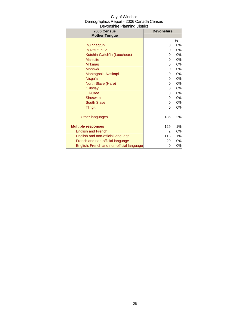| City of Windsor                          |
|------------------------------------------|
| Demographics Report - 2006 Canada Census |
| Devonshire Planning District             |

| 2006 Census<br><b>Mother Tongue</b>       | <b>Devonshire</b> |    |
|-------------------------------------------|-------------------|----|
|                                           |                   | %  |
| Inuinnagtun                               | 0                 | 0% |
| Inuktitut, n.i.e.                         | 0                 | 0% |
| Kutchin-Gwich'in (Loucheux)               | 0                 | 0% |
| <b>Malecite</b>                           | 0                 | 0% |
| Mi'kmag                                   | 0                 | 0% |
| <b>Mohawk</b>                             | 0                 | 0% |
| Montagnais-Naskapi                        | 0                 | 0% |
| Nisga'a                                   | 0                 | 0% |
| North Slave (Hare)                        | 0                 | 0% |
| Ojibway                                   | 0                 | 0% |
| Oji-Cree                                  | 0                 | 0% |
| Shuswap                                   | 0                 | 0% |
| <b>South Slave</b>                        | 0                 | 0% |
| <b>Tlingit</b>                            | 0                 | 0% |
| Other languages                           | 186               | 2% |
| <b>Multiple responses</b>                 | 129               | 1% |
| <b>English and French</b>                 | 2                 | 0% |
| English and non-official language         | 118               | 1% |
| French and non-official language          | 20                | 0% |
| English, French and non-official language | 0                 | 0% |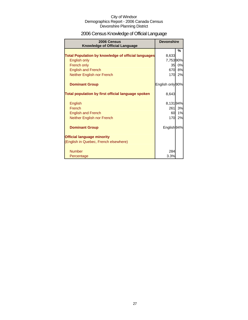## 2006 Census Knowledge of Official Language

| 2006 Census<br><b>Knowledge of Official Language</b>       | <b>Devonshire</b> |    |
|------------------------------------------------------------|-------------------|----|
|                                                            |                   | %  |
| <b>Total Population by knowledge of official languages</b> | 8,633             |    |
| English only                                               | 7,75390%          |    |
| French only                                                | 35                | 0% |
| <b>English and French</b>                                  | 670               | 8% |
| Neither English nor French                                 | <b>170</b>        | 2% |
| <b>Dominant Group</b>                                      | English only 90%  |    |
| Total population by first official language spoken         | 8,643             |    |
| <b>English</b>                                             | 8,13194%          |    |
| French                                                     | 261               | 3% |
| <b>English and French</b>                                  | 60                | 1% |
| Neither English nor French                                 | 170               | 2% |
| <b>Dominant Group</b>                                      | English 94%       |    |
| <b>Official language minority</b>                          |                   |    |
| (English in Quebec, French elsewhere)                      |                   |    |
| <b>Number</b>                                              | 284               |    |
| Percentage                                                 | 3.3%              |    |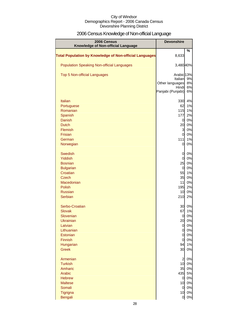## 2006 Census Knowledge of Non-official Language

| 2006 Census<br>Knowledge of Non-official Language              | <b>Devonshire</b>                |          |
|----------------------------------------------------------------|----------------------------------|----------|
| <b>Total Population by Knowledge of Non-official Languages</b> | 8,633                            | %        |
|                                                                |                                  |          |
| <b>Population Speaking Non-official Languages</b>              | 3,480 40%                        |          |
| Top 5 Non-official Languages                                   | Arabic <sub>13%</sub>            |          |
|                                                                | Italian<br>Other languages       | 9%<br>8% |
|                                                                | Hindi                            | 6%       |
|                                                                | Panjabi (Punjabi)                | 6%       |
| <b>Italian</b>                                                 | 330                              | 4%       |
| Portuguese                                                     | 62                               | 1%       |
| Romanian<br>Spanish                                            | 115<br>177                       | 1%<br>2% |
| <b>Danish</b>                                                  | $\overline{0}$                   | 0%       |
| <b>Dutch</b>                                                   | 20                               | 0%       |
| Flemish                                                        | 3                                | 0%       |
| <b>Frisian</b>                                                 | $\overline{0}$                   | 0%       |
| German<br>Norwegian                                            | 111<br>0                         | 1%<br>0% |
|                                                                |                                  |          |
| <b>Swedish</b>                                                 | 0                                | 0%       |
| Yiddish<br><b>Bosnian</b>                                      | $\mathbf 0$<br>25                | 0%<br>0% |
| <b>Bulgarian</b>                                               | $\overline{0}$                   | 0%       |
| Croatian                                                       | 55                               | 1%       |
| <b>Czech</b>                                                   | 35                               | 0%       |
| Macedonian<br><b>Polish</b>                                    | 11<br>195                        | 0%<br>2% |
| <b>Russian</b>                                                 | 10                               | 0%       |
| <b>Serbian</b>                                                 | 210                              | 2%       |
| Serbo-Croatian                                                 | 30                               | 0%       |
| <b>Slovak</b>                                                  | 67                               | 1%       |
| Slovenian                                                      | 0                                | 0%       |
| Ukrainian                                                      | 20                               | 0%       |
| Latvian<br>Lithuanian                                          | $\overline{O}$<br>$\overline{0}$ | 0%<br>0% |
| Estonian                                                       | $\mathbf 0$                      | 0%       |
| Finnish                                                        | $\mathbf 0$                      | 0%       |
| Hungarian                                                      | 94                               | 1%       |
| <b>Greek</b>                                                   | 30                               | 0%       |
| Armenian                                                       | $\overline{\mathbf{c}}$          | 0%       |
| <b>Turkish</b>                                                 | 10                               | 0%       |
| Amharic<br>Arabic                                              | 35<br>435                        | 0%<br>5% |
| <b>Hebrew</b>                                                  | $\overline{0}$                   | 0%       |
| <b>Maltese</b>                                                 | 10                               | 0%       |
| Somali                                                         | $\overline{0}$                   | 0%       |
| Tigrigna                                                       | 10                               | 0%       |
| <b>Bengali</b>                                                 | 0                                | 0%       |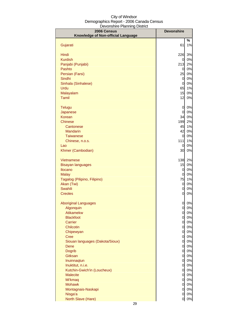| 2006 Census                             | <b>Devonshire</b>   |          |
|-----------------------------------------|---------------------|----------|
| Knowledge of Non-official Language      |                     |          |
|                                         |                     | %        |
| Gujarati                                | 61                  | 1%       |
| Hindi                                   | 226                 | 3%       |
| <b>Kurdish</b>                          | 0                   | 0%       |
| Panjabi (Punjabi)                       | 213                 | 2%       |
| Pashto                                  | 0                   | 0%       |
| Persian (Farsi)                         | 25                  | 0%       |
| Sindhi                                  | 0                   | 0%       |
| Sinhala (Sinhalese)                     | $\overline{0}$      | 0%       |
| Urdu                                    | 65                  | 1%       |
| Malayalam<br>Tamil                      | 15                  | 0%       |
|                                         | 12                  | 0%       |
| <b>Telugu</b>                           | 0                   | 0%       |
| Japanese                                | $\overline{0}$      | 0%       |
| <b>Korean</b>                           | 34                  | 0%       |
| <b>Chinese</b>                          | 199                 | 2%       |
| Cantonese                               | 45                  | 1%       |
| <b>Mandarin</b>                         | 42                  | 0%       |
| <b>Taiwanese</b>                        | 0                   | 0%       |
| Chinese, n.o.s.                         | 111                 | 1%       |
| Lao                                     | 0<br>30             | 0%<br>0% |
| Khmer (Cambodian)                       |                     |          |
| Vietnamese                              | 138                 | 2%       |
| <b>Bisayan languages</b>                | 15                  | 0%       |
| <b>Ilocano</b>                          | 0                   | 0%       |
| <b>Malay</b>                            | 0                   | 0%       |
| Tagalog (Pilipino, Filipino)            | 75                  | 1%       |
| Akan (Twi)                              | 0                   | 0%       |
| Swahili                                 | $\overline{0}$      | 0%       |
| <b>Creoles</b>                          | 0                   | 0%       |
| <b>Aboriginal Languages</b>             | 0                   | 0%       |
| Algonquin                               | 0                   | 0%       |
| <b>Atikamekw</b>                        | 0                   | 0%       |
| <b>Blackfoot</b>                        | $\overline{0}$      | 0%       |
| Carrier                                 | $\overline{0}$      | 0%       |
| Chilcotin                               | $\overline{0}$      | 0%       |
| Chipewyan                               | $\overline{0}$      | 0%       |
| <b>Cree</b>                             | $\overline{0}$      | 0%<br>0% |
| Siouan languages (Dakota/Sioux)<br>Dene | $\overline{0}$<br>0 | 0%       |
| <b>Dogrib</b>                           | $\overline{0}$      | 0%       |
| <b>Gitksan</b>                          | $\overline{0}$      | 0%       |
| Inuinnaqtun                             | $\overline{0}$      | 0%       |
| Inuktitut, n.i.e.                       | $\overline{0}$      | 0%       |
| Kutchin-Gwich'in (Loucheux)             | $\overline{0}$      | 0%       |
| <b>Malecite</b>                         | $\overline{0}$      | 0%       |
| Mi'kmaq                                 | $\overline{0}$      | 0%       |
| <b>Mohawk</b>                           | $\overline{0}$      | 0%       |
| Montagnais-Naskapi<br>Nisga'a           | $\overline{0}$<br>0 | 0%<br>0% |
| North Slave (Hare)                      | 0                   | 0%       |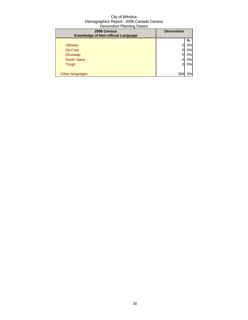| 2006 Census<br>Knowledge of Non-official Language | <b>Devonshire</b> |    |
|---------------------------------------------------|-------------------|----|
|                                                   |                   | %  |
| Ojibway                                           |                   | 0% |
| Oji-Cree                                          |                   | 0% |
| Shuswap                                           |                   | 0% |
| <b>South Slave</b>                                |                   | 0% |
| <b>Tlingit</b>                                    | 0                 | 0% |
|                                                   |                   |    |
| Other languages                                   | 269               | 3% |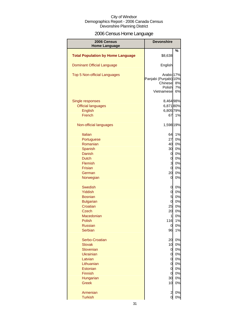## 2006 Census Home Language

| 2006 Census                              | <b>Devonshire</b>                                                                 |                |
|------------------------------------------|-----------------------------------------------------------------------------------|----------------|
| <b>Home Language</b>                     |                                                                                   |                |
| <b>Total Population by Home Language</b> | \$8,638                                                                           | %              |
| <b>Dominant Official Language</b>        | English                                                                           |                |
| Top 5 Non-official Languages             | Arabic <sub>17%</sub><br>Panjabi (Punjabi) 10%<br>Chinese<br>Polish<br>Vietnamese | 8%<br>7%<br>6% |
| Single responses                         | 8,464 98%                                                                         |                |
| <b>Official languages</b>                | 6,87180%                                                                          |                |
| English                                  | 6,805 79%                                                                         |                |
| French                                   | 67                                                                                | 1%             |
|                                          |                                                                                   |                |
| Non-official languages                   | 1,598 19%                                                                         |                |
| Italian                                  | 64                                                                                | 1%             |
| Portuguese                               | 27                                                                                | 0%             |
| Romanian                                 | 40                                                                                | 0%             |
| Spanish                                  | 30                                                                                | 0%             |
| Danish                                   | 0                                                                                 | 0%             |
| <b>Dutch</b>                             | 0                                                                                 | 0%             |
| Flemish                                  | $\overline{3}$                                                                    | 0%             |
| <b>Frisian</b>                           | $\overline{0}$                                                                    | 0%             |
| German                                   | 20                                                                                | 0%             |
| Norwegian                                | 0                                                                                 | 0%             |
| <b>Swedish</b>                           | 0                                                                                 | 0%             |
| <b>Yiddish</b>                           | $\overline{0}$                                                                    | 0%             |
| <b>Bosnian</b>                           | 5 <sup>1</sup>                                                                    | 0%             |
| <b>Bulgarian</b>                         | $\overline{0}$                                                                    | 0%             |
| Croatian                                 | 25                                                                                | 0%             |
| Czech                                    | 20                                                                                | 0%             |
| Macedonian                               | 1                                                                                 | 0%             |
| Polish                                   | 116                                                                               | 1%             |
| <b>Russian</b>                           | $\overline{0}$                                                                    | 0%             |
| Serbian                                  | 96                                                                                | 1%             |
| Serbo-Croatian                           | 20                                                                                | 0%             |
| <b>Slovak</b>                            | 10                                                                                | 0%             |
| Slovenian                                | $\overline{0}$                                                                    | 0%             |
| <b>Ukrainian</b>                         | $\mathbf 0$                                                                       | 0%             |
| Latvian                                  | $\mathbf 0$                                                                       | 0%             |
| Lithuanian                               | $\overline{0}$                                                                    | 0%             |
| Estonian                                 | $\overline{0}$                                                                    | 0%             |
| <b>Finnish</b>                           | $\overline{0}$                                                                    | 0%             |
| Hungarian                                | 30                                                                                | 0%             |
| <b>Greek</b>                             | 10                                                                                | 0%             |
| Armenian                                 | $\overline{c}$                                                                    | 0%             |
| <b>Turkish</b>                           | $\overline{0}$                                                                    | $0\%$          |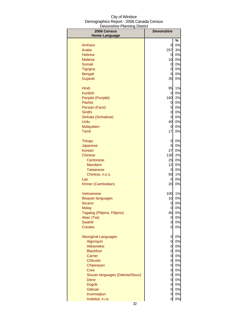| 2006 Census                     | <b>Devonshire</b> |       |
|---------------------------------|-------------------|-------|
| <b>Home Language</b>            |                   |       |
|                                 |                   | %     |
| Amharic                         | 0                 | 0%    |
| Arabic                          | 257               | 3%    |
| <b>Hebrew</b>                   | 0                 | 0%    |
| <b>Maltese</b>                  | 10                | 0%    |
| Somali                          | 0                 | 0%    |
| Tigrigna                        | 0                 | 0%    |
| <b>Bengali</b>                  | 0                 | 0%    |
| Gujarati                        | 35                | 0%    |
| Hindi                           | 95                | 1%    |
| <b>Kurdish</b>                  | 0                 | 0%    |
| Panjabi (Punjabi)               | 160               | 2%    |
| Pashto                          | 0                 | 0%    |
| Persian (Farsi)                 | 5                 | 0%    |
| Sindhi                          | 0                 | 0%    |
| Sinhala (Sinhalese)             | 0                 | 0%    |
| Urdu                            | 40                | 0%    |
| Malayalam                       | 0                 | 0%    |
| Tamil                           | 17                | 0%    |
| <b>Telugu</b>                   | 0                 | 0%    |
| Japanese                        | 0                 | 0%    |
| Korean                          | 27                | 0%    |
| Chinese                         | 130               | 2%    |
| Cantonese                       | 25                | 0%    |
| <b>Mandarin</b>                 | 12                | 0%    |
| <b>Taiwanese</b>                | 0                 | 0%    |
| Chinese, n.o.s.                 | 93                | $1\%$ |
| Lao                             | 0                 | 0%    |
| Khmer (Cambodian)               | 20                | 0%    |
| Vietnamese                      | 100               | 1%    |
| <b>Bisayan languages</b>        | 10                | 0%    |
| <b>Ilocano</b>                  | 0                 | 0%    |
| <b>Malay</b>                    | 0                 | 0%    |
| Tagalog (Pilipino, Filipino)    | 40                | 0%    |
| Akan (Twi)                      | 0                 | 0%    |
| Swahili                         | 0                 | $0\%$ |
| <b>Creoles</b>                  | 0                 | 0%    |
| <b>Aboriginal Languages</b>     | $\mathbf 0$       | 0%    |
| Algonquin                       | 0                 | 0%    |
| Atikamekw                       | $\mathbf 0$       | 0%    |
| <b>Blackfoot</b>                | 0                 | 0%    |
| Carrier                         | 0                 | 0%    |
| Chilcotin                       | 0                 | 0%    |
| Chipewyan                       | 0                 | 0%    |
| <b>Cree</b>                     | 0                 | 0%    |
| Siouan languages (Dakota/Sioux) | 0                 | 0%    |
| Dene                            | 0                 | 0%    |
| <b>Dogrib</b>                   | 0                 | $0\%$ |
| Gitksan                         | 0                 | 0%    |
| Inuinnaqtun                     | 0                 | 0%    |
| Inuktitut, n.i.e.               | 0                 | 0%    |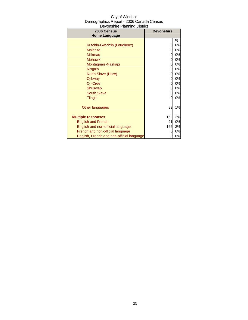| City of Windsor                          |
|------------------------------------------|
| Demographics Report - 2006 Canada Census |
| Devonshire Planning District             |

| $\sim$ . $\sim$ . $\sim$ . $\sim$ . $\sim$ . $\sim$ . $\sim$ . $\sim$ . $\sim$ . $\sim$ . $\sim$ . $\sim$ . $\sim$ . $\sim$ . $\sim$ . $\sim$ . $\sim$ . $\sim$ . $\sim$ . $\sim$ . $\sim$ . $\sim$ . $\sim$ . $\sim$ . $\sim$ . $\sim$ . $\sim$ . $\sim$ . $\sim$ . $\sim$ . $\sim$ . $\sim$<br>2006 Census | <b>Devonshire</b> |    |
|--------------------------------------------------------------------------------------------------------------------------------------------------------------------------------------------------------------------------------------------------------------------------------------------------------------|-------------------|----|
| <b>Home Language</b>                                                                                                                                                                                                                                                                                         |                   |    |
|                                                                                                                                                                                                                                                                                                              |                   | %  |
| Kutchin-Gwich'in (Loucheux)                                                                                                                                                                                                                                                                                  | 0                 | 0% |
| <b>Malecite</b>                                                                                                                                                                                                                                                                                              | 0                 | 0% |
| Mi'kmaq                                                                                                                                                                                                                                                                                                      | 0                 | 0% |
| <b>Mohawk</b>                                                                                                                                                                                                                                                                                                | 0                 | 0% |
| Montagnais-Naskapi                                                                                                                                                                                                                                                                                           | 0                 | 0% |
| Nisga'a                                                                                                                                                                                                                                                                                                      | 0                 | 0% |
| North Slave (Hare)                                                                                                                                                                                                                                                                                           | 0                 | 0% |
| Ojibway                                                                                                                                                                                                                                                                                                      | 0                 | 0% |
| Oji-Cree                                                                                                                                                                                                                                                                                                     | 0                 | 0% |
| Shuswap                                                                                                                                                                                                                                                                                                      | 0                 | 0% |
| <b>South Slave</b>                                                                                                                                                                                                                                                                                           | 0                 | 0% |
| <b>Tlingit</b>                                                                                                                                                                                                                                                                                               | 0                 | 0% |
|                                                                                                                                                                                                                                                                                                              |                   |    |
| Other languages                                                                                                                                                                                                                                                                                              | 89                | 1% |
|                                                                                                                                                                                                                                                                                                              |                   |    |
| <b>Multiple responses</b>                                                                                                                                                                                                                                                                                    | 169               | 2% |
| <b>English and French</b>                                                                                                                                                                                                                                                                                    | 21                | 0% |
| English and non-official language                                                                                                                                                                                                                                                                            | 166               | 2% |
| French and non-official language                                                                                                                                                                                                                                                                             | 0                 | 0% |
| English, French and non-official language                                                                                                                                                                                                                                                                    | 0                 | 0% |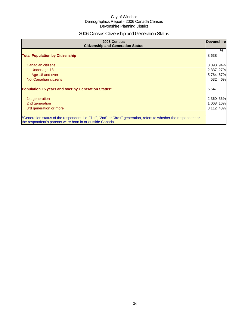## 2006 Census Citizenship and Generation Status

| 2006 Census<br><b>Citizenship and Generation Status</b>                                                                                                                       |                                              | <b>Devonshire</b> |  |
|-------------------------------------------------------------------------------------------------------------------------------------------------------------------------------|----------------------------------------------|-------------------|--|
| <b>Total Population by Citizenship</b>                                                                                                                                        | 8,638                                        | %                 |  |
| Canadian citizens<br>Under age 18<br>Age 18 and over<br>Not Canadian citizens                                                                                                 | 8,098 94%<br>2,337 27%<br>5,764 67%<br>532   | 6%                |  |
| Population 15 years and over by Generation Status*<br>1st generation<br>2nd generation<br>3rd generation or more                                                              | 6,547<br>2,360 36%<br>1,068 16%<br>3,112 48% |                   |  |
| *Generation status of the respondent, i.e. "1st", "2nd" or "3rd+" generation, refers to whether the respondent or<br>the respondent's parents were born in or outside Canada. |                                              |                   |  |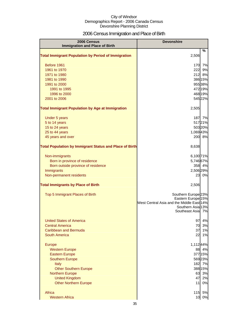## 2006 Census Immigration and Place of Birth

| 2006 Census<br><b>Immigration and Place of Birth</b>           | <b>Devonshire</b>                         |         |
|----------------------------------------------------------------|-------------------------------------------|---------|
|                                                                |                                           | %       |
| <b>Total Immigrant Population by Period of Immigration</b>     | 2,506                                     |         |
| Before 1961                                                    | 170                                       | 7%      |
| 1961 to 1970                                                   | 222                                       | 9%      |
| 1971 to 1980                                                   | 212                                       | 8%      |
| 1981 to 1990                                                   |                                           | 386 15% |
| 1991 to 2000                                                   |                                           | 955 38% |
| 1991 to 1995                                                   |                                           | 472 19% |
| 1996 to 2000                                                   |                                           | 468 19% |
| 2001 to 2006                                                   |                                           | 545 22% |
| <b>Total Immigrant Population by Age at Immigration</b>        | 2,505                                     |         |
| Under 5 years                                                  | 187                                       | 7%      |
| 5 to 14 years                                                  |                                           | 51721%  |
| 15 to 24 years                                                 |                                           | 503 20% |
| 25 to 44 years                                                 | 1,069 43%                                 |         |
| 45 years and over                                              |                                           | 200 8%  |
| <b>Total Population by Immigrant Status and Place of Birth</b> | 8,638                                     |         |
| Non-immigrants                                                 | 6,100 71%                                 |         |
| Born in province of residence                                  | 5,746 67%                                 |         |
| Born outside province of residence                             |                                           | 358 4%  |
| Immigrants                                                     | 2,506 29%                                 |         |
| Non-permanent residents                                        | 23                                        | 0%      |
| <b>Total Immigrants by Place of Birth</b>                      | 2,506                                     |         |
| Top 5 Immigrant Places of Birth                                | Southern Europe <sup>23%</sup>            |         |
|                                                                | Eastern Europe <sup>15%</sup>             |         |
|                                                                | West Central Asia and the Middle East 14% |         |
|                                                                | Southern Asia 13%<br>Southeast Asia 7%    |         |
|                                                                |                                           |         |
| <b>United States of America</b>                                | 97                                        | 4%      |
| <b>Central America</b>                                         | 70                                        | 3%      |
| Caribbean and Bermuda                                          | 37                                        | 1%      |
| <b>South America</b>                                           | 22                                        | 1%      |
| Europe                                                         | 1,112 44%                                 |         |
| <b>Western Europe</b>                                          |                                           | 88 4%   |
| <b>Eastern Europe</b>                                          |                                           | 377 15% |
| <b>Southern Europe</b>                                         |                                           | 56923%  |
| <b>Italy</b>                                                   | 182                                       | 7%      |
| <b>Other Southern Europe</b>                                   |                                           | 388 15% |
| <b>Northern Europe</b>                                         | 63                                        | 3%      |
| <b>United Kingdom</b>                                          | 47                                        | 2%      |
| <b>Other Northern Europe</b>                                   | 11                                        | 0%      |
| Africa                                                         | 115                                       | 5%      |
| <b>Western Africa</b>                                          | 10                                        | 0%      |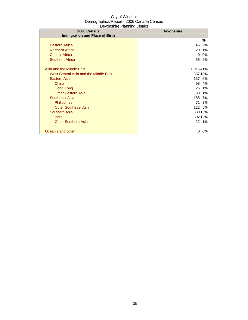| 2006 Census                           | <b>Devonshire</b> |         |
|---------------------------------------|-------------------|---------|
| <b>Immigration and Place of Birth</b> |                   |         |
|                                       |                   | %       |
| <b>Eastern Africa</b>                 | 45                | 2%      |
| <b>Northern Africa</b>                | 20                | 1%      |
| <b>Central Africa</b>                 | 0                 | 0%      |
| <b>Southern Africa</b>                | 55                | 2%      |
|                                       |                   |         |
| Asia and the Middle East              | 1,016 41%         |         |
| West Central Asia and the Middle East |                   | 337 13% |
| Eastern Asia                          | 157               | 6%      |
| China                                 | 98                | 4%      |
| Hong Kong                             | 26                | 1%      |
| <b>Other Eastern Asia</b>             | 33                | 1%      |
| <b>Southeast Asia</b>                 | 185               | 7%      |
| <b>Philippines</b>                    | 71                | 3%      |
| <b>Other Southeast Asia</b>           | 122               | 5%      |
| <b>Southern Asia</b>                  |                   | 330 13% |
| India                                 |                   | 302 12% |
| <b>Other Southern Asia</b>            | 22                | 1%      |
|                                       |                   |         |
| Oceania and other                     | 0                 | 0%      |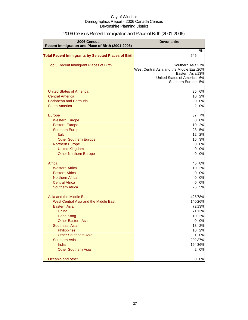| 2006 Census                                                                                                                                                                                                                                                                                                                                             | <b>Devonshire</b>                                                                                                                                                          |                                                                                              |
|---------------------------------------------------------------------------------------------------------------------------------------------------------------------------------------------------------------------------------------------------------------------------------------------------------------------------------------------------------|----------------------------------------------------------------------------------------------------------------------------------------------------------------------------|----------------------------------------------------------------------------------------------|
| Recent Immigration and Place of Birth (2001-2006)                                                                                                                                                                                                                                                                                                       |                                                                                                                                                                            |                                                                                              |
| <b>Total Recent Immigrants by Selected Places of Birth</b>                                                                                                                                                                                                                                                                                              | 545                                                                                                                                                                        | %                                                                                            |
| Top 5 Recent Immigrant Places of Birth                                                                                                                                                                                                                                                                                                                  | Southern Asia 37%<br>West Central Asia and the Middle East 26%<br>Eastern Asia 13%<br>United States of Americal<br>Southern Europe                                         | 6%<br>5%                                                                                     |
| <b>United States of America</b><br><b>Central America</b><br>Caribbean and Bermuda<br><b>South America</b>                                                                                                                                                                                                                                              | 35<br>10<br>$\overline{0}$<br>$\overline{2}$                                                                                                                               | 6%<br>2%<br>0%<br>0%                                                                         |
| Europe<br><b>Western Europe</b><br><b>Eastern Europe</b><br><b>Southern Europe</b><br>Italy<br><b>Other Southern Europe</b><br><b>Northern Europe</b><br><b>United Kingdom</b><br><b>Other Northern Europe</b><br>Africa<br><b>Western Africa</b><br><b>Eastern Africa</b><br><b>Northern Africa</b><br><b>Central Africa</b><br><b>Southern Africa</b> | 37<br>$\overline{0}$<br>10<br>28<br>12<br>16<br>$\overline{0}$<br>$\overline{0}$<br>$\overline{0}$<br>45<br>10<br>$\overline{0}$<br>$\overline{0}$<br>$\overline{0}$<br>25 | 7%<br>0%<br>2%<br>5%<br>2%<br>3%<br>0%<br>0%<br>0%<br>8%<br>2%<br>0%<br>0%<br>0%<br>5%       |
| Asia and the Middle East<br>West Central Asia and the Middle East<br><b>Eastern Asia</b><br>China<br><b>Hong Kong</b><br><b>Other Eastern Asia</b><br><b>Southeast Asia</b><br>Philippines<br><b>Other Southeast Asia</b><br><b>Southern Asia</b><br>India<br><b>Other Southern Asia</b>                                                                | 10<br>$\overline{0}$<br>13<br>10<br>$\mathbf{1}$<br>$\overline{2}$                                                                                                         | 42578%<br>140 26%<br>7213%<br>7113%<br>2%<br>0%<br>2%<br>2%<br>0%<br>202 37%<br>19436%<br>0% |
| Oceania and other                                                                                                                                                                                                                                                                                                                                       | 0                                                                                                                                                                          | 0%                                                                                           |

# 2006 Census Recent Immigration and Place of Birth (2001-2006)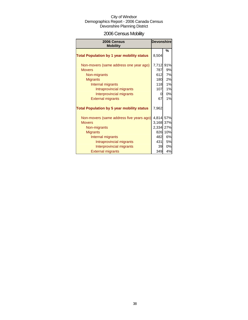# 2006 Census Mobility

| 2006 Census<br><b>Mobility</b>                          | <b>Devonshire</b> |          |
|---------------------------------------------------------|-------------------|----------|
| <b>Total Population by 1 year mobility status</b>       | 8,504             | %        |
| Non-movers (same address one year ago)<br><b>Movers</b> | 7,712 91%<br>787  | 9%       |
| Non-migrants                                            | 612               | 7%       |
| <b>Migrants</b><br>Internal migrants                    | 180<br>118        | 2%<br>1% |
| Intraprovincial migrants<br>Interprovincial migrants    | 107<br>0          | 1%<br>0% |
| <b>External migrants</b>                                | 67                | 1%       |
| <b>Total Population by 5 year mobility status</b>       | 7,962             |          |
| Non-movers (same address five years ago)                | 4,814 57%         |          |
| <b>Movers</b>                                           | 3,168 37%         |          |
| Non-migrants                                            | 2,334 27%         |          |
| <b>Migrants</b>                                         |                   | 826 10%  |
| Internal migrants                                       | 482               | 6%       |
| Intraprovincial migrants                                | 431I              | 5%       |
| Interprovincial migrants                                | 39                | 0%       |
| <b>External migrants</b>                                | 349               | 4%       |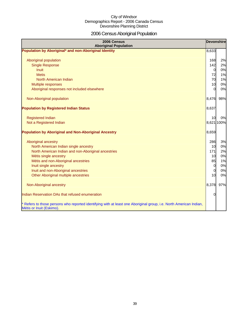# 2006 Census Aboriginal Population

| 2006 Census<br><b>Aboriginal Population</b>                                                                                                    | <b>Devonshire</b> |            |
|------------------------------------------------------------------------------------------------------------------------------------------------|-------------------|------------|
| Population by Aboriginal* and non-Aboriginal Identity                                                                                          | 8,633             |            |
|                                                                                                                                                |                   |            |
| Aboriginal population                                                                                                                          | 168               | 2%         |
| <b>Single Response</b>                                                                                                                         | 142               | 2%         |
| <b>Inuit</b>                                                                                                                                   | $\overline{0}$    | 0%         |
| <b>Metis</b>                                                                                                                                   | 72                | 1%         |
| North American Indian                                                                                                                          | 70                | 1%         |
| Multiple responses                                                                                                                             | 10                | 0%         |
| Aboriginal responses not included elsewhere                                                                                                    | $\Omega$          | 0%         |
| Non-Aboriginal population                                                                                                                      | 8,476             | 98%        |
| <b>Population by Registered Indian Status</b>                                                                                                  | 8,637             |            |
| <b>Registered Indian</b>                                                                                                                       | 10                | 0%         |
| Not a Registered Indian                                                                                                                        |                   | 8,621 100% |
|                                                                                                                                                |                   |            |
| <b>Population by Aboriginal and Non-Aboriginal Ancestry</b>                                                                                    | 8,659             |            |
| Aboriginal ancestry                                                                                                                            | 286               | 3%         |
| North American Indian single ancestry                                                                                                          | 10                | 0%         |
| North American Indian and non-Aboriginal ancestries                                                                                            | 171               | 2%         |
| Métis single ancestry                                                                                                                          | 10                | 0%         |
| Métis and non-Aboriginal ancestries                                                                                                            | 85                | 1%         |
| Inuit single ancestry                                                                                                                          | $\overline{0}$    | 0%         |
| Inuit and non-Aboriginal ancestries                                                                                                            | $\overline{0}$    | 0%         |
| Other Aboriginal multiple ancestries                                                                                                           | 10                | 0%         |
| Non-Aboriginal ancestry                                                                                                                        | 8,378             | 97%        |
| Indian Reservation DAs that refused enumeration                                                                                                | 0                 |            |
| * Refers to those persons who reported identifying with at least one Aboriginal group, i.e. North American Indian,<br>Métis or Inuit (Eskimo). |                   |            |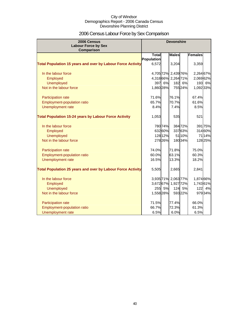# 2006 Census Labour Force by Sex Comparison

| 2006 Census<br><b>Labour Force by Sex</b>                          |              |         | <b>Devonshire</b>   |         |                |         |
|--------------------------------------------------------------------|--------------|---------|---------------------|---------|----------------|---------|
| <b>Comparison</b>                                                  |              |         |                     |         |                |         |
|                                                                    | <b>Total</b> |         | <b>Males</b>        |         | <b>Females</b> |         |
|                                                                    | Population   |         |                     |         |                |         |
| <b>Total Population 15 years and over by Labour Force Activity</b> | 6,572        |         | 3,204               |         | 3,359          |         |
| In the labour force                                                |              |         | 4,705 72% 2,439 76% |         | 2,264 67%      |         |
| Employed                                                           |              |         | 4,318 66% 2,264 71% |         | 2,06962%       |         |
| <b>Unemployed</b>                                                  | 397          | 6%      |                     | 182 6%  | 193            | 6%      |
| Not in the labour force                                            | 1,860 28%    |         |                     | 75524%  | 1,092 33%      |         |
| Participation rate                                                 | 71.6%        |         | 76.1%               |         | 67.4%          |         |
| Employment-population ratio                                        | 65.7%        |         | 70.7%               |         | 61.6%          |         |
| Unemployment rate                                                  | 8.4%         |         | 7.4%                |         | 8.5%           |         |
|                                                                    |              |         |                     |         |                |         |
| <b>Total Population 15-24 years by Labour Force Activity</b>       | 1,053        |         | 535                 |         | 521            |         |
| In the labour force                                                |              | 780 74% |                     | 38472%  |                | 391 75% |
| Employed                                                           |              | 632 60% |                     | 33763%  |                | 314 60% |
| <b>Unemployed</b>                                                  |              | 128 12% |                     | 51 10%  |                | 7114%   |
| Not in the labour force                                            |              | 278 26% |                     | 18034%  |                | 12825%  |
| Participation rate                                                 | 74.0%        |         | 71.8%               |         | 75.0%          |         |
| Employment-population ratio                                        | 60.0%        |         | 63.1%               |         | 60.3%          |         |
| Unemployment rate                                                  | 16.5%        |         | 13.3%               |         | 18.2%          |         |
|                                                                    |              |         |                     |         |                |         |
| <b>Total Population 25 years and over by Labour Force Activity</b> | 5,505        |         | 2,665               |         | 2,841          |         |
| In the labour force                                                |              |         | 3,935 71% 2,063 77% |         | 1,874 66%      |         |
| Employed                                                           |              |         | 3,67267% 1,92772%   |         | 1,74361%       |         |
| <b>Unemployed</b>                                                  |              | 255 5%  |                     | 124 5%  | 122            | 4%      |
| Not in the labour force                                            | 1,558 28%    |         |                     | 593 22% |                | 97934%  |
|                                                                    |              |         |                     |         |                |         |
| Participation rate                                                 | 71.5%        |         | 77.4%               |         | 66.0%          |         |
| <b>Employment-population ratio</b>                                 | 66.7%        |         | 72.3%               |         | 61.3%          |         |
| Unemployment rate                                                  | 6.5%         |         | 6.0%                |         | 6.5%           |         |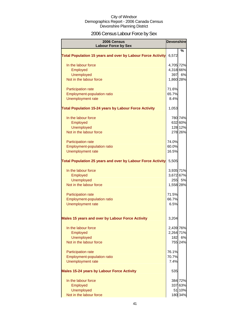# 2006 Census Labour Force by Sex

| 2006 Census<br><b>Labour Force by Sex</b>                          | <b>Devonshire</b> |         |
|--------------------------------------------------------------------|-------------------|---------|
|                                                                    |                   | %       |
| <b>Total Population 15 years and over by Labour Force Activity</b> | 6,572             |         |
| In the labour force                                                | 4,705 72%         |         |
| Employed                                                           | 4,318 66%         |         |
| <b>Unemployed</b>                                                  | 397               | 6%      |
| Not in the labour force                                            | 1,860 28%         |         |
| Participation rate                                                 | 71.6%             |         |
| Employment-population ratio                                        | 65.7%             |         |
| Unemployment rate                                                  | 8.4%              |         |
| <b>Total Population 15-24 years by Labour Force Activity</b>       | 1,053             |         |
| In the labour force                                                |                   | 780 74% |
| Employed                                                           |                   | 632 60% |
| <b>Unemployed</b>                                                  |                   | 128 12% |
| Not in the labour force                                            |                   | 278 26% |
| <b>Participation rate</b>                                          | 74.0%             |         |
| <b>Employment-population ratio</b>                                 | 60.0%             |         |
| Unemployment rate                                                  | 16.5%             |         |
| <b>Total Population 25 years and over by Labour Force Activity</b> | 5,505             |         |
| In the labour force                                                | 3,935 71%         |         |
| Employed                                                           | 3,672 67%         |         |
| <b>Unemployed</b>                                                  | 255               | 5%      |
| Not in the labour force                                            | 1,558 28%         |         |
| <b>Participation rate</b>                                          | 71.5%             |         |
| Employment-population ratio                                        | 66.7%             |         |
| <b>Unemployment rate</b>                                           | 6.5%              |         |
| Males 15 years and over by Labour Force Activity                   | 3,204             |         |
| In the labour force                                                | 2,439 76%         |         |
| Employed                                                           | 2,264 71%         |         |
| Unemployed                                                         | 182               | 6%      |
| Not in the labour force                                            |                   | 755 24% |
| Participation rate                                                 | 76.1%             |         |
| <b>Employment-population ratio</b>                                 | 70.7%             |         |
| Unemployment rate                                                  | 7.4%              |         |
| <b>Males 15-24 years by Labour Force Activity</b>                  | 535               |         |
| In the labour force                                                |                   | 384 72% |
| Employed                                                           |                   | 337 63% |
| Unemployed                                                         |                   | 51 10%  |
| Not in the labour force                                            |                   | 180 34% |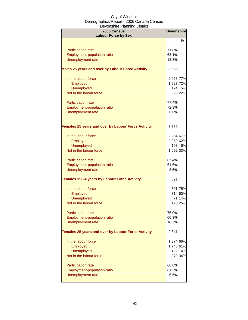| $-0.000$<br>2006 Census<br><b>Labour Force by Sex</b>     | <b>Devonshire</b> |         |
|-----------------------------------------------------------|-------------------|---------|
|                                                           |                   | %       |
|                                                           |                   |         |
| Participation rate<br><b>Employment-population ratio</b>  | 71.8%             |         |
| Unemployment rate                                         | 63.1%<br>13.3%    |         |
|                                                           |                   |         |
| Males 25 years and over by Labour Force Activity          | 2,665             |         |
| In the labour force                                       | 2,063 77%         |         |
| Employed                                                  | 1,927 72%         |         |
| Unemployed                                                | 124               | 5%      |
| Not in the labour force                                   |                   | 593 22% |
| Participation rate                                        | 77.4%             |         |
| Employment-population ratio                               | 72.3%             |         |
| Unemployment rate                                         | 6.0%              |         |
|                                                           |                   |         |
| <b>Females 15 years and over by Labour Force Activity</b> | 3,359             |         |
| In the labour force                                       | 2,264 67%         |         |
| Employed                                                  | 2,069 62%         |         |
| Unemployed                                                | 193               | 6%      |
| Not in the labour force                                   | 1,092 33%         |         |
|                                                           |                   |         |
| Participation rate                                        | 67.4%             |         |
| <b>Employment-population ratio</b>                        | 61.6%             |         |
| <b>Unemployment rate</b>                                  | 8.5%              |         |
| <b>Females 15-24 years by Labour Force Activity</b>       | 521               |         |
| In the labour force                                       |                   | 391 75% |
| Employed                                                  |                   | 314 60% |
| <b>Unemployed</b>                                         |                   | 71 14%  |
| Not in the labour force                                   |                   | 128 25% |
| <b>Participation rate</b>                                 | 75.0%             |         |
| <b>Employment-population ratio</b>                        | 60.3%             |         |
| Unemployment rate                                         | 18.2%             |         |
| Females 25 years and over by Labour Force Activity        | 2,841             |         |
|                                                           |                   |         |
| In the labour force                                       | 1,874 66%         |         |
| Employed                                                  | 1,743 61%         |         |
| Unemployed                                                | 122               | 4%      |
| Not in the labour force                                   |                   | 979 34% |
| <b>Participation rate</b>                                 | 66.0%             |         |
| <b>Employment-population ratio</b>                        | 61.3%             |         |
| <b>Unemployment rate</b>                                  | 6.5%              |         |
|                                                           |                   |         |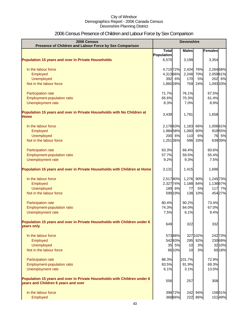# 2006 Census Presence of Children and Labour Force by Sex Comparison

| 2006 Census<br>Presence of Children and Labour Force by Sex Comparison                                          | <b>Devonshire</b> |         |              |          |                |
|-----------------------------------------------------------------------------------------------------------------|-------------------|---------|--------------|----------|----------------|
|                                                                                                                 | <b>Total</b>      |         | <b>Males</b> |          | <b>Females</b> |
|                                                                                                                 | Population        |         |              |          |                |
| <b>Population 15 years and over in Private Households</b>                                                       | 6,570             |         | 3,199        |          | 3,354          |
| In the labour force                                                                                             | 4,710 72%         |         | 2,434        | 76%      | 2,264 68%      |
| Employed                                                                                                        | 4,31366%          |         | 2,248        | 70%      | 2,05961%       |
| Unemployed                                                                                                      |                   | 392 6%  | 170          | 5%       | 202 6%         |
| Not in the labour force                                                                                         | 1,860 28%         |         | 759          | 24%      | 1,093 33%      |
| Participation rate                                                                                              | 71.7%             |         | 76.1%        |          | 67.5%          |
| Employment-population ratio                                                                                     | 65.6%             |         | 70.3%        |          | 61.4%          |
| Unemployment rate                                                                                               | 8.3%              |         | 7.0%         |          | 8.9%           |
| Population 15 years and over in Private Households with No Children at<br><b>Home</b>                           | 3,439             |         | 1,781        |          | 1,658          |
| In the labour force                                                                                             | 2,17863%          |         | 1,183        | 66%      | 1,006 61%      |
| Employed                                                                                                        | 1,98458%          |         | 1,060        | 60%      | 91955%         |
| <b>Unemployed</b>                                                                                               |                   | 200 6%  | 110          | 6%       | 76 5%          |
| Not in the labour force                                                                                         | 1,251 36%         |         | 596          | 33%      | 63939%         |
| Participation rate                                                                                              | 63.3%             |         | 66.4%        |          | 60.6%          |
| Employment-population ratio                                                                                     | 57.7%             |         | 59.5%        |          | 55.4%          |
| Unemployment rate                                                                                               | 9.2%              |         | 9.3%         |          | 7.5%           |
| Population 15 years and over in Private Households with Children at Home                                        | 3,131             |         | 1,415        |          | 1,696          |
| In the labour force                                                                                             | 2,51780%          |         | 1,276        | 90%      | 1,245 73%      |
| Employed                                                                                                        | 2,327 74%         |         | 1,188        | 84%      | 1,13667%       |
| <b>Unemployed</b>                                                                                               |                   | 189 6%  | 77           | 5%       | 117 7%         |
| Not in the labour force                                                                                         |                   | 599 19% | 138          | 10%      | 454 27%        |
| Participation rate                                                                                              | 80.4%             |         | 90.2%        |          | 73.4%          |
| <b>Employment-population ratio</b>                                                                              | 74.3%             |         | 84.0%        |          | 67.0%          |
| Unemployment rate                                                                                               | 7.5%              |         | 6.1%         |          | 9.4%           |
| Population 15 years and over in Private Households with Children under 6<br>years only                          | 649               |         | 322          |          | 332            |
| In the labour force                                                                                             |                   | 57388%  |              | 327 102% | 242 73%        |
| Employed                                                                                                        |                   | 54283%  | 295          | 92%      | 230 69%        |
| Unemployed                                                                                                      |                   | 35 5%   | 10           | 3%       | 3210%          |
| Not in the labour force                                                                                         |                   | 66 10%  | 10           | 3%       | 6018%          |
| Participation rate                                                                                              | 88.3%             |         | 101.7%       |          | 72.9%          |
| <b>Employment-population ratio</b>                                                                              | 83.5%             |         | 91.9%        |          | 69.3%          |
| Unemployment rate                                                                                               | 6.1%              |         | 3.1%         |          | 13.0%          |
| Population 15 years and over in Private Households with Children under 6<br>years and Children 6 years and over | 556               |         | 257          |          | 308            |
| In the labour force                                                                                             |                   | 398 72% | 242          | 94%      | 15651%         |
| Employed                                                                                                        |                   | 368 66% | 222          | 86%      | 15149%         |
|                                                                                                                 |                   |         |              |          |                |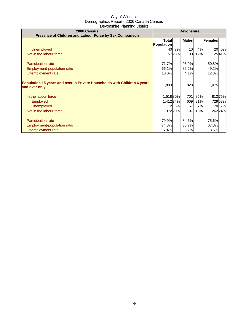| 2006 Census<br>Presence of Children and Labour Force by Sex Comparison                    | <b>Devonshire</b> |         |              |     |                |        |
|-------------------------------------------------------------------------------------------|-------------------|---------|--------------|-----|----------------|--------|
|                                                                                           | Total             |         | <b>Males</b> |     | <b>Females</b> |        |
|                                                                                           | Population        |         |              |     |                |        |
| <b>Unemployed</b>                                                                         | 40                | 7%      | 10           | 4%  | 20             | 6%     |
| Not in the labour force                                                                   |                   | 157 28% | 30           | 12% |                | 12541% |
|                                                                                           |                   |         |              |     |                |        |
| Participation rate                                                                        | 71.7%             |         | 93.9%        |     | 50.8%          |        |
| Employment-population ratio                                                               | 66.1%             |         | 86.2%        |     | 49.2%          |        |
| Unemployment rate                                                                         | 10.0%             |         | 4.1%         |     | 12.8%          |        |
| Population 15 years and over in Private Households with Children 6 years<br>and over only | 1,899             |         | 828          |     | 1,075          |        |
| In the labour force                                                                       | 1,518 80%         |         | 701          | 85% |                | 81276% |
| Employed                                                                                  | 1,412 74%         |         | 669          | 81% |                | 72968% |
| <b>Unemployed</b>                                                                         |                   | 112 6%  | 57           | 7%  | 70             | 7%     |
| Not in the labour force                                                                   |                   | 37220%  | 107l         | 13% |                | 26224% |
|                                                                                           |                   |         |              |     |                |        |
| <b>Participation rate</b>                                                                 | 79.9%             |         | 84.6%        |     | 75.6%          |        |
| Employment-population ratio                                                               | 74.3%             |         | 80.7%        |     | 67.8%          |        |
| Unemployment rate                                                                         | 7.4%              |         | 8.2%         |     | 8.6%           |        |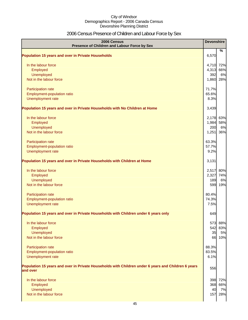# 2006 Census Presence of Children and Labour Force by Sex

| 2006 Census<br>Presence of Children and Labour Force by Sex                                                     | <b>Devonshire</b> |           |
|-----------------------------------------------------------------------------------------------------------------|-------------------|-----------|
| <b>Population 15 years and over in Private Households</b>                                                       | 6,570             | %         |
|                                                                                                                 |                   |           |
| In the labour force                                                                                             | 4,710             | 72%       |
| Employed                                                                                                        | 4,313             | 66%       |
| Unemployed                                                                                                      | 392               | 6%        |
| Not in the labour force                                                                                         | 1,860             | 28%       |
| Participation rate                                                                                              | 71.7%             |           |
| Employment-population ratio                                                                                     | 65.6%             |           |
| Unemployment rate                                                                                               | 8.3%              |           |
| Population 15 years and over in Private Households with No Children at Home                                     | 3,439             |           |
| In the labour force                                                                                             | 2,178             | 63%       |
| Employed                                                                                                        | 1,984             | 58%       |
| Unemployed                                                                                                      | 200               | 6%        |
| Not in the labour force                                                                                         | 1,251             | 36%       |
| Participation rate                                                                                              | 63.3%             |           |
| Employment-population ratio                                                                                     | 57.7%             |           |
| Unemployment rate                                                                                               | 9.2%              |           |
| Population 15 years and over in Private Households with Children at Home                                        | 3,131             |           |
| In the labour force                                                                                             | 2,517             | 80%       |
| Employed                                                                                                        | 2,327             | 74%       |
| Unemployed                                                                                                      | 189               | 6%        |
| Not in the labour force                                                                                         | 599               | 19%       |
| Participation rate                                                                                              | 80.4%             |           |
| Employment-population ratio                                                                                     | 74.3%             |           |
| Unemployment rate                                                                                               | 7.5%              |           |
| Population 15 years and over in Private Households with Children under 6 years only                             | 649               |           |
| In the labour force                                                                                             | 573               | 88%       |
| Employed                                                                                                        | 542               | 83%       |
| Unemployed                                                                                                      | 35                | 5%        |
| Not in the labour force                                                                                         | 66                | 10%       |
| Participation rate                                                                                              | 88.3%             |           |
| Employment-population ratio                                                                                     | 83.5%             |           |
| Unemployment rate                                                                                               | 6.1%              |           |
| Population 15 years and over in Private Households with Children under 6 years and Children 6 years<br>and over | 556               |           |
| In the labour force                                                                                             |                   |           |
|                                                                                                                 | 398               | 72%       |
| Employed                                                                                                        | 368<br>40         | 66%<br>7% |
| Unemployed<br>Not in the labour force                                                                           | 157               | 28%       |
|                                                                                                                 |                   |           |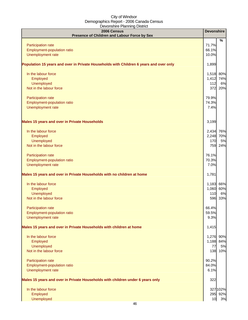| 2006 Census<br>Presence of Children and Labour Force by Sex                            | <b>Devonshire</b> |           |
|----------------------------------------------------------------------------------------|-------------------|-----------|
|                                                                                        |                   | %         |
| Participation rate                                                                     | 71.7%             |           |
| Employment-population ratio                                                            | 66.1%             |           |
| Unemployment rate                                                                      | 10.0%             |           |
| Population 15 years and over in Private Households with Children 6 years and over only | 1,899             |           |
| In the labour force                                                                    | 1,518             | 80%       |
| Employed                                                                               | 1,412 74%         |           |
| Unemployed                                                                             | 112               | 6%        |
| Not in the labour force                                                                | 372               | 20%       |
| Participation rate                                                                     | 79.9%             |           |
| Employment-population ratio                                                            | 74.3%             |           |
| Unemployment rate                                                                      | 7.4%              |           |
| <b>Males 15 years and over in Private Households</b>                                   | 3,199             |           |
| In the labour force                                                                    | 2,434 76%         |           |
| Employed                                                                               | 2,248 70%         |           |
| Unemployed                                                                             | 170               | 5%        |
| Not in the labour force                                                                | 759               | 24%       |
| Participation rate                                                                     | 76.1%             |           |
| Employment-population ratio                                                            | 70.3%             |           |
| Unemployment rate                                                                      | 7.0%              |           |
| Males 15 years and over in Private Households with no children at home                 | 1,781             |           |
| In the labour force                                                                    |                   | 1,183 66% |
| Employed                                                                               | 1,060             | 60%       |
| Unemployed                                                                             | 110               | 6%        |
| Not in the labour force                                                                |                   | 596 33%   |
| <b>Participation rate</b>                                                              | 66.4%             |           |
| Employment-population ratio                                                            | 59.5%             |           |
| Unemployment rate                                                                      | 9.3%              |           |
| Males 15 years and over in Private Households with children at home                    | 1,415             |           |
| In the labour force                                                                    | 1,276             | 90%       |
| Employed                                                                               | 1,188             | 84%       |
| Unemployed                                                                             | 77                | 5%        |
| Not in the labour force                                                                | 138               | 10%       |
| Participation rate                                                                     | 90.2%             |           |
| Employment-population ratio                                                            | 84.0%             |           |
| Unemployment rate                                                                      | 6.1%              |           |
| Males 15 years and over in Private Households with children under 6 years only         | 322               |           |
| In the labour force                                                                    |                   | 327 102%  |
| Employed                                                                               |                   | 295 92%   |
| Unemployed                                                                             | 10                | 3%        |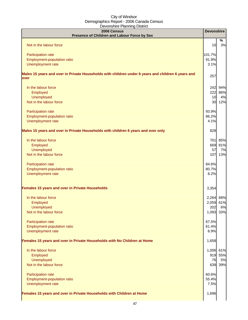| 2006 Census<br>Presence of Children and Labour Force by Sex                                                | <b>Devonshire</b> |         |
|------------------------------------------------------------------------------------------------------------|-------------------|---------|
| Not in the labour force                                                                                    | 10                | %<br>3% |
|                                                                                                            |                   |         |
| Participation rate                                                                                         | 101.7%            |         |
| Employment-population ratio                                                                                | 91.9%             |         |
| Unemployment rate                                                                                          | 3.1%              |         |
| Males 15 years and over in Private Households with children under 6 years and children 6 years and<br>over | 257               |         |
| In the labour force                                                                                        | 242               | 94%     |
| Employed                                                                                                   | 222               | 86%     |
| <b>Unemployed</b>                                                                                          | 10                | 4%      |
| Not in the labour force                                                                                    | 30                | 12%     |
| Participation rate                                                                                         | 93.9%             |         |
| Employment-population ratio                                                                                | 86.2%             |         |
| Unemployment rate                                                                                          | 4.1%              |         |
| Males 15 years and over in Private Households with children 6 years and over only                          | 828               |         |
|                                                                                                            |                   |         |
| In the labour force                                                                                        | <b>701</b>        | 85%     |
| Employed                                                                                                   | 669               | 81%     |
| <b>Unemployed</b>                                                                                          | 57                | 7%      |
| Not in the labour force                                                                                    | 107               | 13%     |
| Participation rate                                                                                         | 84.6%             |         |
| Employment-population ratio                                                                                | 80.7%             |         |
| Unemployment rate                                                                                          | 8.2%              |         |
| Females 15 years and over in Private Households                                                            | 3,354             |         |
|                                                                                                            |                   |         |
| In the labour force                                                                                        | 2,264             | 68%     |
| Employed                                                                                                   | 2,059             | 61%     |
| <b>Unemployed</b>                                                                                          | 202               | 6%      |
| Not in the labour force                                                                                    | 1,093 33%         |         |
| Participation rate                                                                                         | 67.5%             |         |
| Employment-population ratio                                                                                | 61.4%             |         |
| Unemployment rate                                                                                          | 8.9%              |         |
| Females 15 years and over in Private Households with No Children at Home                                   | 1,658             |         |
| In the labour force                                                                                        | 1,006 61%         |         |
| Employed                                                                                                   |                   | 919 55% |
| <b>Unemployed</b>                                                                                          | 76                | 5%      |
| Not in the labour force                                                                                    | 639               | 39%     |
| Participation rate                                                                                         | 60.6%             |         |
| Employment-population ratio                                                                                | 55.4%             |         |
| Unemployment rate                                                                                          | 7.5%              |         |
|                                                                                                            |                   |         |
| Females 15 years and over in Private Households with Children at Home                                      | 1,696             |         |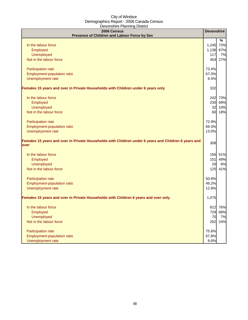| 2006 Census<br>Presence of Children and Labour Force by Sex                                                  | <b>Devonshire</b> |         |
|--------------------------------------------------------------------------------------------------------------|-------------------|---------|
|                                                                                                              |                   | %       |
| In the labour force                                                                                          | 1,245             | 73%     |
| Employed                                                                                                     | 1,136 67%         |         |
| Unemployed                                                                                                   | 117               | 7%      |
| Not in the labour force                                                                                      | 454               | 27%     |
|                                                                                                              |                   |         |
| Participation rate                                                                                           | 73.4%             |         |
| Employment-population ratio                                                                                  | 67.0%             |         |
| Unemployment rate                                                                                            | 9.4%              |         |
| Females 15 years and over in Private Households with Children under 6 years only                             | 332               |         |
| In the labour force                                                                                          |                   | 242 73% |
| Employed                                                                                                     | 230               | 69%     |
| <b>Unemployed</b>                                                                                            | 32                | 10%     |
| Not in the labour force                                                                                      | 60                | 18%     |
| Participation rate                                                                                           | 72.9%             |         |
| Employment-population ratio                                                                                  | 69.3%             |         |
| Unemployment rate                                                                                            | 13.0%             |         |
| Females 15 years and over in Private Households with Children under 6 years and Children 6 years and<br>over | 308               |         |
| In the labour force                                                                                          | 156               | 51%     |
| Employed                                                                                                     | 151               | 49%     |
| <b>Unemployed</b>                                                                                            | 20                | 6%      |
| Not in the labour force                                                                                      | 125               | 41%     |
| Participation rate                                                                                           | 50.8%             |         |
| Employment-population ratio                                                                                  | 49.2%             |         |
| Unemployment rate                                                                                            | 12.8%             |         |
| Females 15 years and over in Private Households with Children 6 years and over only                          | 1,075             |         |
| In the labour force                                                                                          |                   | 812 76% |
| Employed                                                                                                     | 729               | 68%     |
| <b>Unemployed</b>                                                                                            | 70                | 7%      |
| Not in the labour force                                                                                      | 262               | 24%     |
| Participation rate                                                                                           | 75.6%             |         |
| Employment-population ratio                                                                                  | 67.8%             |         |
| Unemployment rate                                                                                            | 8.6%              |         |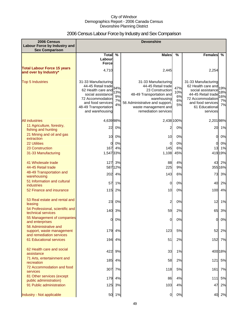# 2006 Census Labour Force by Industry and Sex Comparison

| 2006 Census<br><b>Labour Force by Industry and</b><br><b>Sex Comparison</b>    | <b>Devonshire</b>                                                                                                                                                            |                       |                                                                                                                                                                                           |                              |                                                                                                                                                             |                               |
|--------------------------------------------------------------------------------|------------------------------------------------------------------------------------------------------------------------------------------------------------------------------|-----------------------|-------------------------------------------------------------------------------------------------------------------------------------------------------------------------------------------|------------------------------|-------------------------------------------------------------------------------------------------------------------------------------------------------------|-------------------------------|
|                                                                                | Total $\overline{\%}$                                                                                                                                                        |                       | <b>Males</b>                                                                                                                                                                              | $\frac{0}{0}$                | <b>Females</b>                                                                                                                                              | %                             |
|                                                                                | Labour<br><b>Force</b>                                                                                                                                                       |                       |                                                                                                                                                                                           |                              |                                                                                                                                                             |                               |
| <b>Total Labour Force 15 years</b><br>and over by Industry*                    | 4,710                                                                                                                                                                        |                       | 2,445                                                                                                                                                                                     |                              | 2,254                                                                                                                                                       |                               |
| <b>Top 5 Industries</b>                                                        | 31-33 Manufacturing<br>44-45 Retail trade 34%<br>62 Health care and<br>social assistance<br>72 Accommodation<br>and food services<br>48-49 Transportation<br>and warehousing | 13%<br>9%<br>7%<br>4% | 31-33 Manufacturing<br>44-45 Retail trade<br>23 Construction<br>48-49 Transportation and<br>warehousing<br>56 Administrative and support,<br>waste management and<br>remediation services | 47%<br>10%<br>6%<br>6%<br>5% | 31-33 Manufacturing<br>62 Health care and<br>social assistance<br>44-45 Retail trade<br>72 Accommodation<br>and food services<br>61 Educational<br>services | 19%<br>18%<br>16%<br>7%<br>7% |
| <b>All industries</b>                                                          | 4,63998%                                                                                                                                                                     |                       | 2,438 100%                                                                                                                                                                                |                              | 2,20198%                                                                                                                                                    |                               |
| 11 Agriculture, forestry,<br>fishing and hunting                               | 22                                                                                                                                                                           | 0%                    | 2                                                                                                                                                                                         | 0%                           |                                                                                                                                                             | 20 1%                         |
| 21 Mining and oil and gas<br>extraction                                        | 10                                                                                                                                                                           | 0%                    | 10                                                                                                                                                                                        | 0%                           | 0                                                                                                                                                           | 0%                            |
| 22 Utilities                                                                   | <sub>O</sub>                                                                                                                                                                 | 0%                    | $\Omega$                                                                                                                                                                                  | 0%                           | $\Omega$                                                                                                                                                    | 0%                            |
| 23 Construction                                                                | 167                                                                                                                                                                          | 4%                    | 145                                                                                                                                                                                       | 6%                           | 13                                                                                                                                                          | 1%                            |
| 31-33 Manufacturing                                                            | 1,547 33%                                                                                                                                                                    |                       | 1,108                                                                                                                                                                                     | 45%                          |                                                                                                                                                             | 419 19%                       |
| 41 Wholesale trade<br>44-45 Retail trade                                       |                                                                                                                                                                              | 127 3%<br>587 12%     | 88<br>225                                                                                                                                                                                 | 4%<br>9%                     | 43                                                                                                                                                          | 2%<br>355 16%                 |
| 48-49 Transportation and<br>warehousing                                        | 202                                                                                                                                                                          | 4%                    | 143                                                                                                                                                                                       | 6%                           | 73                                                                                                                                                          | 3%                            |
| 51 Information and cultural<br><b>industries</b>                               | 57                                                                                                                                                                           | 1%                    | $\mathbf 0$                                                                                                                                                                               | 0%                           | 40                                                                                                                                                          | 2%                            |
| 52 Finance and insurance                                                       | 115                                                                                                                                                                          | 2%                    | 10                                                                                                                                                                                        | 0%                           | 100                                                                                                                                                         | 4%                            |
| 53 Real estate and rental and<br>leasing                                       | 23                                                                                                                                                                           | 0%                    | 2                                                                                                                                                                                         | 0%                           | 12                                                                                                                                                          | 1%                            |
| 54 Professional, scientific and<br>technical services                          |                                                                                                                                                                              | 140 3%                | 59                                                                                                                                                                                        | 2%                           | 65                                                                                                                                                          | 3%                            |
| 55 Management of companies<br>and enterprises                                  | $\overline{a}$                                                                                                                                                               | 0%                    | 0                                                                                                                                                                                         | 0%                           | 0I                                                                                                                                                          | 0%                            |
| 56 Administrative and<br>support, waste management<br>and remediation services | 179                                                                                                                                                                          | 4%                    | 123                                                                                                                                                                                       | 5%                           | 52                                                                                                                                                          | 2%                            |
| <b>61 Educational services</b>                                                 |                                                                                                                                                                              | 194 4%                | 51                                                                                                                                                                                        | 2%                           | 152                                                                                                                                                         | 7%                            |
| 62 Health care and social<br>assistance                                        | 422                                                                                                                                                                          | 9%                    | 33                                                                                                                                                                                        | 1%                           |                                                                                                                                                             | 400 18%                       |
| 71 Arts, entertainment and<br>recreation                                       | 185                                                                                                                                                                          | 4%                    | 58                                                                                                                                                                                        | 2%                           | 121                                                                                                                                                         | 5%                            |
| 72 Accommodation and food<br>services                                          | 307                                                                                                                                                                          | 7%                    | 118                                                                                                                                                                                       | 5%                           | 161                                                                                                                                                         | 7%                            |
| 81 Other services (except<br>public administration)                            | 179                                                                                                                                                                          | 4%                    | 86                                                                                                                                                                                        | 4%                           | 111                                                                                                                                                         | 5%                            |
| 91 Public administration                                                       | 125                                                                                                                                                                          | 3%                    | 103                                                                                                                                                                                       | 4%                           | 47                                                                                                                                                          | 2%                            |
| Industry - Not applicable                                                      |                                                                                                                                                                              | 50 1%                 | $\overline{0}$                                                                                                                                                                            | 0%                           |                                                                                                                                                             | 40 2%                         |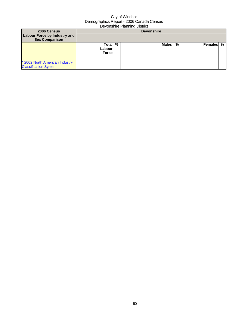| 2006 Census<br>Labour Force by Industry and<br><b>Sex Comparison</b> | <b>Devonshire</b>            |  |        |   |           |  |
|----------------------------------------------------------------------|------------------------------|--|--------|---|-----------|--|
| * 2002 North American Industry<br><b>Classification System</b>       | Total %<br>Labourl<br>Forcel |  | Malesl | % | Females % |  |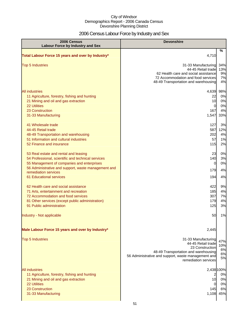# 2006 Census Labour Force by Industry and Sex

| 2006 Census<br><b>Labour Force by Industry and Sex</b>                                                                                                                                                                                                     | <b>Devonshire</b>                                                                                                                                                                   |                                    |
|------------------------------------------------------------------------------------------------------------------------------------------------------------------------------------------------------------------------------------------------------------|-------------------------------------------------------------------------------------------------------------------------------------------------------------------------------------|------------------------------------|
| Total Labour Force 15 years and over by Industry*                                                                                                                                                                                                          | 4,710                                                                                                                                                                               | %                                  |
| <b>Top 5 Industries</b>                                                                                                                                                                                                                                    | 31-33 Manufacturing<br>44-45 Retail trade<br>62 Health care and social assistance<br>72 Accommodation and food services<br>48-49 Transportation and warehousing                     | 34%<br>13%<br>9%<br>7%<br>4%       |
| <b>All industries</b><br>11 Agriculture, forestry, fishing and hunting<br>21 Mining and oil and gas extraction<br><b>22 Utilities</b><br>23 Construction<br>31-33 Manufacturing                                                                            | 4,639<br>22<br>10<br>0<br>167<br>1,547                                                                                                                                              | 98%<br>0%<br>0%<br>0%<br>4%<br>33% |
| 41 Wholesale trade<br>44-45 Retail trade<br>48-49 Transportation and warehousing<br>51 Information and cultural industries<br>52 Finance and insurance                                                                                                     | 127<br>587<br>202<br>57<br>115                                                                                                                                                      | 3%<br>12%<br>4%<br>1%<br>2%        |
| 53 Real estate and rental and leasing<br>54 Professional, scientific and technical services<br>55 Management of companies and enterprises<br>56 Administrative and support, waste management and<br>remediation services<br><b>61 Educational services</b> | 23<br>140<br>0<br>179<br>194                                                                                                                                                        | 0%<br>3%<br>0%<br>4%<br>4%         |
| 62 Health care and social assistance<br>71 Arts, entertainment and recreation<br>72 Accommodation and food services<br>81 Other services (except public administration)<br>91 Public administration                                                        | 422<br>185<br>307<br>179<br>125                                                                                                                                                     | 9%<br>4%<br>7%<br>4%<br>3%         |
| Industry - Not applicable                                                                                                                                                                                                                                  | 50                                                                                                                                                                                  | 1%                                 |
| Male Labour Force 15 years and over by Industry*                                                                                                                                                                                                           | 2,445                                                                                                                                                                               |                                    |
| <b>Top 5 Industries</b>                                                                                                                                                                                                                                    | 31-33 Manufacturing<br>44-45 Retail trade<br>23 Construction<br>48-49 Transportation and warehousing<br>56 Administrative and support, waste management and<br>remediation services | 47%<br>10%<br>6%<br>6%<br>5%       |
| <b>All industries</b><br>11 Agriculture, forestry, fishing and hunting<br>21 Mining and oil and gas extraction<br><b>22 Utilities</b><br>23 Construction<br>31-33 Manufacturing                                                                            | 2,438 100%<br>$\overline{2}$<br>10<br>0<br>145<br>1,108                                                                                                                             | 0%<br>0%<br>0%<br>6%<br>45%        |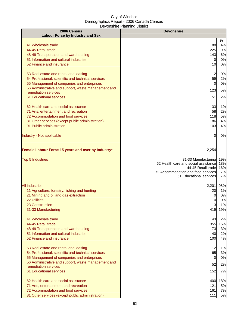| 2006 Census<br><b>Labour Force by Industry and Sex</b>                                                                                                                                                                                                     | <b>Devonshire</b>                                                                                                                                           |                                    |  |  |
|------------------------------------------------------------------------------------------------------------------------------------------------------------------------------------------------------------------------------------------------------------|-------------------------------------------------------------------------------------------------------------------------------------------------------------|------------------------------------|--|--|
| 41 Wholesale trade<br>44-45 Retail trade<br>48-49 Transportation and warehousing<br>51 Information and cultural industries<br>52 Finance and insurance                                                                                                     | 88<br>225<br>143<br>$\overline{0}$<br>10                                                                                                                    | %<br>4%<br>9%<br>6%<br>0%<br>0%    |  |  |
| 53 Real estate and rental and leasing<br>54 Professional, scientific and technical services<br>55 Management of companies and enterprises<br>56 Administrative and support, waste management and<br>remediation services<br>61 Educational services        | $\overline{\mathbf{c}}$<br>59<br>0<br>123<br>51                                                                                                             | 0%<br>2%<br>0%<br>5%<br>2%         |  |  |
| 62 Health care and social assistance<br>71 Arts, entertainment and recreation<br>72 Accommodation and food services<br>81 Other services (except public administration)<br>91 Public administration<br>Industry - Not applicable                           | 33<br>58<br>118<br>86<br>103<br>0                                                                                                                           | 1%<br>2%<br>5%<br>4%<br>4%<br>0%   |  |  |
| Female Labour Force 15 years and over by Industry*<br><b>Top 5 Industries</b>                                                                                                                                                                              | 2,254<br>31-33 Manufacturing<br>62 Health care and social assistance<br>44-45 Retail trade<br>72 Accommodation and food services<br>61 Educational services | 19%<br>18%<br>16%<br>7%<br>7%      |  |  |
| <b>All industries</b><br>11 Agriculture, forestry, fishing and hunting<br>21 Mining and oil and gas extraction<br>22 Utilities<br>23 Construction<br>31-33 Manufacturing                                                                                   | 2,201<br>20<br>0<br>0<br>13<br>419                                                                                                                          | 98%<br>1%<br>0%<br>0%<br>1%<br>19% |  |  |
| 41 Wholesale trade<br>44-45 Retail trade<br>48-49 Transportation and warehousing<br>51 Information and cultural industries<br>52 Finance and insurance                                                                                                     | 43<br>355<br>73<br>40<br>100                                                                                                                                | 2%<br>16%<br>3%<br>2%<br>4%        |  |  |
| 53 Real estate and rental and leasing<br>54 Professional, scientific and technical services<br>55 Management of companies and enterprises<br>56 Administrative and support, waste management and<br>remediation services<br><b>61 Educational services</b> | 12<br>65<br>$\overline{0}$<br>52<br>152                                                                                                                     | 1%<br>3%<br>0%<br>2%<br>7%         |  |  |
| 62 Health care and social assistance<br>71 Arts, entertainment and recreation<br>72 Accommodation and food services<br>81 Other services (except public administration)                                                                                    | 400<br>121<br>161<br>111                                                                                                                                    | 18%<br>5%<br>7%<br>5%              |  |  |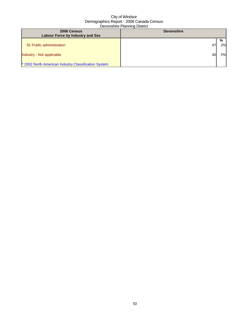| 2006 Census<br>Labour Force by Industry and Sex      | <b>Devonshire</b> |    |  |
|------------------------------------------------------|-------------------|----|--|
|                                                      |                   | %  |  |
| 91 Public administration                             | 47                | 2% |  |
| Industry - Not applicable                            | 40                | 2% |  |
| * 2002 North American Industry Classification System |                   |    |  |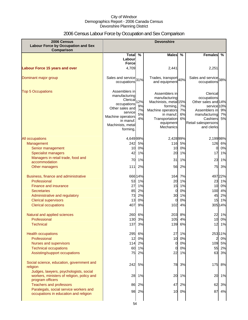# 2006 Census Labour Force by Occupation and Sex Comparison

| 2006 Census<br><b>Labour Force by Occupation and Sex</b><br><b>Comparison</b>                            | <b>Devonshire</b>                                                                                                                                                         |                      |                                                                                                                                                   |                      |                                                                                                                                                  |                |
|----------------------------------------------------------------------------------------------------------|---------------------------------------------------------------------------------------------------------------------------------------------------------------------------|----------------------|---------------------------------------------------------------------------------------------------------------------------------------------------|----------------------|--------------------------------------------------------------------------------------------------------------------------------------------------|----------------|
|                                                                                                          | <b>Total</b>                                                                                                                                                              | $\frac{0}{0}$        | <b>Males</b>                                                                                                                                      | %                    | <b>Females</b>                                                                                                                                   | %              |
|                                                                                                          | Labour                                                                                                                                                                    |                      |                                                                                                                                                   |                      |                                                                                                                                                  |                |
|                                                                                                          | <b>Force</b><br>4,709                                                                                                                                                     |                      | 2,441                                                                                                                                             |                      | 2,251                                                                                                                                            |                |
| <b>Labour Force 15 years and over</b>                                                                    |                                                                                                                                                                           |                      |                                                                                                                                                   |                      |                                                                                                                                                  |                |
| Dominant major group                                                                                     | Sales and service <sup>31%</sup><br>occupations                                                                                                                           |                      | Trades, transport 40%<br>and equipment                                                                                                            |                      | Sales and service 38%<br>occupations                                                                                                             |                |
| <b>Top 5 Occupations</b>                                                                                 | Assemblers in<br>manufacturing<br>Clerical <sub>12%</sub><br>occupations<br>Other sales and<br>service<br>Machine operators<br>in manuf.<br>Machinists, metal<br>forming, | 9%<br>7%<br>5%<br>4% | Assemblers in<br>manufacturing<br>Machinists, metal 15%<br>forming,<br>Machine operators<br>in manuf.<br>Transportation<br>equipment<br>Mechanics | 7%<br>7%<br>6%<br>6% | Clerical<br>occupations<br>Other sales and 14%<br>service 10%<br>Assemblers in<br>manufacturing<br>Cashiers<br>Retail salespersons<br>and clerks | 9%<br>7%<br>5% |
| All occupations                                                                                          | 4,649 99%                                                                                                                                                                 |                      | 2,428 99%                                                                                                                                         |                      | 2,19998%                                                                                                                                         |                |
| Management                                                                                               | 242                                                                                                                                                                       | 5%                   | 116                                                                                                                                               | 5%                   |                                                                                                                                                  | 126 6%         |
| Senior management                                                                                        | 10                                                                                                                                                                        | 0%                   | 10                                                                                                                                                | 0%                   | 0                                                                                                                                                | 0%             |
| <b>Specialist managers</b>                                                                               | 42                                                                                                                                                                        | 1%                   | 20                                                                                                                                                | 1%                   | 17                                                                                                                                               | 1%             |
| Managers in retail trade, food and                                                                       | 70                                                                                                                                                                        | 1%                   | 31                                                                                                                                                | 1%                   | 23                                                                                                                                               | 1%             |
| accommodation                                                                                            |                                                                                                                                                                           |                      |                                                                                                                                                   |                      |                                                                                                                                                  |                |
| Other managers                                                                                           | 111                                                                                                                                                                       | 2%                   | 56                                                                                                                                                | 2%                   | 75                                                                                                                                               | 3%             |
| Business, finance and administrative<br>Professional                                                     | 53<br>27                                                                                                                                                                  | 666 14%<br>1%<br>1%  | 164<br>20                                                                                                                                         | 7%<br>1%             | 23                                                                                                                                               | 49722%<br>1%   |
| Finance and insurance<br><b>Secretaries</b>                                                              | 85                                                                                                                                                                        | 2%                   | 15<br>0                                                                                                                                           | 1%<br>0%             | 10<br>100                                                                                                                                        | 0%<br>4%       |
| Administrative and regulatory                                                                            | 73                                                                                                                                                                        | 2%                   | 30                                                                                                                                                | 1%                   | 45                                                                                                                                               | 2%             |
| <b>Clerical supervisors</b>                                                                              | 13                                                                                                                                                                        | 0%                   | 0                                                                                                                                                 | 0%                   | 15                                                                                                                                               | 1%             |
| <b>Clerical occupations</b>                                                                              | 407                                                                                                                                                                       | 9%                   | 102                                                                                                                                               | 4%                   |                                                                                                                                                  | 30514%         |
|                                                                                                          |                                                                                                                                                                           |                      |                                                                                                                                                   |                      |                                                                                                                                                  |                |
| Natural and applied sciences<br>Professional                                                             | 260<br>1301                                                                                                                                                               | 6%<br>3%             | 203<br>105                                                                                                                                        | 8%<br>4%             | 10                                                                                                                                               | 22 1%<br>0%    |
| <b>Technical</b>                                                                                         | 137                                                                                                                                                                       | 3%                   | 139                                                                                                                                               | 6%                   |                                                                                                                                                  | 12 1%          |
|                                                                                                          |                                                                                                                                                                           |                      |                                                                                                                                                   |                      |                                                                                                                                                  |                |
| <b>Health occupations</b>                                                                                | 295                                                                                                                                                                       | 6%                   | 27                                                                                                                                                | 1%                   |                                                                                                                                                  | 25311%         |
| Professional                                                                                             | 12                                                                                                                                                                        | 0%                   | 10                                                                                                                                                | 0%                   | 2                                                                                                                                                | 0%             |
| Nurses and supervisors                                                                                   | 114                                                                                                                                                                       | 2%                   | 0                                                                                                                                                 | 0%                   |                                                                                                                                                  | 109 5%         |
| <b>Technical occupations</b>                                                                             | 60                                                                                                                                                                        | 1%                   | 0                                                                                                                                                 | 0%                   | 55                                                                                                                                               | 2%             |
| Assisting/support occupations                                                                            | 75                                                                                                                                                                        | 2%                   | 22                                                                                                                                                | 1%                   | 63                                                                                                                                               | 3%             |
| Social science, education, government and<br>religion                                                    | 242                                                                                                                                                                       | 5%                   | 78                                                                                                                                                | 3%                   | 175                                                                                                                                              | 8%             |
| Judges, lawyers, psychologists, social<br>workers, ministers of religion, policy and<br>program officers | 28                                                                                                                                                                        | 1%                   | 20                                                                                                                                                | 1%                   | 20                                                                                                                                               | 1%             |
| <b>Teachers and professors</b>                                                                           | 86                                                                                                                                                                        | 2%                   | 47                                                                                                                                                | 2%                   | 62                                                                                                                                               | 3%             |
| Paralegals, social service workers and                                                                   |                                                                                                                                                                           | 98 2%                | 10                                                                                                                                                | 0%                   | 87                                                                                                                                               | 4%             |
| occupations in education and religion                                                                    |                                                                                                                                                                           |                      |                                                                                                                                                   |                      |                                                                                                                                                  |                |
|                                                                                                          |                                                                                                                                                                           |                      |                                                                                                                                                   |                      |                                                                                                                                                  |                |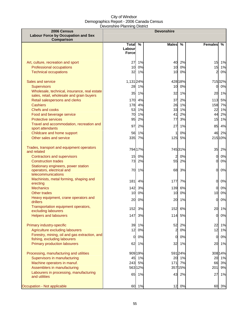| 2006 Census<br><b>Labour Force by Occupation and Sex</b><br>Comparison                         | <b>Devonshire</b>                   |                   |                |                |                            |                |
|------------------------------------------------------------------------------------------------|-------------------------------------|-------------------|----------------|----------------|----------------------------|----------------|
|                                                                                                | Total %<br>Labourl<br><b>Forcel</b> |                   | <b>Males</b>   | %              | <b>Females</b>             | %              |
| Art, culture, recreation and sport<br>Professional occupations<br><b>Technical occupations</b> | 27<br>10<br>32                      | 1%<br>0%<br>1%    | 40<br>10<br>10 | 2%<br>0%<br>0% | 15<br>15<br>$\overline{2}$ | 1%<br>1%<br>0% |
| Sales and service                                                                              | 1,131 24%                           |                   |                | 428 18%        |                            | 715 32%        |
| <b>Supervisors</b><br>Wholesale, technical, insurance, real estate                             | 28                                  | 1%                | 10             | 0%             | 0                          | 0%             |
| sales, retail, wholesale and grain buyers                                                      | 35                                  | 1%                | 32             | 1%             | 20                         | 1%             |
| Retail salespersons and clerks<br><b>Cashiers</b>                                              | 170<br>178                          | 4%<br>4%          | 37<br>26       | 2%<br>1%       | 113<br>158                 | 5%<br>7%       |
| <b>Chefs and cooks</b>                                                                         | 53                                  | 1%                | 33             | 1%             | 22                         | 1%             |
| Food and beverage service                                                                      | 70                                  | 1%                | 41             | 2%             | 44                         | 2%             |
| <b>Protective services</b>                                                                     | 95                                  | 2%                | 77             | 3%             | 15                         | 1%             |
| Travel and accommodation, recreation and<br>sport attendants                                   | 97                                  | 2%                | 27             | 1%             | 85                         | 4%             |
| Childcare and home support                                                                     | 56                                  | 1%                | 1              | 0%             | 46                         | 2%             |
| Other sales and service                                                                        | 335                                 | 7%                | 125            | 5%             | 215 10%                    |                |
| Trades, transport and equipment operators<br>and related                                       |                                     | 794 17%           |                | 745 31%        | 35                         | 2%             |
| <b>Contractors and supervisors</b>                                                             | 15                                  | 0%                | 2              | 0%             | $\overline{0}$             | 0%             |
| <b>Construction trades</b>                                                                     | 73                                  | 2%                | 55             | 2%             | $\Omega$                   | 0%             |
| Stationary engineers, power station<br>operators, electrical and<br>telecommunications         | 70                                  | 1%                | 68             | 3%             | $\mathbf{0}$               | 0%             |
| Machinists, metal forming, shaping and<br>erecting                                             | 181                                 | 4%                | 177            | 7%             | $\overline{0}$             | 0%             |
| <b>Mechanics</b>                                                                               | 142                                 | 3%                | 139            | 6%             | $\mathbf{0}$               | 0%             |
| <b>Other trades</b>                                                                            | 10 <sup>1</sup>                     | 0%                | 10             | 0%             | 10                         | 0%             |
| Heavy equipment, crane operators and<br>drillers                                               | 20                                  | 0%                | 20             | 1%             | $\Omega$                   | 0%             |
| Transportation equipment operators,<br>excluding labourers                                     |                                     | 152 3%            |                | 152 6%         |                            | 20 1%          |
| <b>Helpers and labourers</b>                                                                   | 147                                 | 3%                | 114            | 5%             | 0                          | 0%             |
| Primary industry-specific                                                                      | 39                                  | 1%                | 52             | 2%             | 22                         | 1%             |
| Agriculture excluding labourers                                                                | 12                                  | 0%                | $\overline{a}$ | 0%             | 12                         | 1%             |
| Forestry, mining, oil and gas extraction, and<br>fishing, excluding labourers                  | $\mathbf{0}$                        | 0%                | 0              | 0%             | $\overline{0}$             | 0%             |
| Primary production labourers                                                                   | 62                                  | 1%                |                | 32 1%          | 20                         | 1%             |
| Processing, manufacturing and utilities                                                        |                                     | 909 19%           |                | 591 24%        |                            | 308 14%        |
| Supervisors in manufacturing                                                                   |                                     | 45 1%             | 20             | 1%             | 20                         | 1%             |
| Machine operators in manuf.<br>Assemblers in manufacturing                                     |                                     | 243 5%<br>563 12% | 171            | 7%<br>357 15%  | 66<br>201                  | 3%<br>9%       |
| Labourers in processing, manufacturing<br>and utilities                                        | 65                                  | 1%                | 43             | 2%             | 27                         | 1%             |
| Occupation - Not applicable                                                                    | 60                                  | 1%                | 12             | 0%             | 60                         | 3%             |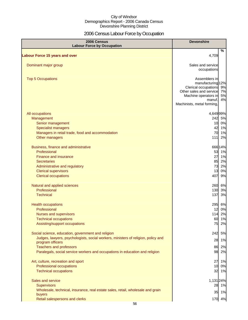# 2006 Census Labour Force by Occupation

| 2006 Census<br><b>Labour Force by Occupation</b>                                                      | <b>Devonshire</b>                                                                                                                                        |                |
|-------------------------------------------------------------------------------------------------------|----------------------------------------------------------------------------------------------------------------------------------------------------------|----------------|
| <b>Labour Force 15 years and over</b>                                                                 | 4,709                                                                                                                                                    | %              |
|                                                                                                       |                                                                                                                                                          |                |
| Dominant major group                                                                                  | Sales and service<br>occupations                                                                                                                         |                |
| <b>Top 5 Occupations</b>                                                                              | Assemblers in<br>manufacturing 12%<br>Clerical occupations 9%<br>Other sales and service<br>Machine operators in<br>manuf.<br>Machinists, metal forming, | 7%<br>5%<br>4% |
| All occupations                                                                                       | 4,649 99%                                                                                                                                                |                |
| Management                                                                                            | 242 5%                                                                                                                                                   |                |
| Senior management                                                                                     |                                                                                                                                                          | 10 0%          |
| <b>Specialist managers</b>                                                                            |                                                                                                                                                          | 42 1%          |
| Managers in retail trade, food and accommodation                                                      |                                                                                                                                                          | 70 1%          |
| Other managers                                                                                        | $111$                                                                                                                                                    | 2%             |
| Business, finance and administrative                                                                  | 66614%                                                                                                                                                   |                |
| Professional                                                                                          |                                                                                                                                                          | 53 1%          |
| <b>Finance and insurance</b>                                                                          |                                                                                                                                                          | 27 1%          |
| <b>Secretaries</b>                                                                                    | 85 2%                                                                                                                                                    |                |
| Administrative and regulatory                                                                         | 73                                                                                                                                                       | 2%             |
| <b>Clerical supervisors</b>                                                                           |                                                                                                                                                          | 13 0%          |
| <b>Clerical occupations</b>                                                                           | 407                                                                                                                                                      | 9%             |
| Natural and applied sciences                                                                          | 260 6%                                                                                                                                                   |                |
| Professional                                                                                          | 130 3%                                                                                                                                                   |                |
| <b>Technical</b>                                                                                      | 137                                                                                                                                                      | 3%             |
| <b>Health occupations</b>                                                                             | 295 6%                                                                                                                                                   |                |
| Professional                                                                                          |                                                                                                                                                          | 12 0%          |
| <b>Nurses and supervisors</b>                                                                         | 114 2%                                                                                                                                                   |                |
| <b>Technical occupations</b>                                                                          | 60                                                                                                                                                       | 1%             |
| Assisting/support occupations                                                                         | 75                                                                                                                                                       | 2%             |
| Social science, education, government and religion                                                    | 242                                                                                                                                                      | 5%             |
| Judges, lawyers, psychologists, social workers, ministers of religion, policy and<br>program officers | 28                                                                                                                                                       | 1%             |
| <b>Teachers and professors</b>                                                                        | 86                                                                                                                                                       | 2%             |
| Paralegals, social service workers and occupations in education and religion                          | 98 2%                                                                                                                                                    |                |
|                                                                                                       |                                                                                                                                                          |                |
| Art, culture, recreation and sport                                                                    | 27                                                                                                                                                       | 1%             |
| Professional occupations                                                                              | 10                                                                                                                                                       | 0%             |
| <b>Technical occupations</b>                                                                          |                                                                                                                                                          | 32 1%          |
| Sales and service                                                                                     | 1,131 24%                                                                                                                                                |                |
| <b>Supervisors</b>                                                                                    |                                                                                                                                                          | 28 1%          |
| Wholesale, technical, insurance, real estate sales, retail, wholesale and grain                       |                                                                                                                                                          |                |
| buyers                                                                                                |                                                                                                                                                          | 35 1%          |
| Retail salespersons and clerks                                                                        | 170 4%                                                                                                                                                   |                |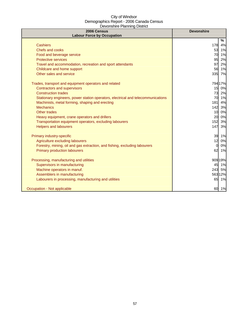| 2006 Census<br><b>Labour Force by Occupation</b>                                 | <b>Devonshire</b> |
|----------------------------------------------------------------------------------|-------------------|
|                                                                                  | %                 |
| <b>Cashiers</b>                                                                  | 178<br>4%         |
| Chefs and cooks                                                                  | 53 1%             |
| Food and beverage service                                                        | 70<br>1%          |
| <b>Protective services</b>                                                       | 95<br>2%          |
| Travel and accommodation, recreation and sport attendants                        | 2%<br>97          |
| Childcare and home support                                                       | 1%<br>56          |
| Other sales and service                                                          | 335 7%            |
| Trades, transport and equipment operators and related                            | 794 17%           |
| <b>Contractors and supervisors</b>                                               | 0%<br>15          |
| <b>Construction trades</b>                                                       | 73<br>2%          |
| Stationary engineers, power station operators, electrical and telecommunications | 70 1%             |
| Machinists, metal forming, shaping and erecting                                  | 4%<br>181         |
| <b>Mechanics</b>                                                                 | 142 3%            |
| Other trades                                                                     | 10<br>0%          |
| Heavy equipment, crane operators and drillers                                    | 20<br>0%          |
| Transportation equipment operators, excluding labourers                          | 152<br>3%         |
| <b>Helpers and labourers</b>                                                     | 3%<br>147         |
| Primary industry-specific                                                        | 39 1%             |
| Agriculture excluding labourers                                                  | 12<br>0%          |
| Forestry, mining, oil and gas extraction, and fishing, excluding labourers       | 0%<br>$\Omega$    |
| <b>Primary production labourers</b>                                              | 62<br>1%          |
| Processing, manufacturing and utilities                                          | 90919%            |
| Supervisors in manufacturing                                                     | 1%<br>45          |
| Machine operators in manuf.                                                      | 243<br>5%         |
| Assemblers in manufacturing                                                      | 56312%            |
| Labourers in processing, manufacturing and utilities                             | 65 1%             |
| Occupation - Not applicable                                                      | 60 1%             |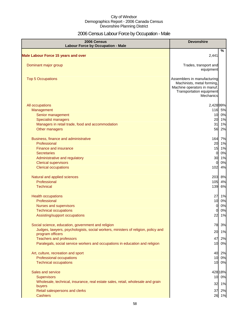# 2006 Census Labour Force by Occupation - Male

| 2006 Census<br><b>Labour Force by Occupation - Male</b>                                               | <b>Devonshire</b>                                                                                                                 |             |
|-------------------------------------------------------------------------------------------------------|-----------------------------------------------------------------------------------------------------------------------------------|-------------|
| <b>Male Labour Force 15 years and over</b>                                                            | 2,441                                                                                                                             | %           |
|                                                                                                       |                                                                                                                                   |             |
| Dominant major group                                                                                  | Trades, transport and<br>equipment                                                                                                |             |
| <b>Top 5 Occupations</b>                                                                              | Assemblers in manufacturing<br>Machinists, metal forming,<br>Machine operators in manuf.<br>Transportation equipment<br>Mechanics |             |
| All occupations                                                                                       | 2,428 99%                                                                                                                         |             |
| Management                                                                                            | 116 5%                                                                                                                            |             |
| Senior management                                                                                     |                                                                                                                                   | 10 0%       |
| <b>Specialist managers</b>                                                                            |                                                                                                                                   | 20 1%       |
| Managers in retail trade, food and accommodation                                                      | 31                                                                                                                                | 1%          |
| Other managers                                                                                        | 56                                                                                                                                | 2%          |
| Business, finance and administrative                                                                  | 164                                                                                                                               | 7%          |
| Professional                                                                                          | 20                                                                                                                                | 1%          |
| Finance and insurance                                                                                 | 15                                                                                                                                | 1%          |
| <b>Secretaries</b>                                                                                    | $\overline{0}$                                                                                                                    | 0%          |
| Administrative and regulatory                                                                         | 30                                                                                                                                | 1%          |
| <b>Clerical supervisors</b>                                                                           | $\Omega$                                                                                                                          | 0%          |
| <b>Clerical occupations</b>                                                                           | 102                                                                                                                               | 4%          |
| Natural and applied sciences                                                                          | 203 8%                                                                                                                            |             |
| Professional                                                                                          | 105                                                                                                                               | 4%          |
| <b>Technical</b>                                                                                      | 139                                                                                                                               | 6%          |
| <b>Health occupations</b>                                                                             | 27                                                                                                                                | 1%          |
| Professional                                                                                          | 10                                                                                                                                | 0%          |
| Nurses and supervisors                                                                                | 0                                                                                                                                 | 0%          |
| <b>Technical occupations</b>                                                                          | $\Omega$                                                                                                                          | 0%          |
| Assisting/support occupations                                                                         | 22                                                                                                                                | 1%          |
| Social science, education, government and religion                                                    | 78                                                                                                                                | 3%          |
| Judges, lawyers, psychologists, social workers, ministers of religion, policy and<br>program officers | 20                                                                                                                                | 1%          |
| <b>Teachers and professors</b>                                                                        | 47                                                                                                                                | 2%          |
| Paralegals, social service workers and occupations in education and religion                          |                                                                                                                                   | 10 0%       |
| Art, culture, recreation and sport                                                                    | 40                                                                                                                                | 2%          |
| Professional occupations                                                                              |                                                                                                                                   | 10 0%       |
| <b>Technical occupations</b>                                                                          |                                                                                                                                   | 10 0%       |
| Sales and service                                                                                     | 428 18%                                                                                                                           |             |
| <b>Supervisors</b>                                                                                    |                                                                                                                                   | 10 0%       |
| Wholesale, technical, insurance, real estate sales, retail, wholesale and grain                       | 32                                                                                                                                | 1%          |
| buyers                                                                                                |                                                                                                                                   |             |
| Retail salespersons and clerks<br><b>Cashiers</b>                                                     | 37                                                                                                                                | 2%<br>26 1% |
|                                                                                                       |                                                                                                                                   |             |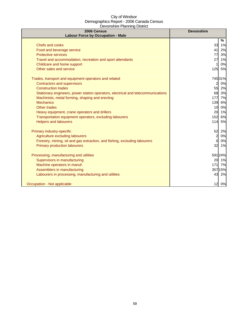| 2006 Census<br><b>Labour Force by Occupation - Male</b>                          | <b>Devonshire</b>     |
|----------------------------------------------------------------------------------|-----------------------|
|                                                                                  | %                     |
| Chefs and cooks                                                                  | 33<br>1%              |
| Food and beverage service                                                        | 2%<br>41              |
| <b>Protective services</b>                                                       | 77<br>3%              |
| Travel and accommodation, recreation and sport attendants                        | 27<br>1%              |
| Childcare and home support                                                       | 0%                    |
| Other sales and service                                                          | 125<br>5%             |
| Trades, transport and equipment operators and related                            | 745 31%               |
| <b>Contractors and supervisors</b>                                               | 0%<br>$\overline{2}$  |
| <b>Construction trades</b>                                                       | 55<br>2%              |
| Stationary engineers, power station operators, electrical and telecommunications | 68<br>3%              |
| Machinists, metal forming, shaping and erecting                                  | 7%<br>177             |
| <b>Mechanics</b>                                                                 | 139<br>6%             |
| <b>Other trades</b>                                                              | 10 <sup>1</sup><br>0% |
| Heavy equipment, crane operators and drillers                                    | 20<br>1%              |
| Transportation equipment operators, excluding labourers                          | 152<br>6%             |
| <b>Helpers and labourers</b>                                                     | 114<br>5%             |
| Primary industry-specific                                                        | 52<br>2%              |
| Agriculture excluding labourers                                                  | $\overline{a}$<br>0%  |
| Forestry, mining, oil and gas extraction, and fishing, excluding labourers       | $\overline{0}$<br>0%  |
| <b>Primary production labourers</b>                                              | 32<br>1%              |
| Processing, manufacturing and utilities                                          | 591 24%               |
| Supervisors in manufacturing                                                     | 20 1%                 |
| Machine operators in manuf.                                                      | 7%<br>$171$           |
| Assemblers in manufacturing                                                      | 357 15%               |
| Labourers in processing, manufacturing and utilities                             | 43<br>2%              |
| Occupation - Not applicable                                                      | 12<br>0%              |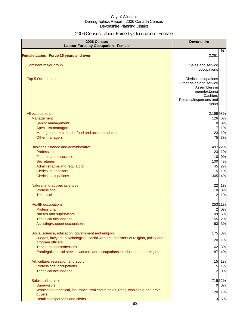# 2006 Census Labour Force by Occupation - Female

| 2006 Census<br><b>Labour Force by Occupation - Female</b>                         | <b>Devonshire</b>                                                                                                                  |
|-----------------------------------------------------------------------------------|------------------------------------------------------------------------------------------------------------------------------------|
| <b>Female Labour Force 15 years and over</b>                                      | $\%$<br>2,251                                                                                                                      |
|                                                                                   |                                                                                                                                    |
| Dominant major group                                                              | Sales and service<br>occupations                                                                                                   |
| <b>Top 5 Occupations</b>                                                          | Clerical occupations<br>Other sales and service<br>Assemblers in<br>manufacturing<br>Cashiers<br>Retail salespersons and<br>clerks |
| All occupations                                                                   | 2,19998%                                                                                                                           |
| Management                                                                        | 126 6%                                                                                                                             |
| Senior management                                                                 | $\overline{0}$<br>0%                                                                                                               |
| <b>Specialist managers</b>                                                        | 17<br>1%                                                                                                                           |
| Managers in retail trade, food and accommodation                                  | 23<br>1%                                                                                                                           |
| Other managers                                                                    | 75<br>3%                                                                                                                           |
| Business, finance and administrative                                              | 497 22%                                                                                                                            |
| Professional                                                                      | 23 1%                                                                                                                              |
| <b>Finance and insurance</b>                                                      | 10 0%                                                                                                                              |
| <b>Secretaries</b>                                                                | 100 4%                                                                                                                             |
| Administrative and regulatory                                                     | 45<br>2%                                                                                                                           |
| <b>Clerical supervisors</b>                                                       | 15<br>1%                                                                                                                           |
| <b>Clerical occupations</b>                                                       | 305 14%                                                                                                                            |
| Natural and applied sciences                                                      | 22 1%                                                                                                                              |
| Professional                                                                      | 10 0%                                                                                                                              |
| <b>Technical</b>                                                                  | 12<br>1%                                                                                                                           |
| <b>Health occupations</b>                                                         | 25311%                                                                                                                             |
| Professional                                                                      | $\overline{2}$<br>0%                                                                                                               |
| Nurses and supervisors                                                            | 109 5%                                                                                                                             |
| <b>Technical occupations</b>                                                      | 55<br>2%                                                                                                                           |
| Assisting/support occupations                                                     | 63<br>3%                                                                                                                           |
| Social science, education, government and religion                                | 175<br>8%                                                                                                                          |
| Judges, lawyers, psychologists, social workers, ministers of religion, policy and |                                                                                                                                    |
| program officers                                                                  | 20<br>1%                                                                                                                           |
| <b>Teachers and professors</b>                                                    | 62<br>3%                                                                                                                           |
| Paralegals, social service workers and occupations in education and religion      | 87<br>4%                                                                                                                           |
| Art, culture, recreation and sport                                                | 15 1%                                                                                                                              |
| Professional occupations                                                          | 15 1%                                                                                                                              |
| <b>Technical occupations</b>                                                      | $\overline{2}$<br>0%                                                                                                               |
| Sales and service                                                                 | 71532%                                                                                                                             |
| <b>Supervisors</b>                                                                | 0 0%                                                                                                                               |
| Wholesale, technical, insurance, real estate sales, retail, wholesale and grain   |                                                                                                                                    |
| buyers                                                                            | 20 1%                                                                                                                              |
| Retail salespersons and clerks                                                    | 113 5%                                                                                                                             |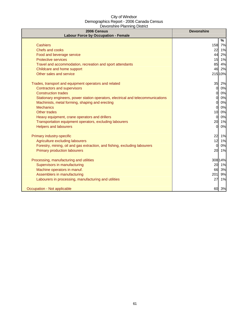| 2006 Census<br><b>Labour Force by Occupation - Female</b>                        | <b>Devonshire</b> |
|----------------------------------------------------------------------------------|-------------------|
|                                                                                  | %                 |
| <b>Cashiers</b>                                                                  | 158 7%            |
| Chefs and cooks                                                                  | 22 1%             |
| Food and beverage service                                                        | 2%<br>44          |
| <b>Protective services</b>                                                       | 1%<br>15          |
| Travel and accommodation, recreation and sport attendants                        | 85<br>4%          |
| Childcare and home support                                                       | 46<br>2%          |
| Other sales and service                                                          | 215 10%           |
| Trades, transport and equipment operators and related                            | 35<br>2%          |
| Contractors and supervisors                                                      | 0%<br>0           |
| <b>Construction trades</b>                                                       | 0%<br>$\Omega$    |
| Stationary engineers, power station operators, electrical and telecommunications | 0%<br>$\Omega$    |
| Machinists, metal forming, shaping and erecting                                  | 0%<br>$\Omega$    |
| <b>Mechanics</b>                                                                 | 0%<br>$\Omega$    |
| Other trades                                                                     | 10<br>0%          |
| Heavy equipment, crane operators and drillers                                    | 0%<br>$\Omega$    |
| Transportation equipment operators, excluding labourers                          | 20<br>1%          |
| <b>Helpers and labourers</b>                                                     | 0%<br>0           |
| Primary industry-specific                                                        | 22<br>1%          |
| Agriculture excluding labourers                                                  | 12<br>1%          |
| Forestry, mining, oil and gas extraction, and fishing, excluding labourers       | 0%<br>$\Omega$    |
| <b>Primary production labourers</b>                                              | 1%<br>20          |
| Processing, manufacturing and utilities                                          | 308 14%           |
| Supervisors in manufacturing                                                     | 20<br>1%          |
| Machine operators in manuf.                                                      | 3%<br>66          |
| Assemblers in manufacturing                                                      | 201<br>9%         |
| Labourers in processing, manufacturing and utilities                             | 1%<br>27          |
| Occupation - Not applicable                                                      | 60<br>3%          |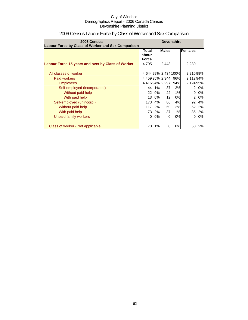| 2006 Census<br>Labour Force by Class of Worker and Sex Comparison | <b>Devonshire</b>                                       |    |                      |     |                |    |
|-------------------------------------------------------------------|---------------------------------------------------------|----|----------------------|-----|----------------|----|
|                                                                   | <b>Males</b><br><b>Total</b><br>.abourl<br><b>Force</b> |    |                      |     | Females        |    |
| Labour Force 15 years and over by Class of Worker                 | 4,705                                                   |    | 2,443                |     | 2,239          |    |
| All classes of worker                                             |                                                         |    | 4,644 99% 2,434 100% |     | 2,210 99%      |    |
| Paid workers                                                      |                                                         |    | 4,45995% 2,344       | 96% | 2,11294%       |    |
| <b>Employees</b>                                                  |                                                         |    | 4,416 94% 2,297      | 94% | 2,12495%       |    |
| Self-employed (incorporated)                                      | 44                                                      | 1% | 37                   | 2%  | 2              | 0% |
| Without paid help                                                 | 22                                                      | 0% | 22                   | 1%  | 0              | 0% |
| With paid help                                                    | 13I                                                     | 0% | 12                   | 0%  | $\overline{2}$ | 0% |
| Self-employed (unincorp.)                                         | 173I                                                    | 4% | 86                   | 4%  | 92             | 4% |
| Without paid help                                                 | 117                                                     | 2% | 59                   | 2%  | 52             | 2% |
| With paid help                                                    | 73                                                      | 2% | 37                   | 1%  | 35             | 2% |
| Unpaid family workers                                             | $\Omega$                                                | 0% | O                    | 0%  | $\Omega$       | 0% |
| Class of worker - Not applicable                                  | 70                                                      | 1% |                      | 0%  | 50             | 2% |

# 2006 Census Labour Force by Class of Worker and Sex Comparison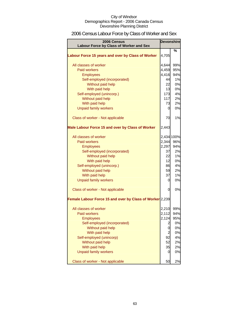# 2006 Census Labour Force by Class of Worker and Sex

| 2006 Census<br>Labour Force by Class of Worker and Sex   |                         | <b>Devonshire</b> |
|----------------------------------------------------------|-------------------------|-------------------|
|                                                          |                         | %                 |
| Labour Force 15 years and over by Class of Worker        | 4,705                   |                   |
| All classes of worker                                    | 4,644                   | 99%               |
| <b>Paid workers</b>                                      | 4,459                   | 95%               |
| <b>Employees</b>                                         | 4,416                   | 94%               |
| Self-employed (incorporated)                             | 44                      | 1%                |
| Without paid help                                        | 22                      | 0%                |
| With paid help                                           | 13                      | 0%                |
| Self-employed (unincorp.)                                | 173                     | 4%                |
| Without paid help                                        | 117                     | 2%                |
| With paid help                                           | 73                      | 2%                |
| <b>Unpaid family workers</b>                             | 0                       | 0%                |
| Class of worker - Not applicable                         | 70                      | 1%                |
| Male Labour Force 15 and over by Class of Worker         | 2,443                   |                   |
| All classes of worker                                    |                         | 2,434 100%        |
| <b>Paid workers</b>                                      | 2,344                   | 96%               |
| <b>Employees</b>                                         | 2,297                   | 94%               |
| Self-employed (incorporated)                             | 37                      | 2%                |
| Without paid help                                        | 22                      | 1%                |
| With paid help                                           | 12                      | 0%                |
| Self-employed (unincorp.)                                | 86                      | 4%                |
| Without paid help                                        | 59                      | 2%                |
| With paid help                                           | 37                      | 1%                |
| <b>Unpaid family workers</b>                             | 0                       | 0%                |
| Class of worker - Not applicable                         | 0                       | 0%                |
| Female Labour Force 15 and over by Class of Worker 2,239 |                         |                   |
| All classes of worker                                    | 2,210                   | 99%               |
| <b>Paid workers</b>                                      | 2,112                   | 94%               |
| <b>Employees</b>                                         | 2,124                   | 95%               |
| Self-employed (incorporated)                             | $\overline{\mathbf{c}}$ | 0%                |
| Without paid help                                        | 0                       | 0%                |
| With paid help                                           | $\overline{c}$          | 0%                |
| Self-employed (unincorp)                                 | 92                      | 4%                |
| Without paid help                                        | 52                      | 2%                |
| With paid help                                           | 35                      | 2%                |
| <b>Unpaid family workers</b>                             | 0                       | 0%                |
| Class of worker - Not applicable                         | 50                      | 2%                |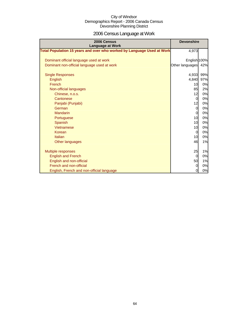# 2006 Census Language at Work

| 2006 Census<br><b>Language at Work</b>                                 | <b>Devonshire</b> |     |
|------------------------------------------------------------------------|-------------------|-----|
| Total Population 15 years and over who worked by Language Used at Work | 4,973             |     |
| Dominant official language used at work                                | English 100%      |     |
| Dominant non-official language used at work                            | Other languages   | 42% |
| <b>Single Responses</b>                                                | 4,933             | 99% |
| English                                                                | 4,840             | 97% |
| French                                                                 | 10                | 0%  |
| Non-official languages                                                 | 85                | 2%  |
| Chinese, n.o.s.                                                        | 12                | 0%  |
| Cantonese                                                              | $\overline{0}$    | 0%  |
| Panjabi (Punjabi)                                                      | 12                | 0%  |
| German                                                                 | $\overline{0}$    | 0%  |
| <b>Mandarin</b>                                                        | $\overline{O}$    | 0%  |
| Portuguese                                                             | 10                | 0%  |
| Spanish                                                                | 10                | 0%  |
| Vietnamese                                                             | 10                | 0%  |
| Korean                                                                 | $\mathbf 0$       | 0%  |
| <b>Italian</b>                                                         | 10                | 0%  |
| Other languages                                                        | 46                | 1%  |
|                                                                        |                   |     |
| <b>Multiple responses</b>                                              | 25                | 1%  |
| <b>English and French</b>                                              | $\overline{0}$    | 0%  |
| English and non-official                                               | 50                | 1%  |
| French and non-official                                                | $\overline{0}$    | 0%  |
| English, French and non-official language                              | 0                 | 0%  |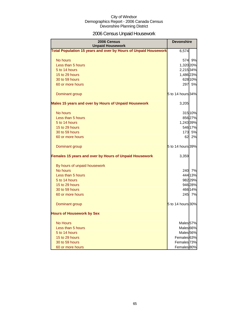# 2006 Census Unpaid Housework

| 2006 Census<br><b>Unpaid Housework</b>                                 | <b>Devonshire</b>      |
|------------------------------------------------------------------------|------------------------|
| <b>Total Population 15 years and over by Hours of Unpaid Housework</b> | 6,574                  |
| No hours                                                               | 574 9%                 |
| Less than 5 hours                                                      | 1,320 20%              |
| 5 to 14 hours                                                          | 2,215 34%              |
| 15 to 29 hours                                                         | 1,486 23%              |
| 30 to 59 hours                                                         | 628 10%                |
| 60 or more hours                                                       | 297<br>5%              |
| Dominant group                                                         | 5 to 14 hours 34%      |
| Males 15 years and over by Hours of Unpaid Housework                   | 3,205                  |
| No hours                                                               | 315 10%                |
| Less than 5 hours                                                      | 85627%                 |
| 5 to 14 hours                                                          | 1,243 39%              |
| 15 to 29 hours                                                         | 546 17%                |
| 30 to 59 hours                                                         | 173 5%                 |
| 60 or more hours                                                       | 2%<br>62               |
| Dominant group                                                         | 5 to 14 hours 39%      |
| Females 15 years and over by Hours of Unpaid Housework                 | 3,359                  |
| By hours of unpaid housework                                           |                        |
| No hours                                                               | 240 7%                 |
| Less than 5 hours                                                      | 444 13%                |
| 5 to 14 hours                                                          | 982 29%                |
| 15 to 29 hours                                                         | 946 28%                |
| 30 to 59 hours                                                         | 466 14%                |
| 60 or more hours                                                       | 245 7%                 |
| Dominant group                                                         | 5 to 14 hours 30%      |
| <b>Hours of Housework by Sex</b>                                       |                        |
| <b>No Hours</b>                                                        | Males 57%              |
| Less than 5 hours                                                      | Males <sup>66%</sup>   |
| 5 to 14 hours                                                          | Males <sub>56%</sub>   |
| 15 to 29 hours                                                         | Females <sup>63%</sup> |
| 30 to 59 hours                                                         | Females <sup>73%</sup> |
| 60 or more hours                                                       | Females <sup>80%</sup> |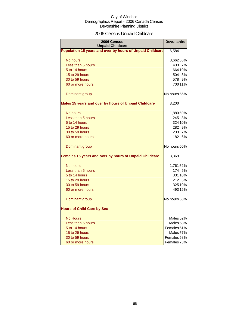# 2006 Census Unpaid Childcare

| 2006 Census<br><b>Unpaid Childcare</b>                    | <b>Devonshire</b>      |         |
|-----------------------------------------------------------|------------------------|---------|
| Population 15 years and over by hours of Unpaid Childcare | 6,584                  |         |
| No hours                                                  | 3,66256%               |         |
| Less than 5 hours                                         |                        | 433 7%  |
| 5 to 14 hours                                             |                        | 664 10% |
| 15 to 29 hours                                            |                        | 504 8%  |
| 30 to 59 hours                                            | 578I                   | 9%      |
| 60 or more hours                                          |                        | 700 11% |
| Dominant group                                            | No hours 56%           |         |
| Males 15 years and over by hours of Unpaid Childcare      | 3,200                  |         |
| No hours                                                  | 1,880 59%              |         |
| Less than 5 hours                                         |                        | 245 8%  |
| 5 to 14 hours                                             |                        | 324 10% |
| 15 to 29 hours                                            |                        | 282 9%  |
| 30 to 59 hours                                            | 233                    | 7%      |
| 60 or more hours                                          | 182I                   | 6%      |
| Dominant group                                            | No hours 60%           |         |
| Females 15 years and over by hours of Unpaid Childcare    | 3,369                  |         |
| No hours                                                  | 1,76152%               |         |
| Less than 5 hours                                         |                        | 174 5%  |
| 5 to 14 hours                                             |                        | 331 10% |
| 15 to 29 hours                                            |                        | 212 6%  |
| 30 to 59 hours                                            |                        | 325 10% |
| 60 or more hours                                          |                        | 493 15% |
| Dominant group                                            | No hours 53%           |         |
| <b>Hours of Child Care by Sex</b>                         |                        |         |
| <b>No Hours</b>                                           | Males <sub>52%</sub>   |         |
| Less than 5 hours                                         | Males <sub>58%</sub>   |         |
| 5 to 14 hours                                             | Females <sup>51%</sup> |         |
| 15 to 29 hours                                            | Males <sub>57%</sub>   |         |
| 30 to 59 hours                                            | Females <sub>58%</sub> |         |
| 60 or more hours                                          | Females <sub>73%</sub> |         |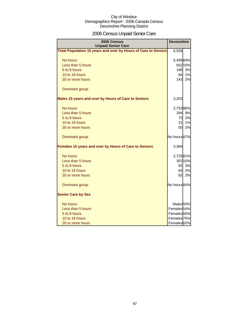# 2006 Census Unpaid Senior Care

| 2006 Census<br><b>Unpaid Senior Care</b>                       | <b>Devonshire</b>      |         |
|----------------------------------------------------------------|------------------------|---------|
| Total Population 15 years and over by Hours of Care to Seniors | 6,559                  |         |
| No hours                                                       | 5,49984%               |         |
| Less than 5 hours                                              |                        | 652 10% |
| 5 to 9 hours                                                   | 198                    | 3%      |
| 10 to 19 hours                                                 | 84                     | 1%      |
| 20 or more hours                                               | 143                    | 2%      |
| Dominant group                                                 |                        |         |
| Males 15 years and over by Hours of Care to Seniors            | 3,203                  |         |
| No hours                                                       | 2,75386%               |         |
| Less than 5 hours                                              | <b>294</b>             | 9%      |
| 5 to 9 hours                                                   | 73                     | 2%      |
| 10 to 19 hours                                                 | 21                     | 1%      |
| 20 or more hours                                               | 50l                    | 2%      |
| Dominant group                                                 | No hours 87%           |         |
| Females 15 years and over by Hours of Care to Seniors          | 3,369                  |         |
| No hours                                                       | 2,72581%               |         |
| Less than 5 hours                                              |                        | 352 10% |
| 5 to 9 hours                                                   | 92                     | 3%      |
| 10 to 19 hours                                                 | 64                     | 2%      |
| 20 or more hours                                               | 82                     | 2%      |
| Dominant group                                                 | No hours 84%           |         |
| <b>Senior Care by Sex</b>                                      |                        |         |
| No hours                                                       | Males <sub>50%</sub>   |         |
| Less than 5 hours                                              | Females <sub>54%</sub> |         |
| 5 to 9 hours                                                   | Females <sup>56%</sup> |         |
| 10 to 19 hours                                                 | Females 75%            |         |
| 20 or more hours                                               | Females <sup>62%</sup> |         |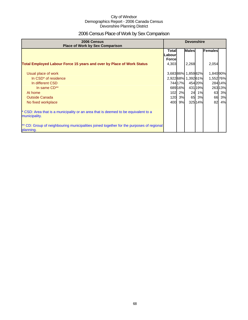# 2006 Census Place of Work by Sex Comparison

| 2006 Census<br><b>Place of Work by Sex Comparison</b>                                                 | <b>Devonshire</b>                       |         |                   |        |           |         |
|-------------------------------------------------------------------------------------------------------|-----------------------------------------|---------|-------------------|--------|-----------|---------|
|                                                                                                       | <b>Total</b><br>Labour<br><b>Forcel</b> |         | <b>Males</b>      |        | Females   |         |
| <b>Total Employed Labour Force 15 years and over by Place of Work Status</b>                          | 4,303                                   |         | 2,268             |        | 2,054     |         |
| Usual place of work                                                                                   |                                         |         | 3,68386% 1,85982% |        | 1,840 90% |         |
| In CSD <sup>*</sup> of residence                                                                      |                                         |         | 2,92268% 1,39261% |        | 1,55276%  |         |
| In different CSD                                                                                      |                                         | 74417%  |                   | 45420% |           | 284 14% |
| In same CD**                                                                                          |                                         | 689 16% |                   | 43119% |           | 26313%  |
| At home                                                                                               | 102                                     | 2%      | 24                | 1%     | 63        | 3%      |
| <b>Outside Canada</b>                                                                                 | 120                                     | 3%      | 65                | 3%     | 66        | 3%      |
| No fixed workplace                                                                                    | 400                                     | 9%      |                   | 32514% | 82        | 4%      |
| * CSD: Area that is a municipality or an area that is deemed to be equivalent to a<br>municipality.   |                                         |         |                   |        |           |         |
| ** CD: Group of neighbouring municipalities joined together for the purposes of regional<br>planning. |                                         |         |                   |        |           |         |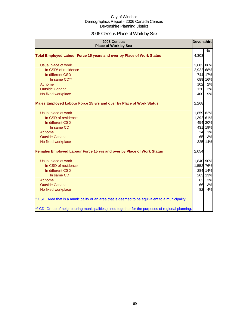# 2006 Census Place of Work by Sex

| 2006 Census<br><b>Place of Work by Sex</b>                                                         | <b>Devonshire</b> |               |
|----------------------------------------------------------------------------------------------------|-------------------|---------------|
| Total Employed Labour Force 15 years and over by Place of Work Status                              | 4,303             | $\frac{9}{6}$ |
| Usual place of work                                                                                | 3,683 86%         |               |
| In CSD* of residence                                                                               | 2,922 68%         |               |
| In different CSD                                                                                   |                   | 744 17%       |
| In same CD**                                                                                       |                   | 689 16%       |
| At home                                                                                            | 102               | 2%            |
| <b>Outside Canada</b>                                                                              | 120               | 3%            |
| No fixed workplace                                                                                 | 400               | 9%            |
| Males Employed Labour Force 15 yrs and over by Place of Work Status                                | 2,268             |               |
| Usual place of work                                                                                | 1,859 82%         |               |
| In CSD of residence                                                                                | 1,392 61%         |               |
| In different CSD                                                                                   |                   | 454 20%       |
| In same CD                                                                                         |                   | 431 19%       |
| At home                                                                                            | 24                | 1%            |
| <b>Outside Canada</b>                                                                              | 65                | 3%            |
| No fixed workplace                                                                                 |                   | 325 14%       |
| Females Employed Labour Force 15 yrs and over by Place of Work Status                              | 2,054             |               |
| Usual place of work                                                                                | 1,840 90%         |               |
| In CSD of residence                                                                                | 1,552 76%         |               |
| In different CSD                                                                                   |                   | 284 14%       |
| In same CD                                                                                         |                   | 263 13%       |
| At home                                                                                            | 63                | 3%            |
| <b>Outside Canada</b>                                                                              | 66                | 3%            |
| No fixed workplace                                                                                 | 82                | 4%            |
| * CSD: Area that is a municipality or an area that is deemed to be equivalent to a municipality.   |                   |               |
| ** CD: Group of neighbouring municipalities joined together for the purposes of regional planning. |                   |               |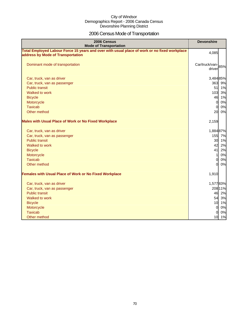# 2006 Census Mode of Transportation

| 2006 Census<br><b>Mode of Transportation</b>                                                                                      | <b>Devonshire</b>           |
|-----------------------------------------------------------------------------------------------------------------------------------|-----------------------------|
| Total Employed Labour Force 15 years and over with usual place of work or no fixed workplace<br>address by Mode of Transportation | 4,085                       |
| Dominant mode of transportation                                                                                                   | Car/truck/van-85%<br>driver |
| Car, truck, van as driver                                                                                                         | 3,484 85%                   |
| Car, truck, van as passenger                                                                                                      | 363 9%                      |
| <b>Public transit</b>                                                                                                             | 51<br>1%                    |
| Walked to work                                                                                                                    | 103 3%                      |
| <b>Bicycle</b>                                                                                                                    | 46<br>1%                    |
| Motorcycle                                                                                                                        | 0%<br>$\overline{0}$        |
| <b>Taxicab</b>                                                                                                                    | 0%<br>$\Omega$              |
| Other method                                                                                                                      | 20<br>0%                    |
| <b>Males with Usual Place of Work or No Fixed Workplace</b>                                                                       | 2,159                       |
| Car, truck, van as driver                                                                                                         | 1,884 87%                   |
| Car, truck, van as passenger                                                                                                      | 155 7%                      |
| <b>Public transit</b>                                                                                                             | 30 1%                       |
| Walked to work                                                                                                                    | 42<br>2%                    |
| <b>Bicycle</b>                                                                                                                    | 41<br>2%                    |
| Motorcycle                                                                                                                        | 0%<br>11                    |
| <b>Taxicab</b>                                                                                                                    | 0%<br>$\Omega$              |
| Other method                                                                                                                      | ΩI<br>0%                    |
| <b>Females with Usual Place of Work or No Fixed Workplace</b>                                                                     | 1,910                       |
| Car, truck, van as driver                                                                                                         | 1,57783%                    |
| Car, truck, van as passenger                                                                                                      | 208 11%                     |
| <b>Public transit</b>                                                                                                             | 46 2%                       |
| Walked to work                                                                                                                    | 54 3%                       |
| <b>Bicycle</b>                                                                                                                    | 10 1%                       |
| Motorcycle                                                                                                                        | $\overline{0}$<br>0%        |
| <b>Taxicab</b>                                                                                                                    | 0%<br>$\Omega$              |
| Other method                                                                                                                      | 10 1%                       |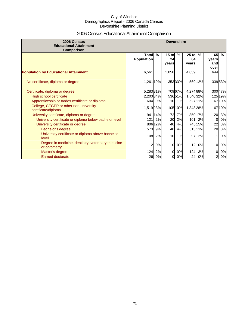# 2006 Census Educational Attainment Comparison

| 2006 Census<br><b>Educational Attainment</b><br>Comparison         | <b>Devonshire</b>                 |         |                        |               |                        |               |                            |               |
|--------------------------------------------------------------------|-----------------------------------|---------|------------------------|---------------|------------------------|---------------|----------------------------|---------------|
|                                                                    | <b>Total</b><br><b>Population</b> | $\%$    | $15$ to<br>24<br>vears | $\frac{9}{6}$ | $25$ to<br>64<br>years | $\frac{9}{6}$ | 65<br>vears<br>and<br>over | $\frac{9}{6}$ |
| <b>Population by Educational Attainment</b>                        | 6,561                             |         | 1,058                  |               | 4,859                  |               | 644                        |               |
| No certificate, diploma or degree                                  | 1,261 19%                         |         |                        | 35333%        |                        | 569 12%       |                            | 33953%        |
| Certificate, diploma or degree                                     | 5,28381%                          |         |                        | 709 67%       | 4,274 88%              |               |                            | 30047%        |
| High school certificate                                            | 2,200 34%                         |         |                        | 53651%        | 1,540 32%              |               |                            | 125 19%       |
| Apprenticeship or trades certificate or diploma                    |                                   | 604 9%  |                        | 10 1%         |                        | 52711%        |                            | 6710%         |
| College, CEGEP or other non-university<br>certificate/diploma      | 1,519 23%                         |         |                        | 105 10%       | 1,348 28%              |               |                            | 6710%         |
| University certificate, diploma or degree                          |                                   | 941 14% | 72                     | 7%            |                        | 850 17%       | 20                         | 3%            |
| University certificate or diploma below bachelor level             | $121$                             | 2%      | 20                     | 2%            | 101                    | 2%            | $\Omega$                   | 0%            |
| University certificate or degree                                   |                                   | 806 12% | 40                     | 4%            |                        | 745 15%       | 22                         | 3%            |
| Bachelor's degree                                                  | 573                               | 9%      | 40                     | 4%            |                        | 51311%        | 20                         | 3%            |
| University certificate or diploma above bachelor<br>level          | 108                               | 2%      | 10                     | 1%            | 97                     | 2%            |                            | 0%            |
| Degree in medicine, dentistry, veterinary medicine<br>or optometry | 12                                | 0%      | $\Omega$               | 0%            | 12                     | 0%            | $\overline{0}$             | 0%            |
| Master's degree                                                    | 124                               | 2%      | 0                      | 0%            | 124                    | 3%            | 0                          | 0%            |
| <b>Earned doctorate</b>                                            | 26                                | 0%      | 0                      | 0%            | 24                     | 0%            | $\overline{a}$             | 0%            |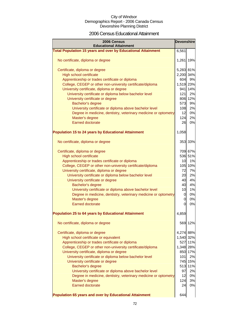### 2006 Census Educational Attainment

| 2006 Census<br><b>Educational Attainment</b>                        |                |         |  |
|---------------------------------------------------------------------|----------------|---------|--|
| <b>Total Population 15 years and over by Educational Attainment</b> | 6,561          |         |  |
| No certificate, diploma or degree                                   | 1,261 19%      |         |  |
| Certificate, diploma or degree                                      | 5,283 81%      |         |  |
| High school certificate                                             | 2,200 34%      |         |  |
| Apprenticeship or trades certificate or diploma                     | 604            | 9%      |  |
| College, CEGEP or other non-university certificate/diploma          | 1,519 23%      |         |  |
| University certificate, diploma or degree                           |                | 941 14% |  |
| University certificate or diploma below bachelor level              | 121            | 2%      |  |
| University certificate or degree                                    |                | 806 12% |  |
| Bachelor's degree                                                   | 573            | 9%      |  |
| University certificate or diploma above bachelor level              | 108            | 2%      |  |
| Degree in medicine, dentistry, veterinary medicine or optometry     | 12             | 0%      |  |
| Master's degree                                                     | 124            | 2%      |  |
| <b>Earned doctorate</b>                                             | 26             | 0%      |  |
| <b>Population 15 to 24 years by Educational Attainment</b>          | 1,058          |         |  |
| No certificate, diploma or degree                                   |                | 353 33% |  |
|                                                                     |                |         |  |
| Certificate, diploma or degree                                      |                | 709 67% |  |
| <b>High school certificate</b>                                      |                | 536 51% |  |
| Apprenticeship or trades certificate or diploma                     | 10             | 1%      |  |
| College, CEGEP or other non-university certificate/diploma          |                | 105 10% |  |
| University certificate, diploma or degree                           | 72             | 7%      |  |
| University certificate or diploma below bachelor level              | 20             | 2%      |  |
| University certificate or degree                                    | 40             | 4%      |  |
| Bachelor's degree                                                   | 40             | 4%      |  |
| University certificate or diploma above bachelor level              | 10             | 1%      |  |
| Degree in medicine, dentistry, veterinary medicine or optometry     | $\overline{0}$ | 0%      |  |
| Master's degree                                                     | $\overline{0}$ | 0%      |  |
| <b>Earned doctorate</b>                                             | $\overline{0}$ | 0%      |  |
| <b>Population 25 to 64 years by Educational Attainment</b>          | 4,859          |         |  |
| No certificate, diploma or degree                                   | 569            | 12%     |  |
| Certificate, diploma or degree                                      | 4,274 88%      |         |  |
| High school certificate or equivalent                               | 1,540 32%      |         |  |
| Apprenticeship or trades certificate or diploma                     |                | 527 11% |  |
| College, CEGEP or other non-university certificate/diploma          | 1,348 28%      |         |  |
| University certificate, diploma or degree                           |                | 850 17% |  |
| University certificate or diploma below bachelor level              | 101            | 2%      |  |
| University certificate or degree                                    |                | 745 15% |  |
| Bachelor's degree                                                   | 513            | 11%     |  |
| University certificate or diploma above bachelor level              | 97             | 2%      |  |
| Degree in medicine, dentistry, veterinary medicine or optometry     | 12             | 0%      |  |
| Master's degree                                                     | 124            | 3%      |  |
| <b>Earned doctorate</b>                                             | 24             | 0%      |  |
| <b>Population 65 years and over by Educational Attainment</b>       | 644            |         |  |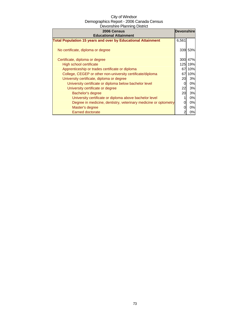| 2006 Census<br><b>Educational Attainment</b>                        |       | <b>Devonshire</b> |
|---------------------------------------------------------------------|-------|-------------------|
| <b>Total Population 15 years and over by Educational Attainment</b> | 6,561 |                   |
| No certificate, diploma or degree                                   |       | 339 53%           |
| Certificate, diploma or degree                                      | 300   | 47%               |
| High school certificate                                             | 125   | 19%               |
| Apprenticeship or trades certificate or diploma                     | 67    | 10%               |
| College, CEGEP or other non-university certificate/diploma          | 67    | 10%               |
| University certificate, diploma or degree                           | 20    | 3%                |
| University certificate or diploma below bachelor level              | 0     | 0%                |
| University certificate or degree                                    | 22    | 3%                |
| Bachelor's degree                                                   | 20    | 3%                |
| University certificate or diploma above bachelor level              |       | 0%                |
| Degree in medicine, dentistry, veterinary medicine or optometry     |       | 0%                |
| Master's degree                                                     |       | 0%                |
| <b>Earned doctorate</b>                                             |       | 0%                |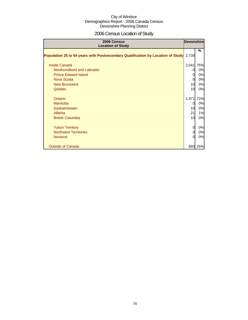# 2006 Census Location of Study

| 2006 Census<br><b>Location of Study</b>                                         | <b>Devonshire</b> |         |
|---------------------------------------------------------------------------------|-------------------|---------|
| Population 25 to 64 years with Postsecondary Qualification by Location of Study | 2,730             | $\%$    |
| Inside Canada                                                                   | 2,041             | 75%     |
| Newfoundland and Labrador                                                       | 0                 | 0%      |
| <b>Prince Edward Island</b>                                                     | 0                 | 0%      |
| Nova Scotia                                                                     | 0                 | 0%      |
| <b>New Brunswick</b>                                                            | 10                | 0%      |
| Quebec                                                                          | 10                | 0%      |
| Ontario                                                                         | 1,971             | 72%     |
| Manitoba                                                                        | 0                 | 0%      |
| Saskatchewan                                                                    | 10                | 0%      |
| Alberta                                                                         | 21                | 1%      |
| <b>British Columbia</b>                                                         | 10                | 0%      |
| <b>Yukon Territory</b>                                                          | 0                 | 0%      |
| <b>Northwest Territories</b>                                                    |                   | 0%      |
| <b>Nunavut</b>                                                                  |                   | 0%      |
| <b>Outside of Canada</b>                                                        |                   | 693 25% |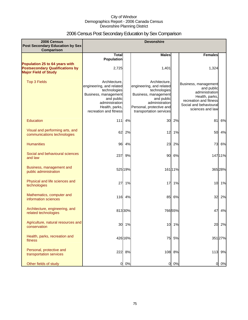# 2006 Census Post Secondary Education by Sex Comparison

| 2006 Census<br>Post Secondary Education by Sex<br>Comparison                                            |                                                                                                                                                               |         | <b>Devonshire</b>                                                                                                                                                        |         |                                                                                                                                                |         |
|---------------------------------------------------------------------------------------------------------|---------------------------------------------------------------------------------------------------------------------------------------------------------------|---------|--------------------------------------------------------------------------------------------------------------------------------------------------------------------------|---------|------------------------------------------------------------------------------------------------------------------------------------------------|---------|
|                                                                                                         | <b>Total</b><br><b>Population</b>                                                                                                                             |         | <b>Males</b>                                                                                                                                                             |         | <b>Females</b>                                                                                                                                 |         |
| Population 25 to 64 years with<br><b>Postsecondary Qualifications by</b><br><b>Major Field of Study</b> | 2,725                                                                                                                                                         |         | 1,401                                                                                                                                                                    |         | 1,324                                                                                                                                          |         |
| <b>Top 3 Fields</b>                                                                                     | Architecture.<br>engineering, and related<br>technologies<br>Business, management<br>and public<br>administration<br>Health, parks,<br>recreation and fitness |         | Architecture.<br>engineering, and related<br>technologies<br>Business, management<br>and public<br>administration<br>Personal, protective and<br>transportation services |         | Business, management<br>and public<br>administration<br>Health, parks,<br>recreation and fitness<br>Social and behavioural<br>sciences and law |         |
| <b>Education</b>                                                                                        | 111                                                                                                                                                           | 4%      | 30                                                                                                                                                                       | 2%      | 81                                                                                                                                             | 6%      |
| Visual and performing arts, and<br>communications technologies                                          | 62                                                                                                                                                            | 2%      | 12                                                                                                                                                                       | 1%      | 50                                                                                                                                             | 4%      |
| <b>Humanities</b>                                                                                       | 96                                                                                                                                                            | 4%      | 23                                                                                                                                                                       | 2%      | 73                                                                                                                                             | 6%      |
| Social and behavioural sciences<br>and law                                                              | 237                                                                                                                                                           | 9%      | 90                                                                                                                                                                       | 6%      |                                                                                                                                                | 14711%  |
| Business, management and<br>public administration                                                       |                                                                                                                                                               | 525 19% |                                                                                                                                                                          | 161 11% |                                                                                                                                                | 365 28% |
| Physical and life sciences and<br>technologies                                                          | 27                                                                                                                                                            | 1%      | 17                                                                                                                                                                       | 1%      | 10 <sub>l</sub>                                                                                                                                | 1%      |
| Mathematics, computer and<br>information sciences                                                       | 116                                                                                                                                                           | 4%      | 85                                                                                                                                                                       | 6%      | 32                                                                                                                                             | 2%      |
| Architecture, engineering, and<br>related technologies                                                  |                                                                                                                                                               | 81330%  |                                                                                                                                                                          | 76655%  | 47                                                                                                                                             | 4%      |
| Agriculture, natural resources and<br>conservation                                                      | 30                                                                                                                                                            | 1%      | 10                                                                                                                                                                       | 1%      | 20                                                                                                                                             | 2%      |
| Health, parks, recreation and<br>fitness                                                                |                                                                                                                                                               | 426 16% | 75                                                                                                                                                                       | 5%      |                                                                                                                                                | 351 27% |
| Personal, protective and<br>transportation services                                                     | 222                                                                                                                                                           | 8%      |                                                                                                                                                                          | 108 8%  |                                                                                                                                                | 113 9%  |
| Other fields of study                                                                                   | O                                                                                                                                                             | 0%      | $\overline{0}$                                                                                                                                                           | 0%      | 0                                                                                                                                              | 0%      |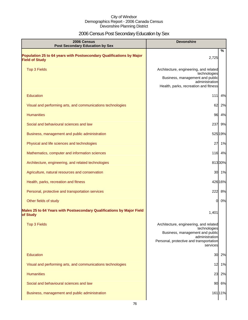# 2006 Census Post Secondary Education by Sex

| 2006 Census<br><b>Post Secondary Education by Sex</b>                                         | <b>Devonshire</b>                                                                                                                                                  |  |
|-----------------------------------------------------------------------------------------------|--------------------------------------------------------------------------------------------------------------------------------------------------------------------|--|
| Population 25 to 64 years with Postsecondary Qualifications by Major<br><b>Field of Study</b> | $\%$<br>2,725                                                                                                                                                      |  |
| <b>Top 3 Fields</b>                                                                           | Architecture, engineering, and related<br>technologies<br>Business, management and public<br>administration<br>Health, parks, recreation and fitness               |  |
| <b>Education</b>                                                                              | $111$<br>4%                                                                                                                                                        |  |
| Visual and performing arts, and communications technologies                                   | 62<br>2%                                                                                                                                                           |  |
| <b>Humanities</b>                                                                             | 96 4%                                                                                                                                                              |  |
| Social and behavioural sciences and law                                                       | 237<br>9%                                                                                                                                                          |  |
| Business, management and public administration                                                | 525 19%                                                                                                                                                            |  |
| Physical and life sciences and technologies                                                   | 27<br>1%                                                                                                                                                           |  |
| Mathematics, computer and information sciences                                                | 116 4%                                                                                                                                                             |  |
| Architecture, engineering, and related technologies                                           | 81330%                                                                                                                                                             |  |
| Agriculture, natural resources and conservation                                               | 30 1%                                                                                                                                                              |  |
| Health, parks, recreation and fitness                                                         | 42616%                                                                                                                                                             |  |
| Personal, protective and transportation services                                              | 222 8%                                                                                                                                                             |  |
| Other fields of study                                                                         | $\Omega$<br>0%                                                                                                                                                     |  |
| Males 25 to 64 Years with Postsecondary Qualifications by Major Field<br>of Study             | 1,401                                                                                                                                                              |  |
| <b>Top 3 Fields</b>                                                                           | Architecture, engineering, and related<br>technologies<br>Business, management and public<br>administration<br>Personal, protective and transportation<br>services |  |
| Education                                                                                     | 30<br>2%                                                                                                                                                           |  |
| Visual and performing arts, and communications technologies                                   | 12<br>1%                                                                                                                                                           |  |
| <b>Humanities</b>                                                                             | 23<br>2%                                                                                                                                                           |  |
| Social and behavioural sciences and law                                                       | 90<br>6%                                                                                                                                                           |  |
| Business, management and public administration                                                | 161 11%                                                                                                                                                            |  |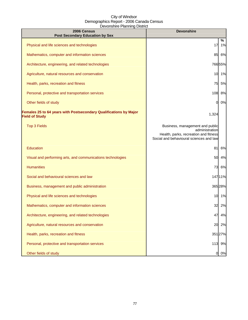| 2006 Census<br><b>Post Secondary Education by Sex</b>                                      | <b>Devonshire</b>                                                                                                                     |         |
|--------------------------------------------------------------------------------------------|---------------------------------------------------------------------------------------------------------------------------------------|---------|
| Physical and life sciences and technologies                                                | 17                                                                                                                                    | %<br>1% |
| Mathematics, computer and information sciences                                             | 85                                                                                                                                    | 6%      |
| Architecture, engineering, and related technologies                                        |                                                                                                                                       | 76655%  |
| Agriculture, natural resources and conservation                                            | 10                                                                                                                                    | 1%      |
| Health, parks, recreation and fitness                                                      | 75                                                                                                                                    | 5%      |
| Personal, protective and transportation services                                           | 108                                                                                                                                   | 8%      |
| Other fields of study                                                                      | 0                                                                                                                                     | 0%      |
| Females 25 to 64 years with Postsecondary Qualifications by Major<br><b>Field of Study</b> | 1,324                                                                                                                                 |         |
| <b>Top 3 Fields</b>                                                                        | Business, management and public<br>administration<br>Health, parks, recreation and fitness<br>Social and behavioural sciences and law |         |
| Education                                                                                  | 81                                                                                                                                    | 6%      |
| Visual and performing arts, and communications technologies                                | 50                                                                                                                                    | 4%      |
| <b>Humanities</b>                                                                          | 73                                                                                                                                    | 6%      |
| Social and behavioural sciences and law                                                    |                                                                                                                                       | 14711%  |
| Business, management and public administration                                             |                                                                                                                                       | 365 28% |
| Physical and life sciences and technologies                                                |                                                                                                                                       | 10 1%   |
| Mathematics, computer and information sciences                                             | 32                                                                                                                                    | 2%      |
| Architecture, engineering, and related technologies                                        | 47                                                                                                                                    | 4%      |
| Agriculture, natural resources and conservation                                            | 20                                                                                                                                    | 2%      |
| Health, parks, recreation and fitness                                                      |                                                                                                                                       | 35127%  |
| Personal, protective and transportation services                                           |                                                                                                                                       | 113 9%  |
| Other fields of study                                                                      | 01                                                                                                                                    | 0%      |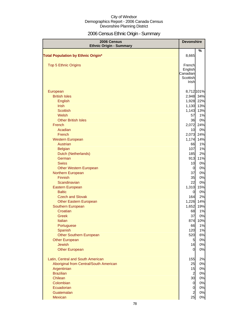# 2006 Census Ethnic Origin - Summary

| 2006 Census<br><b>Ethnic Origin - Summary</b>                                                                                                                                                                                                                                                                                                                                                                                                                                                                                                                                                                     | <b>Devonshire</b>                                                                                                                                                                                            |                                                                                                                                                                                                                                    |
|-------------------------------------------------------------------------------------------------------------------------------------------------------------------------------------------------------------------------------------------------------------------------------------------------------------------------------------------------------------------------------------------------------------------------------------------------------------------------------------------------------------------------------------------------------------------------------------------------------------------|--------------------------------------------------------------------------------------------------------------------------------------------------------------------------------------------------------------|------------------------------------------------------------------------------------------------------------------------------------------------------------------------------------------------------------------------------------|
| <b>Total Population by Ethnic Origin*</b>                                                                                                                                                                                                                                                                                                                                                                                                                                                                                                                                                                         | 8,665                                                                                                                                                                                                        | %                                                                                                                                                                                                                                  |
| <b>Top 5 Ethnic Origins</b>                                                                                                                                                                                                                                                                                                                                                                                                                                                                                                                                                                                       | French<br>English<br>Canadian<br>Scottish<br>Irish                                                                                                                                                           |                                                                                                                                                                                                                                    |
| European<br><b>British Isles</b><br>English<br><b>Irish</b><br><b>Scottish</b><br>Welsh<br><b>Other British Isles</b><br>French<br>Acadian<br>French<br><b>Western European</b><br>Austrian<br><b>Belgian</b><br>Dutch (Netherlands)<br>German<br><b>Swiss</b><br><b>Other Western European</b><br>Northern European<br><b>Finnish</b><br>Scandinavian<br>Eastern European<br><b>Baltic</b><br><b>Czech and Slovak</b><br><b>Other Eastern European</b><br>Southern European<br>Croatian<br>Greek<br>Italian<br>Portuguese<br>Spanish<br><b>Other Southern European</b><br><b>Other European</b><br><b>Jewish</b> | 1,928<br>1,130<br>1,143<br>57<br>36<br>2,072<br>10<br>2,073<br>1,174<br>66<br>107<br>185<br>913<br>10<br>0<br>37<br>35<br>22<br>1,310<br>0<br>164<br>1,652<br>68<br>37<br>874<br>66<br>120<br>520<br>5<br>16 | 8,712 101%<br>2,948 34%<br>22%<br>13%<br>13%<br>1%<br>0%<br>24%<br>0%<br>24%<br>14%<br>1%<br>1%<br>2%<br>11%<br>0%<br>0%<br>0%<br>0%<br>0%<br>15%<br>0%<br>2%<br>1,226 14%<br>19%<br>1%<br>0%<br>10%<br>1%<br>1%<br>6%<br>0%<br>0% |
| <b>Other European</b><br>Latin, Central and South American<br>Aboriginal from Central/South American<br>Argentinian<br><b>Brazilian</b><br>Chilean<br>Colombian<br>Ecuadorian<br>Guatemalan<br>Mexican                                                                                                                                                                                                                                                                                                                                                                                                            | 0<br>155<br>25<br>15<br>$\overline{a}$<br>30<br>$\overline{0}$<br>$\mathbf 0$<br>$\overline{a}$<br>25                                                                                                        | 0%<br>2%<br>0%<br>0%<br>0%<br>0%<br>0%<br>0%<br>0%<br>0%                                                                                                                                                                           |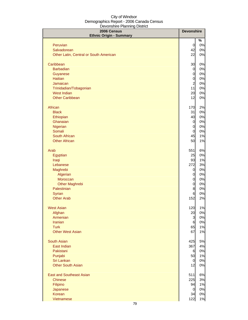| 2006 Census<br><b>Ethnic Origin - Summary</b> | <b>Devonshire</b>                |          |
|-----------------------------------------------|----------------------------------|----------|
| Peruvian                                      | $\overline{0}$                   | %<br>0%  |
| Salvadorean                                   | 42                               | 0%       |
| Other Latin, Central or South American        | 22                               | 0%       |
| Caribbean                                     | 30                               | 0%       |
| <b>Barbadian</b>                              | $\overline{0}$                   | 0%       |
| Guyanese                                      | $\overline{0}$                   | 0%       |
| <b>Haitian</b>                                | $\overline{0}$                   | 0%       |
| Jamaican                                      | $\overline{a}$                   | 0%       |
| Trinidadian/Tobagonian                        | 11                               | 0%       |
| <b>West Indian</b>                            | 20                               | 0%       |
| <b>Other Caribbean</b>                        | 12                               | 0%       |
| African                                       | 170                              | 2%       |
| <b>Black</b>                                  | 31                               | 0%       |
| Ethiopian                                     | 40                               | $0\%$    |
| Ghanaian                                      | $\overline{0}$                   | 0%       |
| Nigerian<br>Somali                            | $\overline{O}$<br>$\overline{O}$ | 0%<br>0% |
| South African                                 | 45                               | 1%       |
| <b>Other African</b>                          | 50                               | 1%       |
|                                               |                                  |          |
| Arab                                          | 551                              | 6%       |
| Egyptian                                      | 25                               | 0%       |
| Iraqi                                         | 93                               | 1%       |
| Lebanese                                      | 272                              | 3%       |
| Maghrebi                                      | 0                                | 0%       |
| Algerian                                      | $\overline{O}$                   | 0%       |
| Moroccan                                      | $\overline{O}$<br>$\mathbf 0$    | 0%<br>0% |
| <b>Other Maghrebi</b><br>Palestinian          | 8                                | 0%       |
| Syrian                                        | 6                                | 0%       |
| <b>Other Arab</b>                             | 152                              | 2%       |
|                                               |                                  |          |
| <b>West Asian</b>                             | 120                              | 1%       |
| Afghan                                        | 20                               | $0\%$    |
| Armenian                                      | 3                                | 0%       |
| <b>Iranian</b>                                | 6                                | 0%       |
| <b>Turk</b>                                   | 65                               | 1%       |
| <b>Other West Asian</b>                       | 67                               | 1%       |
| <b>South Asian</b>                            | 425                              | 5%       |
| East Indian                                   | 367                              | 4%       |
| Pakistani                                     | 6                                | 0%       |
| Punjabi<br>Sri Lankan                         | 50                               | 1%       |
| <b>Other South Asian</b>                      | $\overline{0}$<br>12             | 0%<br>0% |
|                                               |                                  |          |
| <b>East and Southeast Asian</b>               | 511                              | 6%       |
| <b>Chinese</b>                                | 225                              | 3%       |
| Filipino                                      | 94                               | 1%       |
| Japanese<br>Korean                            | $\overline{0}$<br>34             | 0%<br>0% |
| Vietnamese                                    | 122                              | 1%       |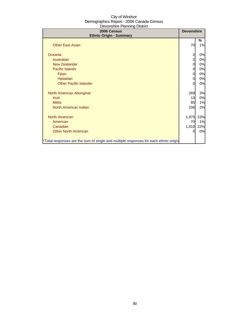| 2006 Census<br><b>Ethnic Origin - Summary</b>                                        |                                           | <b>Devonshire</b> |
|--------------------------------------------------------------------------------------|-------------------------------------------|-------------------|
| <b>Other East Asian</b>                                                              | 70                                        | %<br>1%           |
| Oceania                                                                              |                                           | 0%                |
| Australian                                                                           | $\overline{\mathbf{c}}$<br>$\overline{a}$ | 0%                |
| New Zealander                                                                        | 0                                         | 0%                |
| <b>Pacific Islands</b>                                                               |                                           | 0%                |
|                                                                                      | 0                                         | 0%                |
| Fijian<br>Hawaiian                                                                   | 0                                         | 0%                |
| <b>Other Pacific Islander</b>                                                        | 0<br>0                                    | 0%                |
|                                                                                      |                                           |                   |
| North American Aboriginal                                                            | 269                                       | 3%                |
| <b>Inuit</b>                                                                         | 10                                        | 0%                |
| <b>Métis</b>                                                                         | 85                                        | 1%                |
| North American Indian                                                                | 206                                       | 2%                |
| <b>North American</b>                                                                | 1,975                                     | 23%               |
| American                                                                             | 70                                        | 1%                |
| Canadian                                                                             | 1,910                                     | 22%               |
| <b>Other North American</b>                                                          | 0                                         | 0%                |
| *Total responses are the sum of single and multiple responses for each ethnic origin |                                           |                   |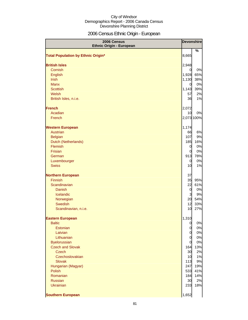# 2006 Census Ethnic Origin - European

| 2006 Census<br><b>Ethnic Origin - European</b> |                         | <b>Devonshire</b> |  |
|------------------------------------------------|-------------------------|-------------------|--|
| <b>Total Population by Ethnic Origin*</b>      | 8,665                   | $\frac{9}{6}$     |  |
|                                                |                         |                   |  |
| <b>British Isles</b>                           | 2,948                   |                   |  |
| Cornish                                        | $\mathbf 0$             | 0%                |  |
| English                                        | 1,928                   | 65%               |  |
| <b>Irish</b>                                   | 1,130                   | 38%               |  |
| <b>Manx</b>                                    | $\overline{0}$          | 0%                |  |
| <b>Scottish</b>                                | 1,143                   | 39%               |  |
| Welsh                                          | 57                      | 2%                |  |
| British Isles, n.i.e.                          | 36                      | 1%                |  |
| <b>French</b>                                  | 2,072                   |                   |  |
| Acadian                                        | 10                      | 0%                |  |
| French                                         |                         | 2,073 100%        |  |
| <b>Western European</b>                        | 1,174                   |                   |  |
| <b>Austrian</b>                                | 66                      | 6%                |  |
| <b>Belgian</b>                                 | 107                     | 9%                |  |
| Dutch (Netherlands)                            | 185                     | 16%               |  |
| Flemish                                        | $\overline{0}$          | 0%                |  |
| Frisian                                        | 0                       | 0%                |  |
| German                                         | 913                     | 78%               |  |
| Luxembourger                                   | 0                       | 0%                |  |
| <b>Swiss</b>                                   | 10                      | 1%                |  |
| <b>Northern European</b>                       | 37                      |                   |  |
| <b>Finnish</b>                                 | 35                      | 95%               |  |
| Scandinavian                                   | 22                      | 61%               |  |
| <b>Danish</b>                                  | $\overline{0}$          | 0%                |  |
| Icelandic                                      | $\overline{\mathbf{3}}$ | 9%                |  |
| Norwegian                                      | 20                      | 54%               |  |
| Swedish                                        | 12                      | 33%               |  |
| Scandinavian, n.i.e.                           | 10                      | 27%               |  |
| <b>Eastern European</b>                        | 1,310                   |                   |  |
| <b>Baltic</b>                                  | $\overline{0}$          | 0%                |  |
| Estonian                                       | 0                       | 0%                |  |
| Latvian                                        | $\overline{0}$          | 0%                |  |
| Lithuanian                                     | $\overline{0}$          | 0%                |  |
| <b>Byelorussian</b>                            | $\overline{0}$          | 0%                |  |
| <b>Czech and Slovak</b>                        | 164                     | 13%               |  |
| <b>Czech</b><br>Czechoslovakian                | 30<br>10                | 2%<br>1%          |  |
| <b>Slovak</b>                                  | 113                     | 9%                |  |
| Hungarian (Magyar)                             | 247                     | 19%               |  |
| Polish                                         | 533                     | 41%               |  |
| Romanian                                       | 184                     | 14%               |  |
| <b>Russian</b>                                 | 30                      | 2%                |  |
| <b>Ukrainian</b>                               | 233                     | 18%               |  |
|                                                |                         |                   |  |
| <b>Southern European</b>                       | 1,652                   |                   |  |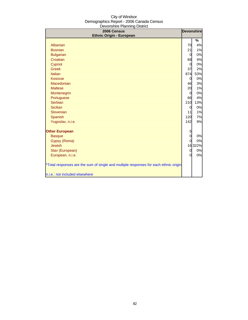| sovonomo manimig Bioarot<br>2006 Census<br><b>Ethnic Origin - European</b>                                             | <b>Devonshire</b> |         |
|------------------------------------------------------------------------------------------------------------------------|-------------------|---------|
|                                                                                                                        |                   | %       |
| Albanian                                                                                                               | 70                | 4%      |
| <b>Bosnian</b>                                                                                                         | 21                | 1%      |
| <b>Bulgarian</b>                                                                                                       | $\overline{0}$    | 0%      |
| Croatian                                                                                                               | 68                | 4%      |
| Cypriot                                                                                                                | $\mathbf 0$       | 0%      |
| <b>Greek</b>                                                                                                           | 37                | 2%      |
| Italian                                                                                                                | 874               | 53%     |
| Kosovar                                                                                                                | $\overline{0}$    | 0%      |
| Macedonian                                                                                                             | 46                | 3%      |
| <b>Maltese</b>                                                                                                         | 20                | 1%      |
| Montenegrin                                                                                                            | $\overline{0}$    | 0%      |
| Portuguese                                                                                                             | 66                | 4%      |
| <b>Serbian</b>                                                                                                         | 210               | 13%     |
| <b>Sicilian</b>                                                                                                        | $\overline{0}$    | 0%      |
| Slovenian                                                                                                              | 11                | 1%      |
| Spanish                                                                                                                | 120               | 7%      |
| Yugoslav, n.i.e.                                                                                                       | 142               | 9%      |
| <b>Other European</b>                                                                                                  | $\overline{5}$    |         |
| <b>Basque</b>                                                                                                          | $\overline{0}$    | 0%      |
| Gypsy (Roma)                                                                                                           | $\Omega$          | 0%      |
| <b>Jewish</b>                                                                                                          |                   | 16 322% |
| Slav (European)                                                                                                        | $\overline{0}$    | 0%      |
| European, n.i.e.                                                                                                       | $\Omega$          | 0%      |
| *Total responses are the sum of single and multiple responses for each ethnic origin<br>n.i.e.: not included elsewhere |                   |         |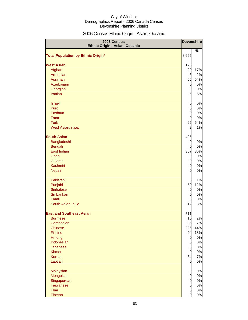# 2006 Census Ethnic Origin - Asian, Oceanic

| 2006 Census<br>Ethnic Origin - Asian, Oceanic |                | <b>Devonshire</b> |
|-----------------------------------------------|----------------|-------------------|
|                                               |                | %                 |
| <b>Total Population by Ethnic Origin*</b>     | 8,665          |                   |
| <b>West Asian</b>                             | 120            |                   |
| Afghan                                        | 20             | 17%               |
| Armenian                                      | 3              | 2%                |
| Assyrian                                      | 65             | 54%               |
| Azerbaijani                                   | $\overline{0}$ | 0%                |
| Georgian                                      | $\mathbf 0$    | 0%                |
| Iranian                                       | 6              | 5%                |
| <b>Israeli</b>                                | $\mathbf 0$    | 0%                |
| <b>Kurd</b>                                   | $\mathbf 0$    | 0%                |
| <b>Pashtun</b>                                | $\mathbf 0$    | 0%                |
| <b>Tatar</b>                                  | 0              | 0%                |
| <b>Turk</b>                                   | 65             | 54%               |
| West Asian, n.i.e.                            | $\overline{a}$ | 1%                |
| <b>South Asian</b>                            | 425            |                   |
| Bangladeshi                                   | $\mathbf 0$    | 0%                |
| <b>Bengali</b>                                | 0              | 0%                |
| East Indian                                   | 367            | 86%               |
| Goan                                          | 0              | 0%                |
| Gujarati                                      | $\mathbf 0$    | 0%                |
| Kashmiri                                      | $\mathbf 0$    | 0%                |
| <b>Nepali</b>                                 | $\overline{0}$ | 0%                |
| Pakistani                                     | 6              | 1%                |
| Punjabi                                       | 50             | 12%               |
| <b>Sinhalese</b>                              | $\mathbf 0$    | 0%                |
| Sri Lankan                                    | $\mathbf 0$    | 0%                |
| Tamil                                         | 0              | 0%                |
| South Asian, n.i.e.                           | 12             | 3%                |
| <b>East and Southeast Asian</b>               | 511            |                   |
| <b>Burmese</b>                                | 10             | 2%                |
| Cambodian                                     | 35             | 7%                |
| <b>Chinese</b>                                | 225            | 44%               |
| Filipino                                      | 94             | 18%               |
| <b>Hmong</b>                                  | $\overline{0}$ | 0%                |
| Indonesian                                    | $\mathbf 0$    | 0%                |
| Japanese                                      | $\mathbf 0$    | 0%                |
| <b>Khmer</b>                                  | $\overline{0}$ | 0%                |
| Korean                                        | 34             | 7%                |
| Laotian                                       | $\overline{0}$ | 0%                |
| <b>Malaysian</b>                              | $\mathbf 0$    | 0%                |
| Mongolian                                     | $\mathbf 0$    | 0%                |
| Singaporean                                   | $\mathbf 0$    | 0%                |
| <b>Taiwanese</b>                              | $\mathbf 0$    | 0%                |
| Thai                                          | $\overline{O}$ | 0%                |
| Tibetan                                       | $\overline{0}$ | 0%                |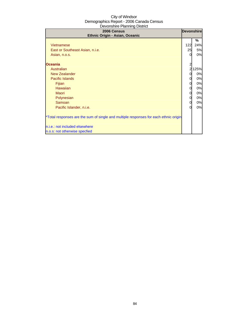| 2006 Census<br>Ethnic Origin - Asian, Oceanic                                                                                                                                                                                                                                                                                                    |                                                                                 | <b>Devonshire</b>                                                            |
|--------------------------------------------------------------------------------------------------------------------------------------------------------------------------------------------------------------------------------------------------------------------------------------------------------------------------------------------------|---------------------------------------------------------------------------------|------------------------------------------------------------------------------|
| <b>Vietnamese</b><br>East or Southeast Asian, n.i.e.<br>Asian, n.o.s.<br><b>Oceania</b><br>Australian<br><b>New Zealander</b><br><b>Pacific Islands</b><br>Fijian<br><b>Hawaiian</b><br><b>Maori</b><br>Polynesian<br>Samoan<br>Pacific Islander, n.i.e.<br>*Total responses are the sum of single and multiple responses for each ethnic origin | 122<br>25<br>$\Omega$<br>$\overline{2}$<br>0<br>0<br>0<br>0<br>0<br>0<br>0<br>ი | ℅<br>24%<br>5%<br>0%<br>125%<br>0%<br>0%<br>0%<br>0%<br>0%<br>0%<br>0%<br>0% |
| n.i.e.: not included elsewhere<br>n.o.s: not otherwise specfied                                                                                                                                                                                                                                                                                  |                                                                                 |                                                                              |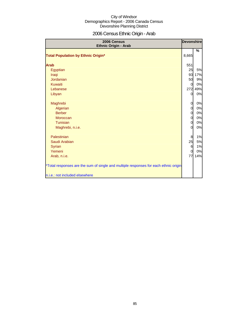# 2006 Census Ethnic Origin - Arab

| 2006 Census<br>Ethnic Origin - Arab                                                  | <b>Devonshire</b> |             |
|--------------------------------------------------------------------------------------|-------------------|-------------|
| <b>Total Population by Ethnic Origin*</b>                                            | 8,665             | %           |
|                                                                                      |                   |             |
| <b>Arab</b>                                                                          | 551               |             |
| Egyptian                                                                             | 25                | 5%          |
| Iraqi                                                                                | 93                | 17%         |
| Jordanian                                                                            | 50                | 9%          |
| <b>Kuwaiti</b>                                                                       | 0                 | 0%          |
| Lebanese                                                                             | 272               | 49%         |
| Libyan                                                                               | $\overline{O}$    | 0%          |
|                                                                                      |                   |             |
| Maghrebi                                                                             | $\overline{0}$    | 0%          |
| Algerian                                                                             | 0                 | 0%          |
| <b>Berber</b>                                                                        | 0                 | 0%          |
| <b>Moroccan</b>                                                                      | $\overline{0}$    | 0%          |
| Tunisian                                                                             | 0<br>0            | $0\%$<br>0% |
| Maghrebi, n.i.e.                                                                     |                   |             |
| Palestinian                                                                          | 8                 | 1%          |
| Saudi Arabian                                                                        | 25                | 5%          |
| <b>Syrian</b>                                                                        | 6                 | 1%          |
| Yemeni                                                                               | 0                 | 0%          |
| Arab, n.i.e.                                                                         | 77                | 14%         |
|                                                                                      |                   |             |
| *Total responses are the sum of single and multiple responses for each ethnic origin |                   |             |
|                                                                                      |                   |             |
| n.i.e.: not included elsewhere                                                       |                   |             |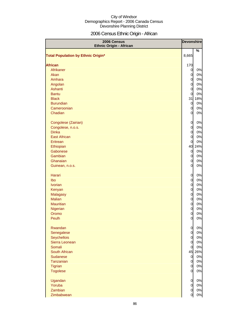# 2006 Census Ethnic Origin - African

| 2006 Census<br><b>Ethnic Origin - African</b> | <b>Devonshire</b>                |          |
|-----------------------------------------------|----------------------------------|----------|
|                                               |                                  | %        |
| <b>Total Population by Ethnic Origin*</b>     | 8,665                            |          |
|                                               |                                  |          |
| <b>African</b><br>Afrikaner                   | 170                              |          |
| Akan                                          | $\overline{0}$<br>$\overline{0}$ | 0%<br>0% |
| Amhara                                        | $\overline{O}$                   | 0%       |
| Angolan                                       | $\overline{O}$                   | 0%       |
| Ashanti                                       | $\overline{0}$                   | 0%       |
| <b>Bantu</b>                                  | $\overline{0}$                   | 0%       |
| <b>Black</b>                                  |                                  | 31 18%   |
| <b>Burundian</b>                              | $\overline{0}$                   | 0%       |
| Cameroonian                                   | $\overline{0}$                   | 0%       |
| Chadian                                       | 0                                | 0%       |
|                                               |                                  |          |
| Congolese (Zairian)                           | $\overline{0}$                   | 0%       |
| Congolese, n.o.s.                             | $\overline{O}$                   | 0%       |
| <b>Dinka</b>                                  | $\overline{O}$                   | 0%       |
| <b>East African</b>                           | $\overline{0}$                   | 0%       |
| Eritrean                                      | $\overline{0}$                   | 0%       |
| Ethiopian                                     |                                  | 40 24%   |
| Gabonese                                      | $\overline{0}$                   | 0%       |
| Gambian                                       | $\overline{O}$                   | 0%       |
| Ghanaian                                      | $\overline{0}$                   | 0%       |
| Guinean, n.o.s.                               | $\overline{0}$                   | 0%       |
|                                               |                                  |          |
| Harari                                        | 0                                | 0%       |
| Ibo                                           | $\overline{0}$                   | 0%       |
| <b>Ivorian</b>                                | $\overline{0}$                   | 0%       |
| Kenyan                                        | $\overline{O}$                   | 0%       |
| <b>Malagasy</b>                               | $\overline{O}$                   | 0%       |
| <b>Malian</b>                                 | $\overline{O}$                   | 0%       |
| <b>Mauritian</b>                              | $\overline{O}$                   | 0%       |
| Nigerian                                      | $\overline{0}$                   | 0%       |
| Oromo                                         | 0                                | 0%       |
| Peulh                                         | $\overline{0}$                   | 0%       |
|                                               |                                  |          |
| Rwandan                                       | $\overline{0}$                   | 0%       |
| Senegalese                                    | $\overline{0}$                   | 0%       |
| Seychellois                                   | $\overline{0}$                   | 0%       |
| Sierra Leonean                                | $\overline{0}$                   | 0%       |
| Somali                                        | $\overline{0}$                   | 0%       |
| South African                                 |                                  | 45 26%   |
| <b>Sudanese</b>                               | $\overline{0}$                   | 0%       |
| Tanzanian                                     | $\overline{0}$                   | 0%       |
| Tigrian                                       | $\overline{0}$                   | 0%       |
| <b>Togolese</b>                               | $\overline{0}$                   | 0%       |
| Ugandan                                       | $\overline{0}$                   | 0%       |
| Yoruba                                        | $\overline{0}$                   | 0%       |
| Zambian                                       | $\overline{0}$                   | 0%       |
| Zimbabwean                                    | 0                                | 0%       |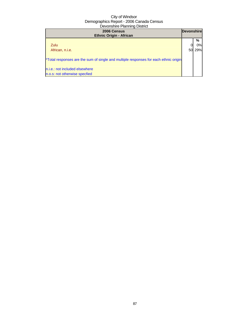| 2006 Census<br><b>Ethnic Origin - African</b>                                        | <b>Devonshire</b> |     |
|--------------------------------------------------------------------------------------|-------------------|-----|
|                                                                                      |                   | %   |
| Zulu                                                                                 |                   | 0%l |
| African, n.i.e.                                                                      |                   | 29% |
| *Total responses are the sum of single and multiple responses for each ethnic origin |                   |     |
| n.i.e.: not included elsewhere                                                       |                   |     |
| n.o.s: not otherwise specfied                                                        |                   |     |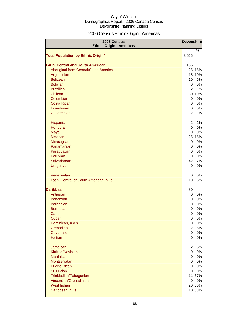# 2006 Census Ethnic Origin - Americas

| 2006 Census<br><b>Ethnic Origin - Americas</b> | <b>Devonshire</b>                         |              |
|------------------------------------------------|-------------------------------------------|--------------|
|                                                |                                           | %            |
| <b>Total Population by Ethnic Origin*</b>      | 8,665                                     |              |
|                                                |                                           |              |
| <b>Latin, Central and South American</b>       | 155                                       |              |
| Aboriginal from Central/South America          |                                           | 25 16%       |
| Argentinian                                    |                                           | 15 10%       |
| <b>Belizean</b>                                | 10                                        | 6%           |
| <b>Bolivian</b>                                | $\overline{0}$                            | 0%           |
| <b>Brazilian</b>                               | $\overline{a}$                            | 1%           |
| Chilean                                        |                                           | 30 19%       |
| Colombian                                      | $\overline{0}$                            | 0%           |
| <b>Costa Rican</b>                             | $\overline{0}$                            | 0%           |
| Ecuadorian                                     | 0                                         | 0%           |
| Guatemalan                                     | $\overline{a}$                            | 1%           |
|                                                |                                           |              |
| <b>Hispanic</b><br>Honduran                    | $\overline{\mathbf{c}}$<br>$\overline{0}$ | 1%           |
|                                                |                                           | 0%           |
| Maya<br><b>Mexican</b>                         | $\overline{0}$                            | 0%<br>25 16% |
| Nicaraguan                                     | $\overline{0}$                            | 0%           |
| Panamanian                                     | $\overline{0}$                            | 0%           |
| Paraguayan                                     | $\overline{0}$                            | 0%           |
| Peruvian                                       | 0                                         | 0%           |
| Salvadorean                                    | 42                                        | 27%          |
| Uruguayan                                      | 0                                         | 0%           |
|                                                |                                           |              |
| Venezuelan                                     | 0                                         | 0%           |
| Latin, Central or South American, n.i.e.       | 10                                        | 6%           |
|                                                |                                           |              |
| <b>Caribbean</b>                               | 30                                        |              |
| Antiguan                                       | $\overline{0}$                            | 0%           |
| <b>Bahamian</b>                                | $\overline{0}$                            | 0%           |
| <b>Barbadian</b>                               | 0                                         | 0%           |
| <b>Bermudan</b>                                | $\overline{0}$                            | 0%           |
| Carib                                          | 0                                         | 0%           |
| Cuban                                          | $\overline{0}$                            | 0%           |
| Dominican, n.o.s.<br>Grenadian                 | $\overline{O}$                            | 0%           |
| Guyanese                                       | $\overline{a}$<br>$\overline{0}$          | 5%<br>0%     |
| <b>Haitian</b>                                 | $\overline{0}$                            | 0%           |
|                                                |                                           |              |
| Jamaican                                       | $\overline{a}$                            | 5%           |
| Kittitian/Nevisian                             | $\overline{0}$                            | 0%           |
| <b>Martinican</b>                              | $\overline{0}$                            | 0%           |
| Montserratan                                   | $\overline{0}$                            | 0%           |
| <b>Puerto Rican</b>                            | $\overline{0}$                            | 0%           |
| St. Lucian                                     | $\overline{0}$                            | 0%           |
| Trinidadian/Tobagonian                         |                                           | 11 37%       |
| Vincentian/Grenadinian                         | $\overline{0}$                            | 0%           |
| <b>West Indian</b>                             |                                           | 20 66%       |
| Caribbean, n.i.e.                              |                                           | 10 33%       |
|                                                |                                           |              |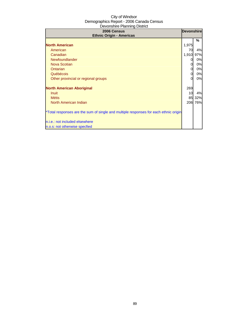| 2006 Census<br><b>Ethnic Origin - Americas</b>                                       | <b>Devonshire</b> |     |
|--------------------------------------------------------------------------------------|-------------------|-----|
|                                                                                      |                   | ℅   |
| <b>North American</b>                                                                | 1,975             |     |
| American                                                                             | 70                | 4%  |
| Canadian                                                                             | 1,910             | 97% |
| Newfoundlander                                                                       | 0                 | 0%  |
| Nova Scotian                                                                         |                   | 0%  |
| Ontarian                                                                             | 0                 | 0%  |
| Québécois                                                                            | 0                 | 0%  |
| Other provincial or regional groups                                                  | 0                 | 0%  |
| <b>North American Aboriginal</b>                                                     | 269               |     |
| <b>Inuit</b>                                                                         | 10                | 4%  |
| <b>Métis</b>                                                                         | 85                | 32% |
| North American Indian                                                                | 206               | 76% |
| *Total responses are the sum of single and multiple responses for each ethnic origin |                   |     |
| n.i.e.: not included elsewhere                                                       |                   |     |
| n.o.s: not otherwise specfied                                                        |                   |     |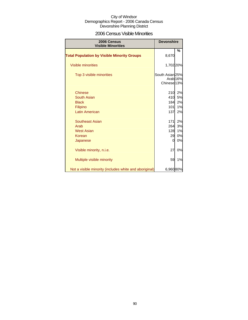### 2006 Census Visible Minorities

| 2006 Census<br><b>Visible Minorities</b>               | <b>Devonshire</b>      |                     |
|--------------------------------------------------------|------------------------|---------------------|
| <b>Total Population by Visible Minority Groups</b>     | 8,670                  | %                   |
|                                                        |                        |                     |
| <b>Visible minorities</b>                              | 1,702 20%              |                     |
| Top 3 visible minorities                               | South Asian 25%        |                     |
|                                                        | Chinese <sub>13%</sub> | Arab <sub>16%</sub> |
| <b>Chinese</b>                                         | 210                    | 2%                  |
| South Asian                                            | 410                    | 5%                  |
| <b>Black</b>                                           | 184                    | 2%                  |
|                                                        | 101                    |                     |
| Filipino<br><b>Latin American</b>                      | 137                    | 1%<br>2%            |
|                                                        |                        |                     |
| <b>Southeast Asian</b>                                 | 171                    | 2%                  |
| Arab                                                   | 264                    | 3%                  |
| <b>West Asian</b>                                      | 128                    | 1%                  |
| Korean                                                 | 29                     | 0%                  |
| Japanese                                               | 0                      | 0%                  |
| Visible minority, n.i.e.                               | 27                     | 0%                  |
| Multiple visible minority                              | 59                     | 1%                  |
| Not a visible minority (includes white and aboriginal) | 6,96080%               |                     |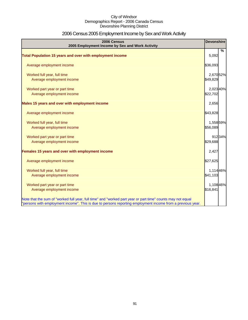# 2006 Census 2005 Employment Income by Sex and Work Activity

| 2006 Census<br>2005 Employment Income by Sex and Work Activity                                              | <b>Devonshire</b> |        |
|-------------------------------------------------------------------------------------------------------------|-------------------|--------|
| Total Population 15 years and over with employment income                                                   | 5,092             | %      |
|                                                                                                             |                   |        |
| Average employment income                                                                                   | \$36,093          |        |
| Worked full year, full time                                                                                 | 2,670 52%         |        |
| Average employment income                                                                                   | \$49,829          |        |
| Worked part year or part time                                                                               | 2,023 40%         |        |
| Average employment income                                                                                   | \$22,702          |        |
| Males 15 years and over with employment income                                                              | 2,656             |        |
| Average employment income                                                                                   | \$43,828          |        |
| Worked full year, full time                                                                                 | 1,558 59%         |        |
| Average employment income                                                                                   | \$56,089          |        |
| Worked part year or part time                                                                               |                   | 91234% |
| Average employment income                                                                                   | \$29,688          |        |
| Females 15 years and over with employment income                                                            | 2,427             |        |
| Average employment income                                                                                   | \$27,625          |        |
| Worked full year, full time                                                                                 | 1,114 46%         |        |
| Average employment income                                                                                   | \$41,103          |        |
| Worked part year or part time                                                                               | 1,10846%          |        |
| Average employment income                                                                                   | \$16,841          |        |
| Note that the sum of "worked full year, full time" and "worked part year or part time" counts may not equal |                   |        |
| "persons with employment income". This is due to persons reporting employment income from a previous year.  |                   |        |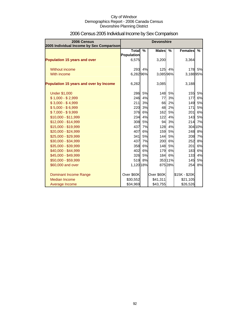| 2006 Census<br>2005 Individual Income by Sex Comparison |                            |               | <b>Devonshire</b> |               |                |         |
|---------------------------------------------------------|----------------------------|---------------|-------------------|---------------|----------------|---------|
|                                                         | <b>Total</b>               | $\frac{9}{6}$ | <b>Males</b>      | $\frac{9}{6}$ | <b>Females</b> | %       |
| <b>Population 15 years and over</b>                     | <b>Population</b><br>6,575 |               | 3,200             |               | 3,364          |         |
| Without income                                          | 293                        | 4%            | 125               | 4%            | 178            | 5%      |
| With income                                             | 6,28296%                   |               | 3,08596%          |               | 3,18895%       |         |
| Population 15 years and over by Income                  | 6,282                      |               | 3,085             |               | 3,188          |         |
| <b>Under \$1,000</b>                                    | 286                        | 5%            | 148               | 5%            | 155            | 5%      |
| $$1,000 - $2,999$                                       | 246                        | 4%            | 77                | 3%            | 177            | 6%      |
| $$3,000 - $4,999$                                       | 211                        | 3%            | 66                | 2%            | 149            | 5%      |
| $$5,000 - $6,999$                                       | 220                        | 3%            | 48                | 2%            | 171            | 5%      |
| $$7,000 - $9,999$                                       | 376                        | 6%            | 162               | 5%            | 201            | 6%      |
| \$10,000 - \$11,999                                     | 234                        | 4%            | 122               | 4%            | 143            | 5%      |
| \$12,000 - \$14,999                                     | 308                        | 5%            | 94                | 3%            | 214            | 7%      |
| \$15,000 - \$19,999                                     | 437                        | 7%            | 128               | 4%            |                | 304 10% |
| \$20,000 - \$24,999                                     | 407                        | 6%            | 159               | 5%            | 248            | 8%      |
| \$25,000 - \$29,999                                     | 341                        | 5%            | 144               | 5%            | 208            | 7%      |
| \$30,000 - \$34,999                                     | 437                        | 7%            | 200               | 6%            | 252            | 8%      |
| \$35,000 - \$39,999                                     | 358                        | 6%            | 148               | 5%            | 201            | 6%      |
| \$40,000 - \$44,999                                     | 402                        | 6%            | 179               | 6%            | 183            | 6%      |
| \$45,000 - \$49,999                                     | 326                        | 5%            | 184               | 6%            | 133            | 4%      |
| \$50,000 - \$59,999                                     | 519                        | 8%            |                   | 35311%        | 145            | 5%      |
| \$60,000 and over                                       | 1,120 18%                  |               |                   | 875 28%       | 254            | 8%      |
| Dominant Income Range                                   | Over \$60K                 |               | Over \$60K        |               | \$15K - \$20K  |         |
| <b>Median Income</b>                                    | \$30,552                   |               | \$41,311          |               | \$21,105       |         |
| Average Income                                          | \$34,969                   |               | \$43,755          |               | \$26,526       |         |

# 2006 Census 2005 Individual Income by Sex Comparison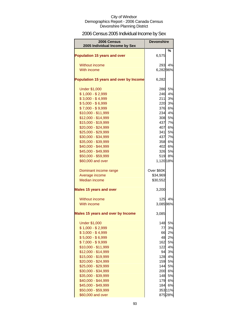# 2006 Census 2005 Individual Income by Sex

| 2006 Census<br>2005 Individual Income by Sex | <b>Devonshire</b> |         |
|----------------------------------------------|-------------------|---------|
| <b>Population 15 years and over</b>          | 6,575             | %       |
| <b>Without income</b>                        | 293               | 4%      |
| With income                                  | 6,28296%          |         |
|                                              |                   |         |
| Population 15 years and over by Income       | 6,282             |         |
| <b>Under \$1,000</b>                         | 286               | 5%      |
| $$1,000 - $2,999$                            | 246               | 4%      |
| $$3,000 - $4,999$                            | 211               | 3%      |
| $$5,000 - $6,999$                            | 220               | 3%      |
| $$7,000 - $9,999$                            | 376               | 6%      |
| \$10,000 - \$11,999                          | 234               | 4%      |
| \$12,000 - \$14,999                          | 308               | 5%      |
| \$15,000 - \$19,999                          | 437               | 7%      |
| \$20,000 - \$24,999                          | 407               | 6%      |
| \$25,000 - \$29,999                          | 341               | 5%      |
| \$30,000 - \$34,999                          | 437               | 7%      |
| \$35,000 - \$39,999                          | 358               | 6%      |
| \$40,000 - \$44,999                          | 402               | 6%      |
| \$45,000 - \$49,999                          | 326               | 5%      |
| \$50,000 - \$59,999                          | 519               | 8%      |
| \$60,000 and over                            | 1,120 18%         |         |
| Dominant income range                        | Over \$60K        |         |
| Average income                               | \$34,969          |         |
| <b>Median income</b>                         | \$30,552          |         |
| <b>Males 15 years and over</b>               | 3,200             |         |
| Without income                               | 125               | 4%      |
| With income                                  | 3,085 96%         |         |
| Males 15 years and over by Income            | 3,085             |         |
| <b>Under \$1,000</b>                         | 148               | 5%      |
| $$1,000 - $2,999$                            | 77                | 3%      |
| $$3,000 - $4,999$                            | 66                | 2%      |
| $$5,000 - $6,999$                            | 48                | 2%      |
| $$7,000 - $9,999$                            | 162               | 5%      |
| \$10,000 - \$11,999                          | 122               | 4%      |
| \$12,000 - \$14,999                          | 94                | 3%      |
| \$15,000 - \$19,999                          | 128               | 4%      |
| \$20,000 - \$24,999                          | 159               | 5%      |
| \$25,000 - \$29,999                          | 144               | 5%      |
| \$30,000 - \$34,999                          | 200               | 6%      |
| \$35,000 - \$39,999                          | 148               | 5%      |
| \$40,000 - \$44,999                          | 179               | 6%      |
| \$45,000 - \$49,999                          | 184               | 6%      |
| \$50,000 - \$59,999                          |                   | 353 11% |
| \$60,000 and over                            |                   | 875 28% |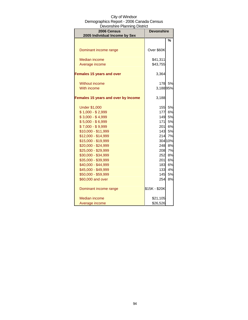| ovonomo i kummiy Dioulot<br>2006 Census<br>2005 Individual Income by Sex | <b>Devonshire</b> |         |  |
|--------------------------------------------------------------------------|-------------------|---------|--|
|                                                                          |                   | %       |  |
|                                                                          |                   |         |  |
| Dominant income range                                                    | Over \$60K        |         |  |
| <b>Median income</b>                                                     | \$41,311          |         |  |
| Average income                                                           | \$43,755          |         |  |
| <b>Females 15 years and over</b>                                         | 3,364             |         |  |
| <b>Without income</b>                                                    | 178               | 5%      |  |
| With income                                                              | 3,18895%          |         |  |
| Females 15 years and over by Income                                      | 3,188             |         |  |
| <b>Under \$1,000</b>                                                     | <b>155</b>        | 5%      |  |
| $$1,000 - $2,999$                                                        | 177               | 6%      |  |
| $$3,000 - $4,999$                                                        | 149               | 5%      |  |
| $$5,000 - $6,999$                                                        | 171               | 5%      |  |
| $$7,000 - $9,999$                                                        | 201               | 6%      |  |
| \$10,000 - \$11,999                                                      | 143               | 5%      |  |
| \$12,000 - \$14,999                                                      | 214               | 7%      |  |
| \$15,000 - \$19,999                                                      |                   | 304 10% |  |
| \$20,000 - \$24,999                                                      | 248               | 8%      |  |
| \$25,000 - \$29,999                                                      | 208               | 7%      |  |
| \$30,000 - \$34,999                                                      | 252               | 8%      |  |
| \$35,000 - \$39,999                                                      | 201               | 6%      |  |
| \$40,000 - \$44,999                                                      | 183               | 6%      |  |
| \$45,000 - \$49,999                                                      | 133               | 4%      |  |
| \$50,000 - \$59,999                                                      | 145               | 5%      |  |
| \$60,000 and over                                                        | 254               | 8%      |  |
| Dominant income range                                                    | \$15K - \$20K     |         |  |
| Median income                                                            | \$21,105          |         |  |
| Average income                                                           | \$26,526          |         |  |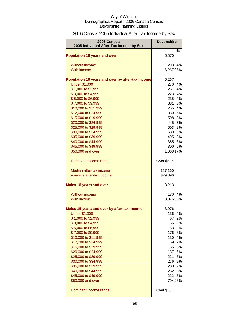# 2006 Census 2005 Individual After-Tax Income by Sex

| 2006 Census<br>2005 Individual After-Tax Income by Sex | <b>Devonshire</b> |              |
|--------------------------------------------------------|-------------------|--------------|
| <b>Population 15 years and over</b>                    | 6,570             | %            |
|                                                        |                   |              |
| Without income                                         | 293               | 4%           |
| With income                                            | 6,26795%          |              |
| Population 15 years and over by after-tax income       | 6,267             |              |
| <b>Under \$1,000</b>                                   | 270               | 4%           |
| \$1,000 to \$2,999                                     | 251               | 4%           |
| \$3,000 to \$4,999                                     | 223               | 4%           |
| \$5,000 to \$6,999                                     | 235               | 4%           |
| \$7,000 to \$9,999                                     | 381               | 6%           |
| \$10,000 to \$11,999                                   | 255               | 4%           |
| \$12,000 to \$14,999                                   | 330               | 5%           |
| \$15,000 to \$19,999                                   | 508               | 8%           |
| \$20,000 to \$24,999                                   | 448               | 7%           |
| \$25,000 to \$29,999                                   | 503               | 8%           |
| \$30,000 to \$34,999                                   | 589               | 9%           |
| \$35,000 to \$39,999                                   | 495               | 8%           |
| \$40,000 to \$44,999<br>\$45,000 to \$49,999           |                   | 385 6%<br>5% |
| \$50,000 and over                                      | 300<br>1,063 17%  |              |
|                                                        |                   |              |
| Dominant income range                                  | Over \$50K        |              |
| Median after-tax income                                | \$27,160          |              |
| Average after-tax income                               | \$29,396          |              |
| <b>Males 15 years and over</b>                         | 3,213             |              |
| Without income                                         | 130               | 4%           |
| With income                                            | 3,076 96%         |              |
| Males 15 years and over by after-tax income            | 3,076             |              |
| <b>Under \$1,000</b>                                   | 136               | 4%           |
| \$1,000 to \$2,999                                     | 67                | 2%           |
| \$3,000 to \$4,999                                     |                   | 66 2%        |
| \$5,000 to \$6,999                                     | 53                | 2%           |
| \$7,000 to \$9,999                                     |                   | 176 6%       |
| \$10,000 to \$11,999                                   | 130               | 4%           |
| \$12,000 to \$14,999                                   | 69                | 2%           |
| \$15,000 to \$19,999                                   | 155<br>187        | 5%           |
| \$20,000 to \$24,999<br>\$25,000 to \$29,999           | 221               | 6%           |
| \$30,000 to \$34,999                                   | 276               | 7%<br>9%     |
| \$35,000 to \$39,999                                   | 230               | 7%           |
| \$40,000 to \$44,999                                   | 252               | 8%           |
| \$45,000 to \$49,999                                   | 222               | 7%           |
| \$50,000 and over                                      |                   | 794 26%      |
| Dominant income range                                  | Over \$50K        |              |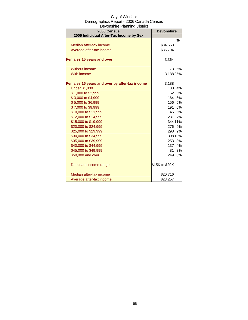| City of Windsor                          |
|------------------------------------------|
| Demographics Report - 2006 Canada Census |
| Devonshire Planning District             |

| 2006 Census<br>2005 Individual After-Tax Income by Sex | <b>Devonshire</b> |         |
|--------------------------------------------------------|-------------------|---------|
|                                                        |                   | %       |
| Median after-tax income                                | \$34,653          |         |
| Average after-tax income                               | \$35,794          |         |
| <b>Females 15 years and over</b>                       | 3,364             |         |
| Without income                                         | 173               | 5%      |
| With income                                            | 3,18895%          |         |
| Females 15 years and over by after-tax income          | 3,188             |         |
| <b>Under \$1,000</b>                                   | 130               | 4%      |
| \$1,000 to \$2,999                                     | 162               | 5%      |
| \$3,000 to \$4,999                                     | 164               | 5%      |
| \$5,000 to \$6,999                                     | 156               | 5%      |
| \$7,000 to \$9,999                                     | 191               | 6%      |
| \$10,000 to \$11,999                                   |                   | 145 5%  |
| \$12,000 to \$14,999                                   |                   | 231 7%  |
| \$15,000 to \$19,999                                   |                   | 344 11% |
| \$20,000 to \$24,999                                   | 276               | 9%      |
| \$25,000 to \$29,999                                   | 298               | 9%      |
| \$30,000 to \$34,999                                   |                   | 308 10% |
| \$35,000 to \$39,999                                   | 253               | 8%      |
| \$40,000 to \$44,999                                   | 137               | 4%      |
| \$45,000 to \$49,999                                   | 81                | 3%      |
| \$50,000 and over                                      | 249               | 8%      |
| Dominant income range                                  | \$15K to \$20K    |         |
| Median after-tax income                                | \$20,716          |         |
| Average after-tax income                               | \$23,257          |         |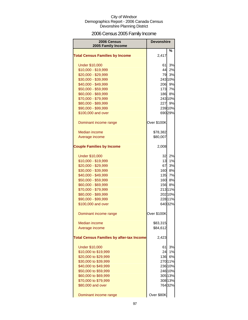# 2006 Census 2005 Family Income

| 2006 Census<br>2005 Family Income                | <b>Devonshire</b> |         |
|--------------------------------------------------|-------------------|---------|
| <b>Total Census Families by Income</b>           | 2,417             | %       |
| <b>Under \$10,000</b>                            | 61                | 3%      |
| \$10,000 - \$19,999                              | 44                | 2%      |
| \$20,000 - \$29,999                              | 79                | 3%      |
| \$30,000 - \$39,999                              |                   | 243 10% |
| \$40,000 - \$49,999                              |                   | 206 9%  |
| \$50,000 - \$59,999                              | 173               | 7%      |
| \$60,000 - \$69,999                              |                   | 186 8%  |
| \$70,000 - \$79,999                              |                   | 243 10% |
| \$80,000 - \$89,999                              |                   | 227 9%  |
| \$90,000 - \$99,999                              |                   | 239 10% |
| \$100,000 and over                               |                   | 690 29% |
| Dominant income range                            | Over \$100K       |         |
| <b>Median income</b>                             | \$78,382          |         |
| Average income                                   | \$80,007          |         |
| <b>Couple Families by Income</b>                 | 2,008             |         |
| <b>Under \$10,000</b>                            | 32                | 2%      |
| \$10,000 - \$19,999                              | 13I               | 1%      |
| \$20,000 - \$29,999                              | 67                | 3%      |
| \$30,000 - \$39,999                              | 160               | 8%      |
| \$40,000 - \$49,999                              | 135               | 7%      |
| \$50,000 - \$59,999                              | 160               | 8%      |
| \$60,000 - \$69,999                              |                   | 156 8%  |
| \$70,000 - \$79,999                              |                   | 213 11% |
| \$80,000 - \$89,999                              |                   | 202 10% |
| \$90,000 - \$99,999                              |                   | 228 11% |
| \$100,000 and over                               |                   | 640 32% |
| Dominant income range                            | Over \$100K       |         |
| <b>Median income</b>                             | \$83,315          |         |
| Average income                                   | \$84,612          |         |
| <b>Total Census Families by after-tax Income</b> | 2,423             |         |
| <b>Under \$10,000</b>                            | 61                | 3%      |
| \$10,000 to \$19,999                             | 24                | 1%      |
| \$20,000 to \$29,999                             | 136               | 6%      |
| \$30,000 to \$39,999                             |                   | 270 11% |
| \$40,000 to \$49,999                             |                   | 236 10% |
| \$50,000 to \$59,999                             |                   | 246 10% |
| \$60,000 to \$69,999                             |                   | 305 13% |
| \$70,000 to \$79,999                             |                   | 308 13% |
| \$80,000 and over                                |                   | 76432%  |
| Dominant income range                            | Over \$80K        |         |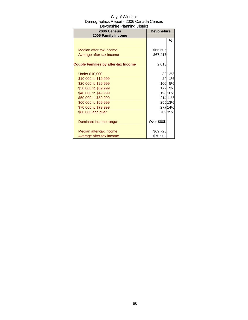| 2006 Census<br>2005 Family Income          | <b>Devonshire</b> |         |
|--------------------------------------------|-------------------|---------|
|                                            |                   | %       |
|                                            |                   |         |
| Median after-tax income                    | \$66,606          |         |
| Average after-tax income                   | \$67,417          |         |
| <b>Couple Families by after-tax Income</b> | 2,013             |         |
| <b>Under \$10,000</b>                      | 32                | 2%      |
| \$10,000 to \$19,999                       | 24                | 1%      |
| \$20,000 to \$29,999                       | <b>100</b>        | 5%      |
| \$30,000 to \$39,999                       | 177               | 9%      |
| \$40,000 to \$49,999                       |                   | 198 10% |
| \$50,000 to \$59,999                       |                   | 21411%  |
| \$60,000 to \$69,999                       |                   | 25513%  |
| \$70,000 to \$79,999                       |                   | 27714%  |
| \$80,000 and over                          |                   | 70935%  |
| Dominant income range                      | Over \$80K        |         |
| Median after-tax income                    | \$69,723          |         |
| Average after-tax income                   | \$70,902          |         |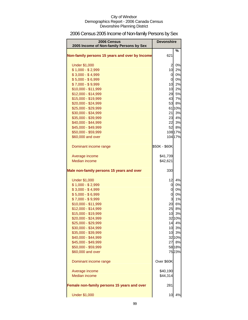# 2006 Census 2005 Income of Non-family Persons by Sex

| 2006 Census<br>2005 Income of Non-family Persons by Sex | <b>Devonshire</b>       |              |
|---------------------------------------------------------|-------------------------|--------------|
| Non-family persons 15 years and over by Income          | 621                     | %            |
| <b>Under \$1,000</b>                                    | $\overline{a}$          | 0%           |
| $$1,000 - $2,999$                                       | 10                      | 2%           |
| $$3,000 - $4,999$                                       |                         | 0 0%         |
| $$5,000 - $6,999$                                       |                         | 0 0%         |
| $$7,000 - $9,999$                                       |                         | 10 2%        |
| \$10,000 - \$11,999                                     |                         | 10 2%        |
| \$12,000 - \$14,999                                     |                         | 29 5%        |
| \$15,000 - \$19,999                                     |                         | 43 7%        |
| \$20,000 - \$24,999                                     | 53                      | 8%           |
| \$25,000 - \$29,999                                     |                         | 61 10%       |
| \$30,000 - \$34,999                                     | 21                      | 3%           |
| \$35,000 - \$39,999                                     |                         | 23 4%        |
| \$40,000 - \$44,999                                     | 22                      | 3%           |
| \$45,000 - \$49,999                                     | 52                      | 8%           |
| \$50,000 - \$59,999                                     |                         | 108 17%      |
| \$60,000 and over                                       |                         | 104 17%      |
| Dominant income range                                   | \$50K - \$60K           |              |
| Average income                                          | \$41,739                |              |
| <b>Median income</b>                                    | \$42,621                |              |
| Male non-family persons 15 years and over               | 330                     |              |
| <b>Under \$1,000</b>                                    | 12                      | 4%           |
| $$1,000 - $2,999$                                       | 0                       | $0\%$        |
| $$3,000 - $4,999$                                       | 0                       | 0%           |
| $$5,000 - $6,999$                                       | $\overline{0}$          | 0%           |
| $$7,000 - $9,999$                                       | $\overline{\mathbf{3}}$ | 1%           |
| \$10,000 - \$11,999                                     | 20                      | 6%           |
| \$12,000 - \$14,999                                     | 25                      | 8%           |
| \$15,000 - \$19,999                                     | 10                      | 3%           |
| \$20,000 - \$24,999                                     |                         | 32 10%       |
| \$25,000 - \$29,999                                     | 14                      | 4%           |
| \$30,000 - \$34,999                                     |                         | 10 3%        |
| \$35,000 - \$39,999                                     |                         | 10 3%        |
| \$40,000 - \$44,999<br>\$45,000 - \$49,999              | 27                      | 32 10%<br>8% |
| \$50,000 - \$59,999                                     |                         | 58 18%       |
| \$60,000 and over                                       |                         | 7523%        |
|                                                         |                         |              |
| Dominant income range                                   | Over \$60K              |              |
| Average income                                          | \$40,190                |              |
| <b>Median income</b>                                    | \$44,314                |              |
| Female non-family persons 15 years and over             | 281                     |              |
| <b>Under \$1,000</b>                                    | 10                      | 4%           |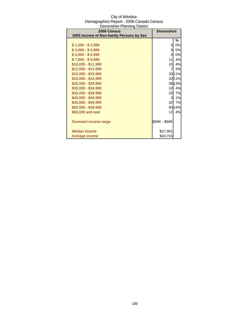| City of Windsor                          |
|------------------------------------------|
| Demographics Report - 2006 Canada Census |
| Devonshire Planning District             |

| 2006 Census                              | <b>Devonshire</b> |        |
|------------------------------------------|-------------------|--------|
| 2005 Income of Non-family Persons by Sex |                   |        |
|                                          |                   | %      |
| $$1,000 - $2,999$                        | 0                 | 0%     |
| $$3,000 - $4,999$                        | 0                 | 0%     |
| $$5,000 - $6,999$                        | 0                 | 0%     |
| $$7,000 - $9,999$                        | 11                | 4%     |
| \$10,000 - \$11,999                      | 10                | 4%     |
| $$12,000 - $14,999$                      | 7                 | 3%     |
| \$15,000 - \$19,999                      |                   | 3011%  |
| \$20,000 - \$24,999                      |                   | 3211%  |
| \$25,000 - \$29,999                      |                   | 38 13% |
| \$30,000 - \$34,999                      | 10                | 4%     |
| \$35,000 - \$39,999                      | 20                | 7%     |
| \$40,000 - \$44,999                      | 3                 | 1%     |
| \$45,000 - \$49,999                      | 20                | 7%     |
| \$50,000 - \$59,999                      |                   | 40 14% |
| \$60,000 and over                        | 12                | 4%     |
|                                          |                   |        |
| Dominant income range                    | \$50K - \$60K     |        |
|                                          |                   |        |
| Median income                            | \$27,901          |        |
| Average income                           | \$24,724          |        |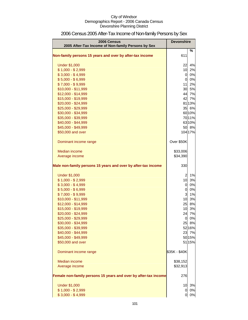| 2006 Census<br>2005 After-Tax Income of Non-family Persons by Sex | <b>Devonshire</b> |         |
|-------------------------------------------------------------------|-------------------|---------|
| Non-family persons 15 years and over by after-tax income          | 611               | %       |
| <b>Under \$1,000</b>                                              | 22                | 4%      |
| $$1,000 - $2,999$                                                 | 10                | 2%      |
| $$3,000 - $4,999$                                                 | $\overline{0}$    | 0%      |
| $$5,000 - $6,999$                                                 | $\overline{0}$    | 0%      |
| $$7,000 - $9,999$                                                 | 11                | 2%      |
| \$10,000 - \$11,999                                               | 30                | 5%      |
| \$12,000 - \$14,999                                               | 44                | 7%      |
| \$15,000 - \$19,999                                               | 42                | 7%      |
| \$20,000 - \$24,999                                               |                   | 8113%   |
| \$25,000 - \$29,999                                               | 35                | 6%      |
| \$30,000 - \$34,999                                               |                   | 6010%   |
| \$35,000 - \$39,999                                               |                   | 7011%   |
| \$40,000 - \$44,999                                               |                   | 6310%   |
| \$45,000 - \$49,999                                               | 50                | 8%      |
| \$50,000 and over                                                 |                   | 104 17% |
| Dominant income range                                             | Over \$50K        |         |
| Median income                                                     | \$33,006          |         |
| Average income                                                    | \$34,390          |         |
|                                                                   |                   |         |
| Male non-family persons 15 years and over by after-tax income     | 330               |         |
| <b>Under \$1,000</b>                                              | $\overline{a}$    | 1%      |
| $$1,000 - $2,999$                                                 | 10                | 3%      |
| $$3,000 - $4,999$                                                 | $\overline{0}$    | 0%      |
| $$5,000 - $6,999$                                                 | $\mathbf 0$       | 0%      |
| $$7,000 - $9,999$                                                 | 3                 | 1%      |
| \$10,000 - \$11,999                                               | 10                | 3%      |
| \$12,000 - \$14,999                                               | 25                | 8%      |
| \$15,000 - \$19,999                                               | 10                | 3%      |
| \$20,000 - \$24,999                                               | 24                | 7%      |
| \$25,000 - \$29,999                                               | $\mathbf 0$       | 0%      |
| \$30,000 - \$34,999                                               | 25                | 8%      |
| \$35,000 - \$39,999                                               |                   | 52 16%  |
| \$40,000 - \$44,999                                               | 23                | 7%      |
| \$45,000 - \$49,999                                               |                   | 50 15%  |
| \$50,000 and over                                                 |                   | 51 15%  |
| Dominant income range                                             | \$35K - \$40K     |         |
| Median income                                                     | \$38,152          |         |
| Average income                                                    | \$32,913          |         |
| Female non-family persons 15 years and over by after-tax income   | 276               |         |
|                                                                   |                   |         |
| <b>Under \$1,000</b>                                              | 10                | 3%      |
| $$1,000 - $2,999$                                                 | 0                 | 0%      |
| $$3,000 - $4,999$                                                 | 0                 | 0%      |

# 2006 Census 2005 After-Tax Income of Non-family Persons by Sex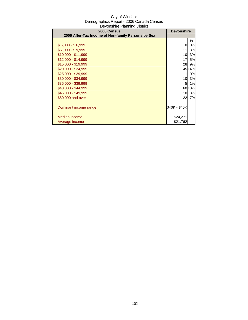| 2006 Census                                        | <b>Devonshire</b> |           |
|----------------------------------------------------|-------------------|-----------|
| 2005 After-Tax Income of Non-family Persons by Sex |                   |           |
|                                                    |                   | ℅         |
| $$5,000 - $6,999$                                  | 0                 | 0%        |
| $$7,000 - $9,999$                                  | 11                | 3%        |
| $$10,000 - $11,999$                                | 10                | 3%        |
| $$12,000 - $14,999$                                | 17                | <b>5%</b> |
| \$15,000 - \$19,999                                | 28                | 9%        |
| $$20,000 - $24,999$                                |                   | 45 14%    |
| \$25,000 - \$29,999                                | 1                 | 0%        |
| \$30,000 - \$34,999                                | 10                | 3%        |
| \$35,000 - \$39,999                                | 5                 | 1%        |
| \$40,000 - \$44,999                                |                   | 60 18%    |
| \$45,000 - \$49,999                                | 10                | 3%        |
| \$50,000 and over                                  | 22                | 7%        |
|                                                    |                   |           |
| Dominant income range                              | \$40K - \$45K     |           |
|                                                    |                   |           |
| Median income                                      | \$24,271          |           |
| Average income                                     | \$21,762          |           |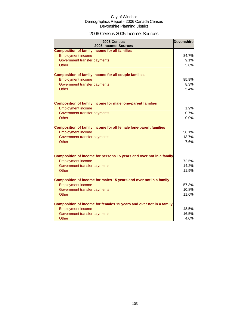### 2006 Census 2005 Income: Sources

| <b>Composition of family income for all families</b>                                            |       |
|-------------------------------------------------------------------------------------------------|-------|
| <b>Employment income</b>                                                                        | 84.7% |
| Government transfer payments                                                                    | 9.1%  |
| Other                                                                                           | 5.8%  |
| <b>Composition of family income for all couple families</b>                                     |       |
| <b>Employment income</b>                                                                        | 85.9% |
| Government transfer payments                                                                    | 8.3%  |
| Other                                                                                           | 5.4%  |
| <b>Composition of family income for male lone-parent families</b>                               |       |
| <b>Employment income</b>                                                                        | 1.9%  |
| Government transfer payments                                                                    | 0.7%  |
| Other                                                                                           | 0.0%  |
| <b>Composition of family income for all female lone-parent families</b>                         |       |
| <b>Employment income</b>                                                                        | 58.1% |
| Government transfer payments                                                                    | 13.7% |
| Other                                                                                           | 7.6%  |
| Composition of income for persons 15 years and over not in a family                             |       |
| <b>Employment income</b>                                                                        | 72.5% |
| Government transfer payments                                                                    | 14.2% |
| Other                                                                                           | 11.9% |
| Composition of income for males 15 years and over not in a family                               |       |
| <b>Employment income</b>                                                                        | 57.3% |
| Government transfer payments                                                                    | 10.8% |
| Other                                                                                           | 11.6% |
| Composition of income for females 15 years and over not in a family<br><b>Employment income</b> | 48.5% |
| Government transfer payments                                                                    | 16.5% |
| Other                                                                                           | 4.0%  |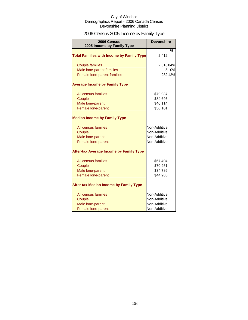# 2006 Census 2005 Income by Family Type

| 2006 Census<br>2005 Income by Family Type        | <b>Devonshire</b> |         |
|--------------------------------------------------|-------------------|---------|
| <b>Total Families with Income by Family Type</b> | 2,412             | $\%$    |
| <b>Couple families</b>                           | 2,01884%          |         |
| Male lone-parent families                        | $5 \,$            | 0%      |
| Female lone-parent families                      |                   | 282 12% |
| <b>Average Income by Family Type</b>             |                   |         |
| All census families                              | \$79,987          |         |
| Couple                                           | \$84,695          |         |
| Male lone-parent                                 | \$40,114          |         |
| Female lone-parent                               | \$50,101          |         |
| <b>Median Income by Family Type</b>              |                   |         |
| All census families                              | Non-Additive      |         |
| Couple                                           | Non-Additive      |         |
| Male lone-parent                                 | Non-Additive      |         |
| Female lone-parent                               | Non-Additive      |         |
| <b>After-tax Average Income by Family Type</b>   |                   |         |
| All census families                              | \$67,404          |         |
| Couple                                           | \$70,951          |         |
| Male lone-parent                                 | \$34,786          |         |
| Female lone-parent                               | \$44,985          |         |
| <b>After-tax Median Income by Family Type</b>    |                   |         |
| All census families                              | Non-Additive      |         |
| Couple                                           | Non-Additive      |         |
| Male lone-parent                                 | Non-Additive      |         |
| Female lone-parent                               | Non-Additive      |         |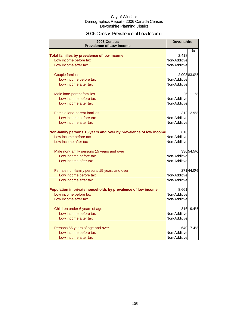### 2006 Census Prevalence of Low Income

| 2006 Census<br><b>Prevalence of Low Income</b>                   | <b>Devonshire</b> |            |
|------------------------------------------------------------------|-------------------|------------|
|                                                                  |                   | %          |
| Total families by prevalence of low income                       | 2,418             |            |
| Low income before tax                                            | Non-Additive      |            |
| Low income after tax                                             | Non-Additive      |            |
| <b>Couple families</b>                                           |                   | 2,00883.0% |
| Low income before tax                                            | Non-Additive      |            |
| Low income after tax                                             | Non-Additive      |            |
| Male lone-parent families                                        | 26                | 1.1%       |
| Low income before tax                                            | Non-Additive      |            |
| Low income after tax                                             | Non-Additive      |            |
| Female lone-parent families                                      |                   | 312 12.9%  |
| Low income before tax                                            | Non-Additive      |            |
| Low income after tax                                             | Non-Additive      |            |
| Non-family persons 15 years and over by prevalence of low income | 616               |            |
| Low income before tax                                            | Non-Additive      |            |
| Low income after tax                                             | Non-Additive      |            |
| Male non-family persons 15 years and over                        |                   | 33654.5%   |
| Low income before tax                                            | Non-Additive      |            |
| Low income after tax                                             | Non-Additive      |            |
| Female non-family persons 15 years and over                      |                   | 27144.0%   |
| Low income before tax                                            | Non-Additive      |            |
| Low income after tax                                             | Non-Additive      |            |
| Population in private households by prevalence of low income     | 8,661             |            |
| Low income before tax                                            | Non-Additive      |            |
| Low income after tax                                             | Non-Additive      |            |
| Children under 6 years of age                                    | 816               | 9.4%       |
| Low income before tax                                            | Non-Additive      |            |
| Low income after tax                                             | Non-Additive      |            |
| Persons 65 years of age and over                                 | 640               | 7.4%       |
| Low income before tax                                            | Non-Additive      |            |
| Low income after tax                                             | Non-Additive      |            |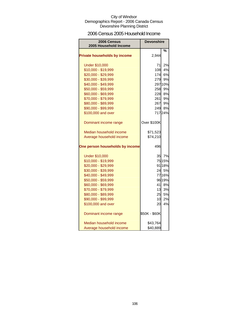### 2006 Census 2005 Household Income

| <b>2006 Census</b><br>2005 Household Income | Devonshire    |         |
|---------------------------------------------|---------------|---------|
|                                             |               | %       |
| <b>Private households by income</b>         | 2,944         |         |
| <b>Under \$10,000</b>                       | 71            | 2%      |
| \$10,000 - \$19,999                         | 108           | 4%      |
| \$20,000 - \$29,999                         | 174           | 6%      |
| \$30,000 - \$39,999                         | 279           | 9%      |
| \$40,000 - \$49,999                         |               | 297 10% |
| \$50,000 - \$59,999                         | 258           | 9%      |
| \$60,000 - \$69,999                         |               | 228 8%  |
| \$70,000 - \$79,999                         | 261           | 9%      |
| \$80,000 - \$89,999                         | 267           | 9%      |
| \$90,000 - \$99,999                         | 249           | 8%      |
| \$100,000 and over                          |               | 71724%  |
| Dominant income range                       | Over \$100K   |         |
| Median household income                     | \$71,523      |         |
| Average household income                    | \$74,210      |         |
| One person households by income             | 496           |         |
| <b>Under \$10,000</b>                       | 35            | 7%      |
| \$10,000 - \$19,999                         |               | 75 15%  |
| \$20,000 - \$29,999                         |               | 91 18%  |
| \$30,000 - \$39,999                         |               | 24 5%   |
| \$40,000 - \$49,999                         |               | 7716%   |
| \$50,000 - \$59,999                         |               | 96 19%  |
| \$60,000 - \$69,999                         | 41            | 8%      |
| \$70,000 - \$79,999                         | 13            | 3%      |
| \$80,000 - \$89,999                         | 25            | 5%      |
| \$90,000 - \$99,999                         | 10            | 2%      |
| \$100,000 and over                          | 20            | 4%      |
| Dominant income range                       | \$50K - \$60K |         |
| Median household income                     | \$43,764      |         |
| Average household income                    | \$40,889      |         |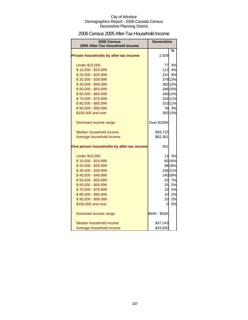### 2006 Census 2005 After-Tax Household Income

| 2006 Census<br>2005 After-Tax Household Income | <b>Devonshire</b> |         |
|------------------------------------------------|-------------------|---------|
|                                                |                   | %       |
| Private households by after-tax income         | 2,929             |         |
| <b>Under \$10,000</b>                          | 77                | 3%      |
| \$10,000 - \$19,999                            | 113               | 4%      |
| \$20,000 - \$29,999                            | 222               | 8%      |
| \$30,000 - \$39,999                            |                   | 379 13% |
| \$40,000 - \$49,999                            |                   | 382 13% |
| \$50,000 - \$59,999                            |                   | 286 10% |
| \$60,000 - \$69,999                            |                   | 340 12% |
| \$70,000 - \$79,999                            |                   | 324 11% |
| \$80,000 - \$89,999                            |                   | 310 11% |
| \$90,000 - \$99,999                            |                   | 78 3%   |
| \$100,000 and over                             |                   | 392 13% |
| Dominant income range                          | Over \$100K       |         |
| Median household income                        | \$59,715          |         |
| Average household income                       | \$62,361          |         |
| One person households by after-tax income      | 501               |         |
| <b>Under \$10,000</b>                          | 13                | 3%      |
| \$10,000 - \$19,999                            |                   | 80 16%  |
| \$20,000 - \$29,999                            |                   | 88 18%  |
| \$30,000 - \$39,999                            |                   | 10621%  |
| \$40,000 - \$49,999                            |                   | 140 28% |
| \$50,000 - \$59,999                            | 33                | 7%      |
| \$60,000 - \$69,999                            | 25                | 5%      |
| \$70,000 - \$79,999                            | 10 <sup>1</sup>   | 2%      |
| \$80,000 - \$89,999                            | 10                | 2%      |
| \$90,000 - \$99,999                            | 10                | 2%      |
| \$100,000 and over                             | <sup>O</sup>      | 0%      |
| Dominant income range                          | \$40K - \$50K     |         |
| Median household income                        | \$37,243          |         |
| Average household income                       | \$33,650          |         |